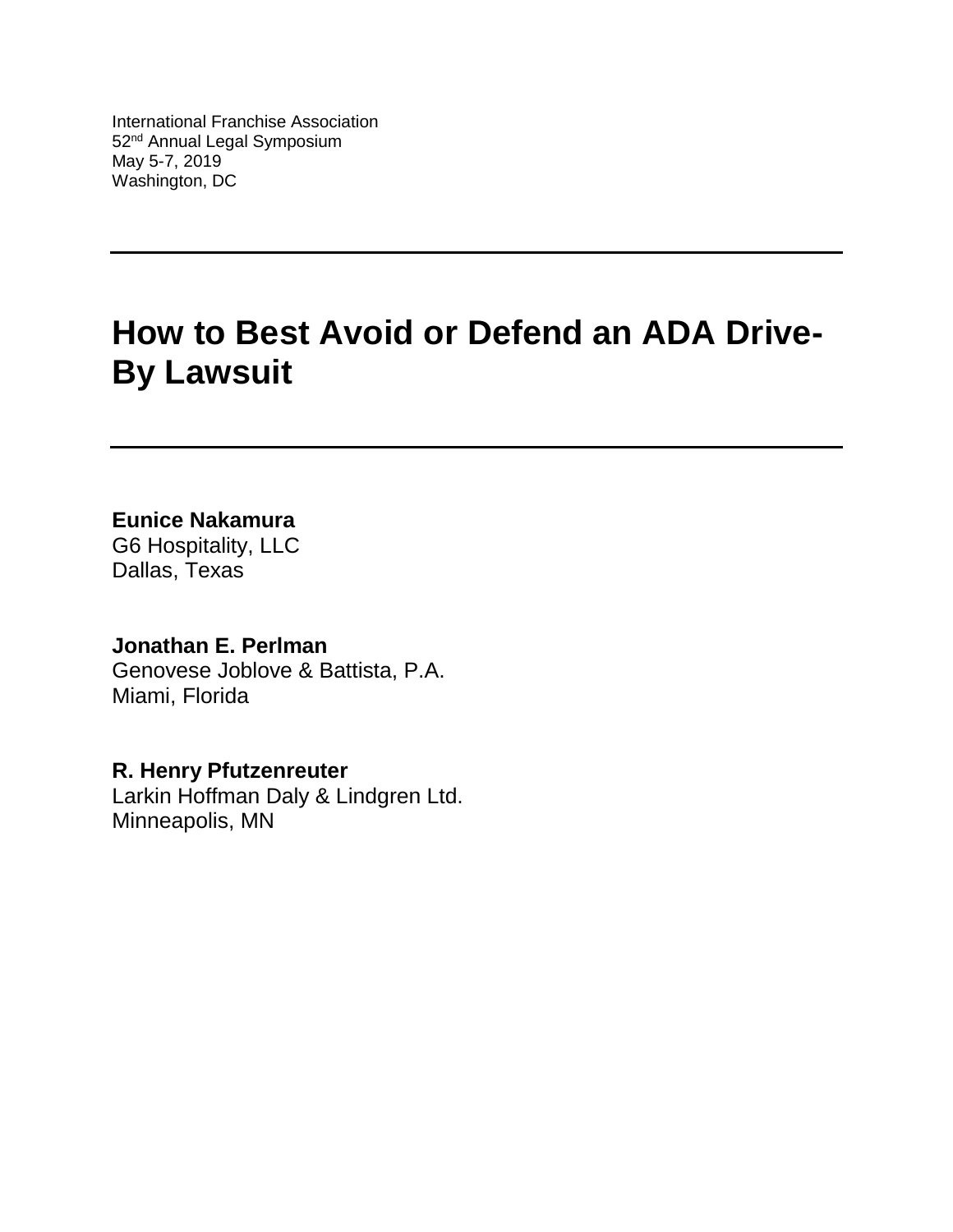International Franchise Association 52<sup>nd</sup> Annual Legal Symposium May 5-7, 2019 Washington, DC

# **How to Best Avoid or Defend an ADA Drive-By Lawsuit**

**Eunice Nakamura**

G6 Hospitality, LLC Dallas, Texas

**Jonathan E. Perlman** Genovese Joblove & Battista, P.A. Miami, Florida

**R. Henry Pfutzenreuter** Larkin Hoffman Daly & Lindgren Ltd. Minneapolis, MN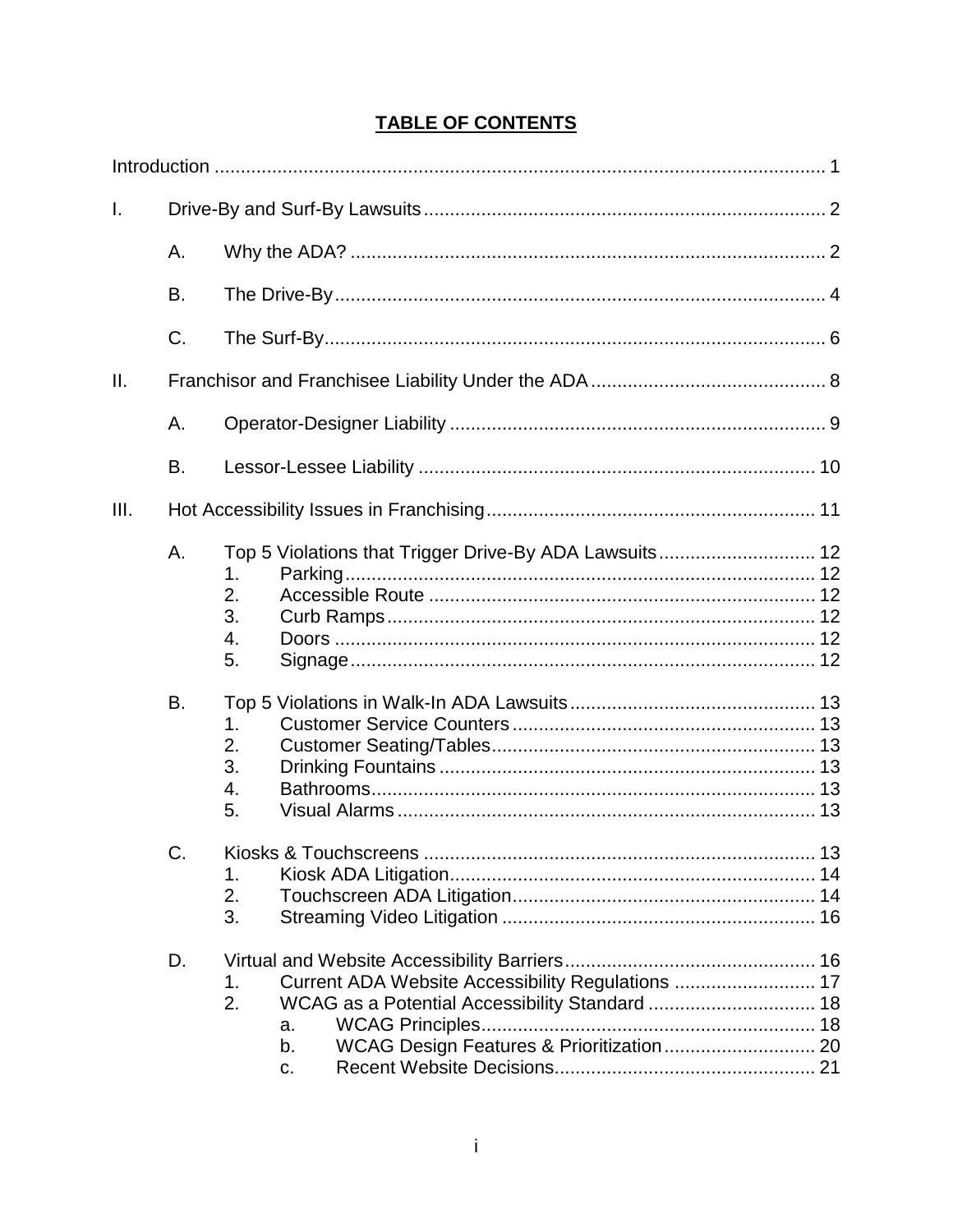# **TABLE OF CONTENTS**

| I.   |    |                                                                                                                             |  |  |  |  |
|------|----|-----------------------------------------------------------------------------------------------------------------------------|--|--|--|--|
|      | А. |                                                                                                                             |  |  |  |  |
|      | B. |                                                                                                                             |  |  |  |  |
|      | C. |                                                                                                                             |  |  |  |  |
| Ш.   |    |                                                                                                                             |  |  |  |  |
|      | Α. |                                                                                                                             |  |  |  |  |
|      | B. |                                                                                                                             |  |  |  |  |
| III. |    |                                                                                                                             |  |  |  |  |
|      | A. | Top 5 Violations that Trigger Drive-By ADA Lawsuits 12<br>1.<br>2.<br>3.<br>4.<br>5.                                        |  |  |  |  |
|      | В. | 1.<br>2.<br>3.<br>4.<br>5.                                                                                                  |  |  |  |  |
|      | C. | 1.<br>2.<br>3.                                                                                                              |  |  |  |  |
|      | D. | Current ADA Website Accessibility Regulations  17<br>1.<br>2.<br>a.<br>WCAG Design Features & Prioritization 20<br>b.<br>C. |  |  |  |  |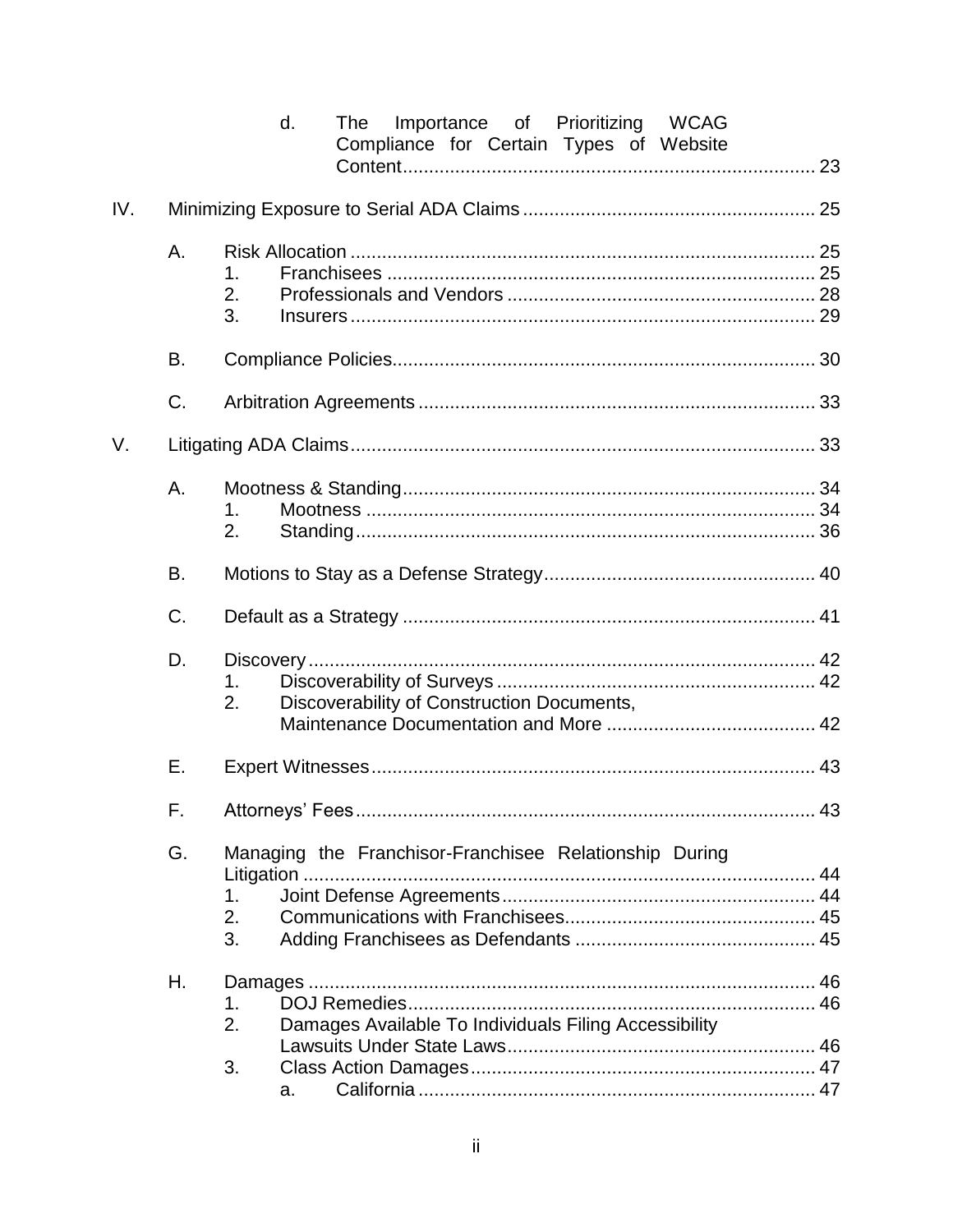|     |                                                              | d.<br>Importance of Prioritizing WCAG<br>The<br>Compliance for Certain Types of Website |  |  |  |  |  |
|-----|--------------------------------------------------------------|-----------------------------------------------------------------------------------------|--|--|--|--|--|
|     |                                                              |                                                                                         |  |  |  |  |  |
| IV. |                                                              |                                                                                         |  |  |  |  |  |
|     | Α.                                                           | 1.<br>2.<br>3.                                                                          |  |  |  |  |  |
|     | В.                                                           |                                                                                         |  |  |  |  |  |
|     | C.                                                           |                                                                                         |  |  |  |  |  |
| V.  |                                                              |                                                                                         |  |  |  |  |  |
|     | Α.                                                           | 1.<br>2.                                                                                |  |  |  |  |  |
|     | В.                                                           |                                                                                         |  |  |  |  |  |
|     | C.                                                           |                                                                                         |  |  |  |  |  |
|     | D.<br>1.<br>2.<br>Discoverability of Construction Documents, |                                                                                         |  |  |  |  |  |
|     | Е.                                                           |                                                                                         |  |  |  |  |  |
|     | F.                                                           |                                                                                         |  |  |  |  |  |
|     | G.                                                           | Managing the Franchisor-Franchisee Relationship During<br>1.<br>2.<br>3.                |  |  |  |  |  |
|     | Η.                                                           | 1.<br>2.<br>Damages Available To Individuals Filing Accessibility<br>3.<br>a.           |  |  |  |  |  |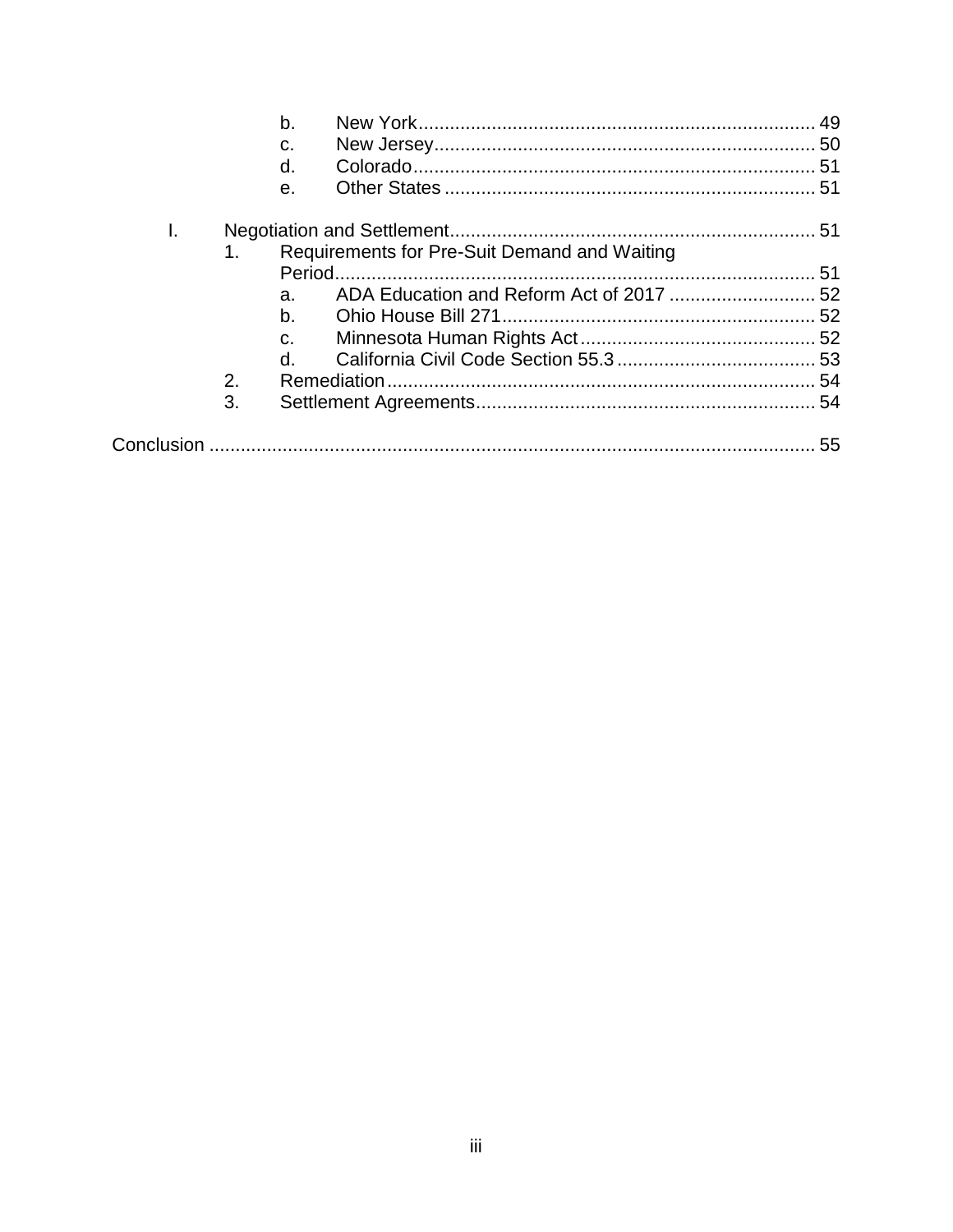|    |    | b.             |                                              |  |
|----|----|----------------|----------------------------------------------|--|
|    |    | C.             |                                              |  |
|    |    | d.             |                                              |  |
|    |    | е.             |                                              |  |
| I. |    |                |                                              |  |
|    | 1. |                | Requirements for Pre-Suit Demand and Waiting |  |
|    |    |                |                                              |  |
|    |    | a.             |                                              |  |
|    |    | b <sub>1</sub> |                                              |  |
|    |    | C.             |                                              |  |
|    |    | $\mathsf{d}$ . |                                              |  |
|    | 2. |                |                                              |  |
|    | 3. |                |                                              |  |
|    |    |                |                                              |  |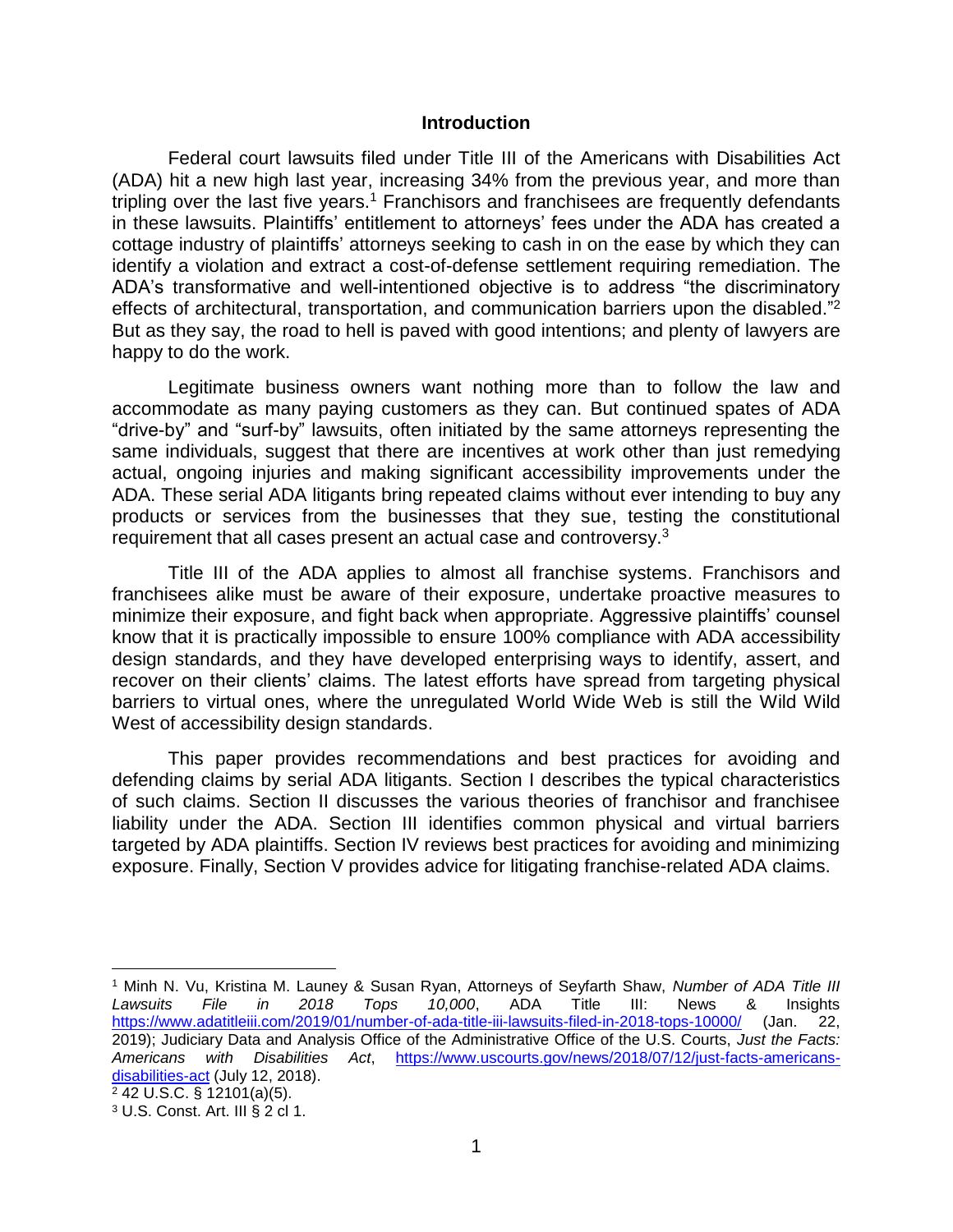#### **Introduction**

Federal court lawsuits filed under Title III of the Americans with Disabilities Act (ADA) hit a new high last year, increasing 34% from the previous year, and more than tripling over the last five years.<sup>1</sup> Franchisors and franchisees are frequently defendants in these lawsuits. Plaintiffs' entitlement to attorneys' fees under the ADA has created a cottage industry of plaintiffs' attorneys seeking to cash in on the ease by which they can identify a violation and extract a cost-of-defense settlement requiring remediation. The ADA's transformative and well-intentioned objective is to address "the discriminatory effects of architectural, transportation, and communication barriers upon the disabled."<sup>2</sup> But as they say, the road to hell is paved with good intentions; and plenty of lawyers are happy to do the work.

Legitimate business owners want nothing more than to follow the law and accommodate as many paying customers as they can. But continued spates of ADA "drive-by" and "surf-by" lawsuits, often initiated by the same attorneys representing the same individuals, suggest that there are incentives at work other than just remedying actual, ongoing injuries and making significant accessibility improvements under the ADA. These serial ADA litigants bring repeated claims without ever intending to buy any products or services from the businesses that they sue, testing the constitutional requirement that all cases present an actual case and controversy.<sup>3</sup>

Title III of the ADA applies to almost all franchise systems. Franchisors and franchisees alike must be aware of their exposure, undertake proactive measures to minimize their exposure, and fight back when appropriate. Aggressive plaintiffs' counsel know that it is practically impossible to ensure 100% compliance with ADA accessibility design standards, and they have developed enterprising ways to identify, assert, and recover on their clients' claims. The latest efforts have spread from targeting physical barriers to virtual ones, where the unregulated World Wide Web is still the Wild Wild West of accessibility design standards.

This paper provides recommendations and best practices for avoiding and defending claims by serial ADA litigants. Section I describes the typical characteristics of such claims. Section II discusses the various theories of franchisor and franchisee liability under the ADA. Section III identifies common physical and virtual barriers targeted by ADA plaintiffs. Section IV reviews best practices for avoiding and minimizing exposure. Finally, Section V provides advice for litigating franchise-related ADA claims.

 $\overline{a}$ <sup>1</sup> Minh N. Vu, Kristina M. Launey & Susan Ryan, Attorneys of Seyfarth Shaw, *Number of ADA Title III Lawsuits File in 2018 Tops 10,000*, ADA Title III: News & Insights <https://www.adatitleiii.com/2019/01/number-of-ada-title-iii-lawsuits-filed-in-2018-tops-10000/> (Jan. 22, 2019); Judiciary Data and Analysis Office of the Administrative Office of the U.S. Courts, *Just the Facts: Americans with Disabilities Act*, [https://www.uscourts.gov/news/2018/07/12/just-facts-americans](https://www.uscourts.gov/news/2018/07/12/just-facts-americans-disabilities-act)[disabilities-act](https://www.uscourts.gov/news/2018/07/12/just-facts-americans-disabilities-act) (July 12, 2018). <sup>2</sup> 42 U.S.C. § 12101(a)(5). <sup>3</sup> U.S. Const. Art. III § 2 cl 1.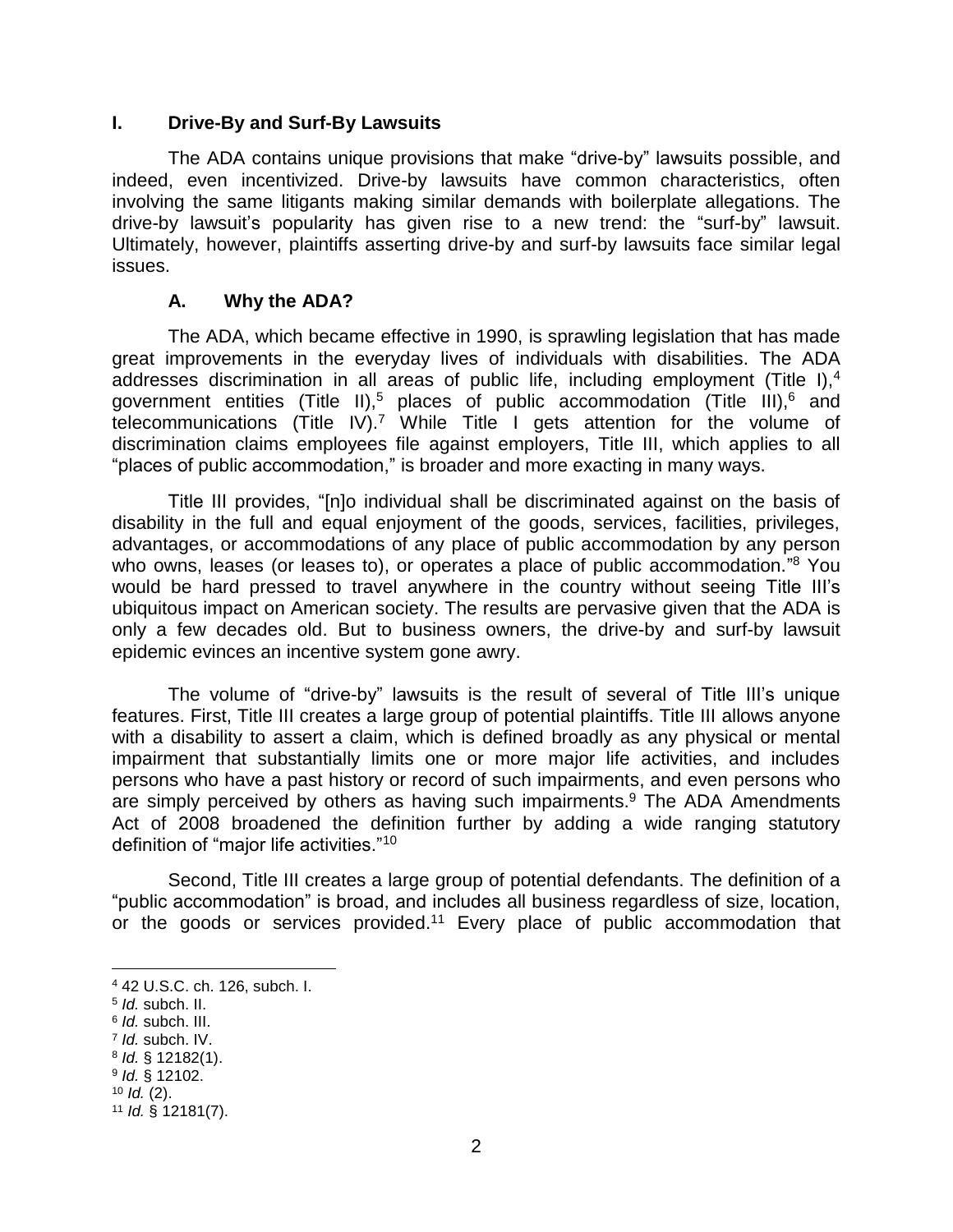#### **I. Drive-By and Surf-By Lawsuits**

The ADA contains unique provisions that make "drive-by" lawsuits possible, and indeed, even incentivized. Drive-by lawsuits have common characteristics, often involving the same litigants making similar demands with boilerplate allegations. The drive-by lawsuit's popularity has given rise to a new trend: the "surf-by" lawsuit. Ultimately, however, plaintiffs asserting drive-by and surf-by lawsuits face similar legal issues.

#### **A. Why the ADA?**

The ADA, which became effective in 1990, is sprawling legislation that has made great improvements in the everyday lives of individuals with disabilities. The ADA addresses discrimination in all areas of public life, including employment (Title I),<sup>4</sup> government entities (Title II),<sup>5</sup> places of public accommodation (Title III),<sup>6</sup> and telecommunications (Title IV).<sup>7</sup> While Title I gets attention for the volume of discrimination claims employees file against employers, Title III, which applies to all "places of public accommodation," is broader and more exacting in many ways.

Title III provides, "[n]o individual shall be discriminated against on the basis of disability in the full and equal enjoyment of the goods, services, facilities, privileges, advantages, or accommodations of any place of public accommodation by any person who owns, leases (or leases to), or operates a place of public accommodation."<sup>8</sup> You would be hard pressed to travel anywhere in the country without seeing Title III's ubiquitous impact on American society. The results are pervasive given that the ADA is only a few decades old. But to business owners, the drive-by and surf-by lawsuit epidemic evinces an incentive system gone awry.

The volume of "drive-by" lawsuits is the result of several of Title III's unique features. First, Title III creates a large group of potential plaintiffs. Title III allows anyone with a disability to assert a claim, which is defined broadly as any physical or mental impairment that substantially limits one or more major life activities, and includes persons who have a past history or record of such impairments, and even persons who are simply perceived by others as having such impairments. <sup>9</sup> The ADA Amendments Act of 2008 broadened the definition further by adding a wide ranging statutory definition of "major life activities."<sup>10</sup>

Second, Title III creates a large group of potential defendants. The definition of a "public accommodation" is broad, and includes all business regardless of size, location, or the goods or services provided.<sup>11</sup> Every place of public accommodation that

 $\overline{a}$ 

6 *Id.* subch. III.

<sup>4</sup> 42 U.S.C. ch. 126, subch. I.

<sup>5</sup> *Id.* subch. II.

<sup>7</sup> *Id.* subch. IV.

<sup>8</sup> *Id.* § 12182(1).

<sup>9</sup> *Id.* § 12102.

<sup>10</sup> *Id.* (2).

<sup>11</sup> *Id.* § 12181(7).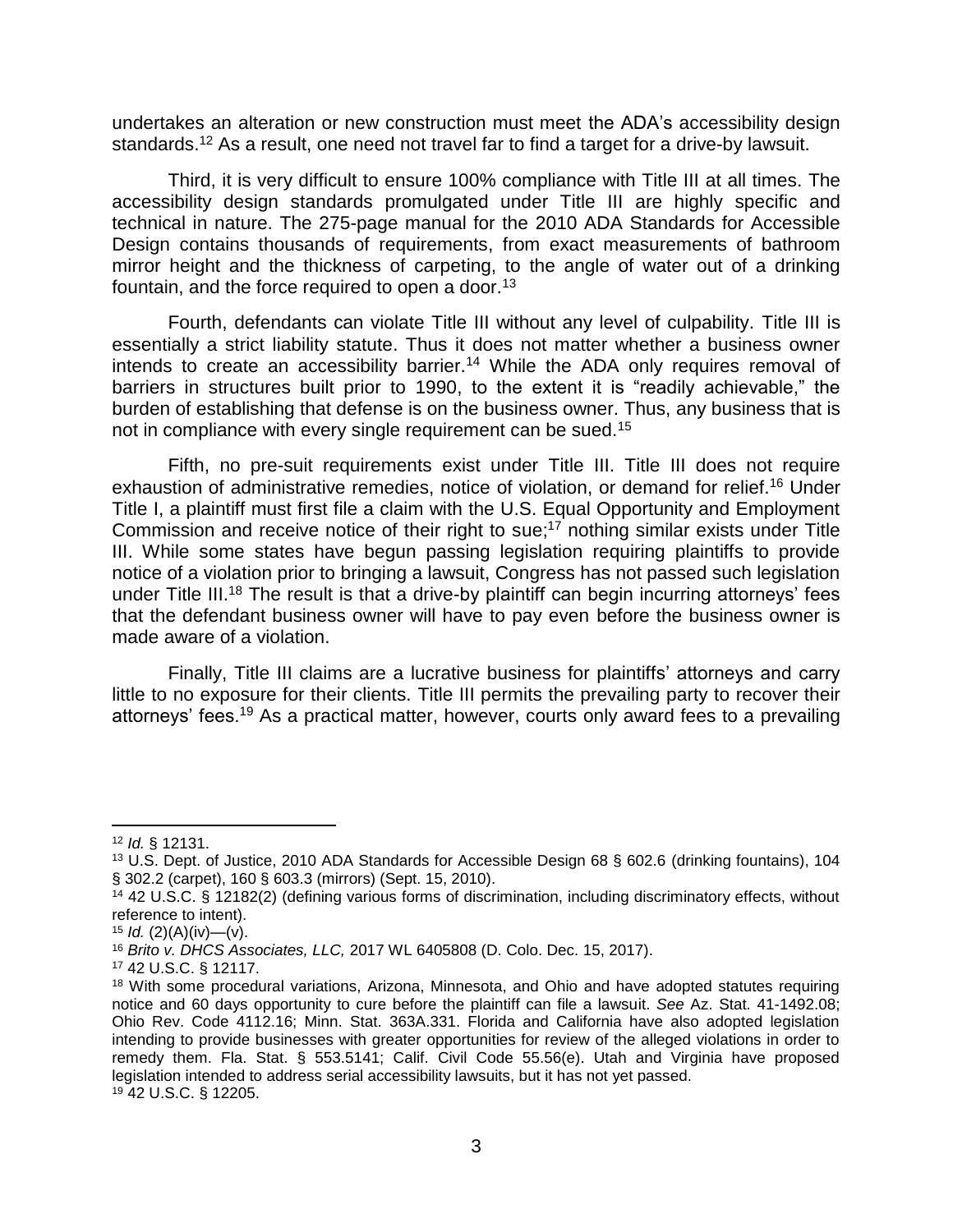undertakes an alteration or new construction must meet the ADA's accessibility design standards.<sup>12</sup> As a result, one need not travel far to find a target for a drive-by lawsuit.

Third, it is very difficult to ensure 100% compliance with Title III at all times. The accessibility design standards promulgated under Title III are highly specific and technical in nature. The 275-page manual for the 2010 ADA Standards for Accessible Design contains thousands of requirements, from exact measurements of bathroom mirror height and the thickness of carpeting, to the angle of water out of a drinking fountain, and the force required to open a door.<sup>13</sup>

Fourth, defendants can violate Title III without any level of culpability. Title III is essentially a strict liability statute. Thus it does not matter whether a business owner intends to create an accessibility barrier.<sup>14</sup> While the ADA only requires removal of barriers in structures built prior to 1990, to the extent it is "readily achievable," the burden of establishing that defense is on the business owner. Thus, any business that is not in compliance with every single requirement can be sued.<sup>15</sup>

Fifth, no pre-suit requirements exist under Title III. Title III does not require exhaustion of administrative remedies, notice of violation, or demand for relief.<sup>16</sup> Under Title I, a plaintiff must first file a claim with the U.S. Equal Opportunity and Employment Commission and receive notice of their right to sue; <sup>17</sup> nothing similar exists under Title III. While some states have begun passing legislation requiring plaintiffs to provide notice of a violation prior to bringing a lawsuit, Congress has not passed such legislation under Title III.<sup>18</sup> The result is that a drive-by plaintiff can begin incurring attorneys' fees that the defendant business owner will have to pay even before the business owner is made aware of a violation.

Finally, Title III claims are a lucrative business for plaintiffs' attorneys and carry little to no exposure for their clients. Title III permits the prevailing party to recover their attorneys' fees.<sup>19</sup> As a practical matter, however, courts only award fees to a prevailing

<sup>12</sup> *Id.* § 12131.

<sup>13</sup> U.S. Dept. of Justice, 2010 ADA Standards for Accessible Design 68 § 602.6 (drinking fountains), 104 § 302.2 (carpet), 160 § 603.3 (mirrors) (Sept. 15, 2010).

<sup>14</sup> 42 U.S.C. § 12182(2) (defining various forms of discrimination, including discriminatory effects, without reference to intent).

 $15$  *Id.* (2)(A)(iv)—(v).

<sup>16</sup> *Brito v. DHCS Associates, LLC,* 2017 WL 6405808 (D. Colo. Dec. 15, 2017).

<sup>17</sup> 42 U.S.C. § 12117.

<sup>18</sup> With some procedural variations, Arizona, Minnesota, and Ohio and have adopted statutes requiring notice and 60 days opportunity to cure before the plaintiff can file a lawsuit. *See* Az. Stat. 41-1492.08; Ohio Rev. Code 4112.16; Minn. Stat. 363A.331. Florida and California have also adopted legislation intending to provide businesses with greater opportunities for review of the alleged violations in order to remedy them. Fla. Stat. § 553.5141; Calif. Civil Code 55.56(e). Utah and Virginia have proposed legislation intended to address serial accessibility lawsuits, but it has not yet passed. <sup>19</sup> 42 U.S.C. § 12205.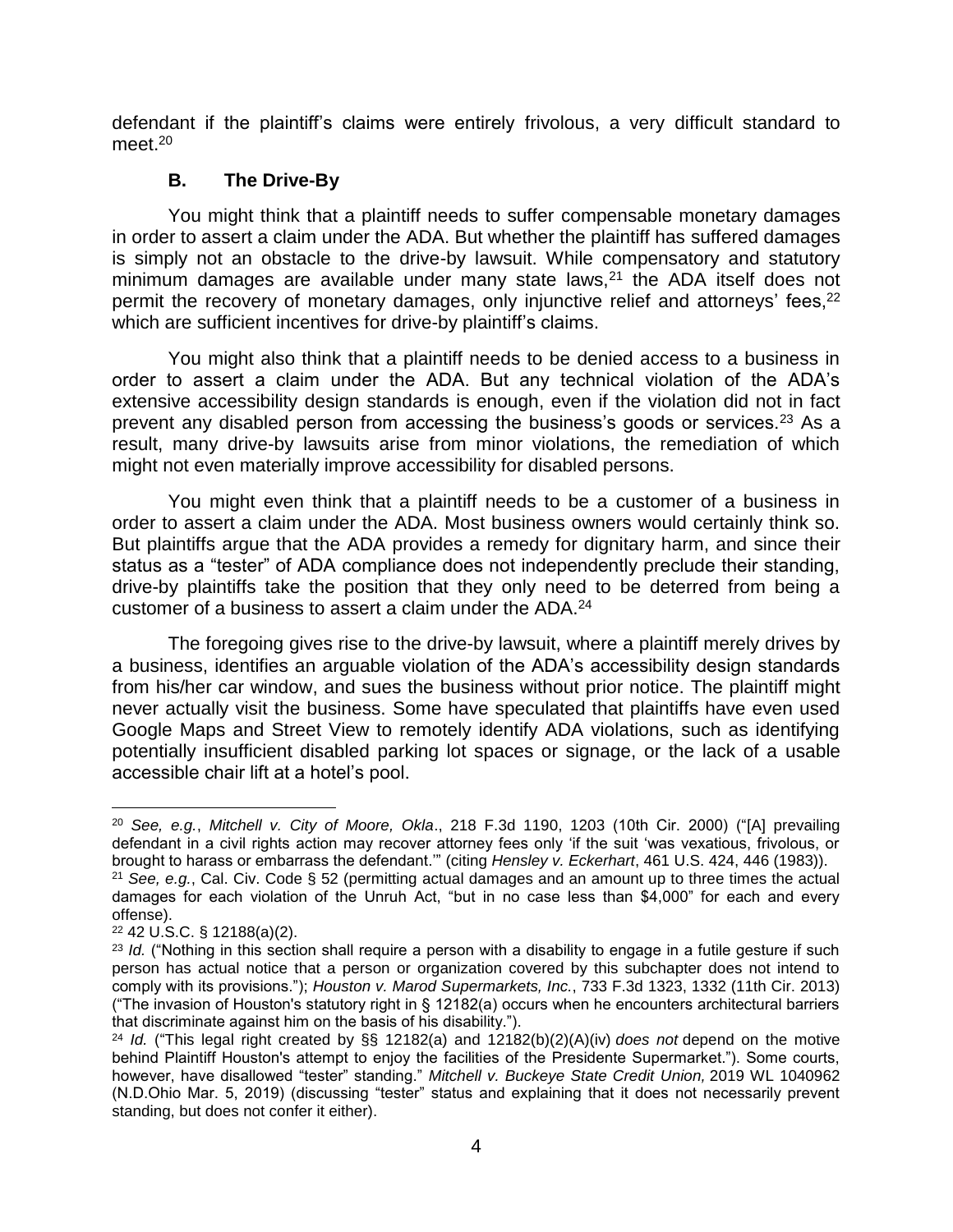defendant if the plaintiff's claims were entirely frivolous, a very difficult standard to meet. 20

#### **B. The Drive-By**

You might think that a plaintiff needs to suffer compensable monetary damages in order to assert a claim under the ADA. But whether the plaintiff has suffered damages is simply not an obstacle to the drive-by lawsuit. While compensatory and statutory minimum damages are available under many state laws, $21$  the ADA itself does not permit the recovery of monetary damages, only injunctive relief and attorneys' fees,<sup>22</sup> which are sufficient incentives for drive-by plaintiff's claims.

You might also think that a plaintiff needs to be denied access to a business in order to assert a claim under the ADA. But any technical violation of the ADA's extensive accessibility design standards is enough, even if the violation did not in fact prevent any disabled person from accessing the business's goods or services.<sup>23</sup> As a result, many drive-by lawsuits arise from minor violations, the remediation of which might not even materially improve accessibility for disabled persons.

You might even think that a plaintiff needs to be a customer of a business in order to assert a claim under the ADA. Most business owners would certainly think so. But plaintiffs argue that the ADA provides a remedy for dignitary harm, and since their status as a "tester" of ADA compliance does not independently preclude their standing, drive-by plaintiffs take the position that they only need to be deterred from being a customer of a business to assert a claim under the ADA.<sup>24</sup>

The foregoing gives rise to the drive-by lawsuit, where a plaintiff merely drives by a business, identifies an arguable violation of the ADA's accessibility design standards from his/her car window, and sues the business without prior notice. The plaintiff might never actually visit the business. Some have speculated that plaintiffs have even used Google Maps and Street View to remotely identify ADA violations, such as identifying potentially insufficient disabled parking lot spaces or signage, or the lack of a usable accessible chair lift at a hotel's pool.

l <sup>20</sup> *See, e.g.*, *Mitchell v. City of Moore, Okla*., 218 F.3d 1190, 1203 (10th Cir. 2000) ("[A] prevailing defendant in a civil rights action may recover attorney fees only 'if the suit 'was vexatious, frivolous, or brought to harass or embarrass the defendant.'" (citing *Hensley v. Eckerhart*, 461 U.S. 424, 446 (1983)).

<sup>21</sup> *See, e.g.*, Cal. Civ. Code § 52 (permitting actual damages and an amount up to three times the actual damages for each violation of the Unruh Act, "but in no case less than \$4,000" for each and every offense).

<sup>22</sup> 42 U.S.C. § 12188(a)(2).

<sup>&</sup>lt;sup>23</sup> *Id.* ("Nothing in this section shall require a person with a disability to engage in a futile gesture if such person has actual notice that a person or organization covered by this subchapter does not intend to comply with its provisions."); *Houston v. Marod Supermarkets, Inc.*, 733 F.3d 1323, 1332 (11th Cir. 2013) ("The invasion of Houston's statutory right in § 12182(a) occurs when he encounters architectural barriers that discriminate against him on the basis of his disability.").

<sup>24</sup> *Id.* ("This legal right created by §§ 12182(a) and 12182(b)(2)(A)(iv) *does not* depend on the motive behind Plaintiff Houston's attempt to enjoy the facilities of the Presidente Supermarket."). Some courts, however, have disallowed "tester" standing." *Mitchell v. Buckeye State Credit Union,* 2019 WL 1040962 (N.D.Ohio Mar. 5, 2019) (discussing "tester" status and explaining that it does not necessarily prevent standing, but does not confer it either).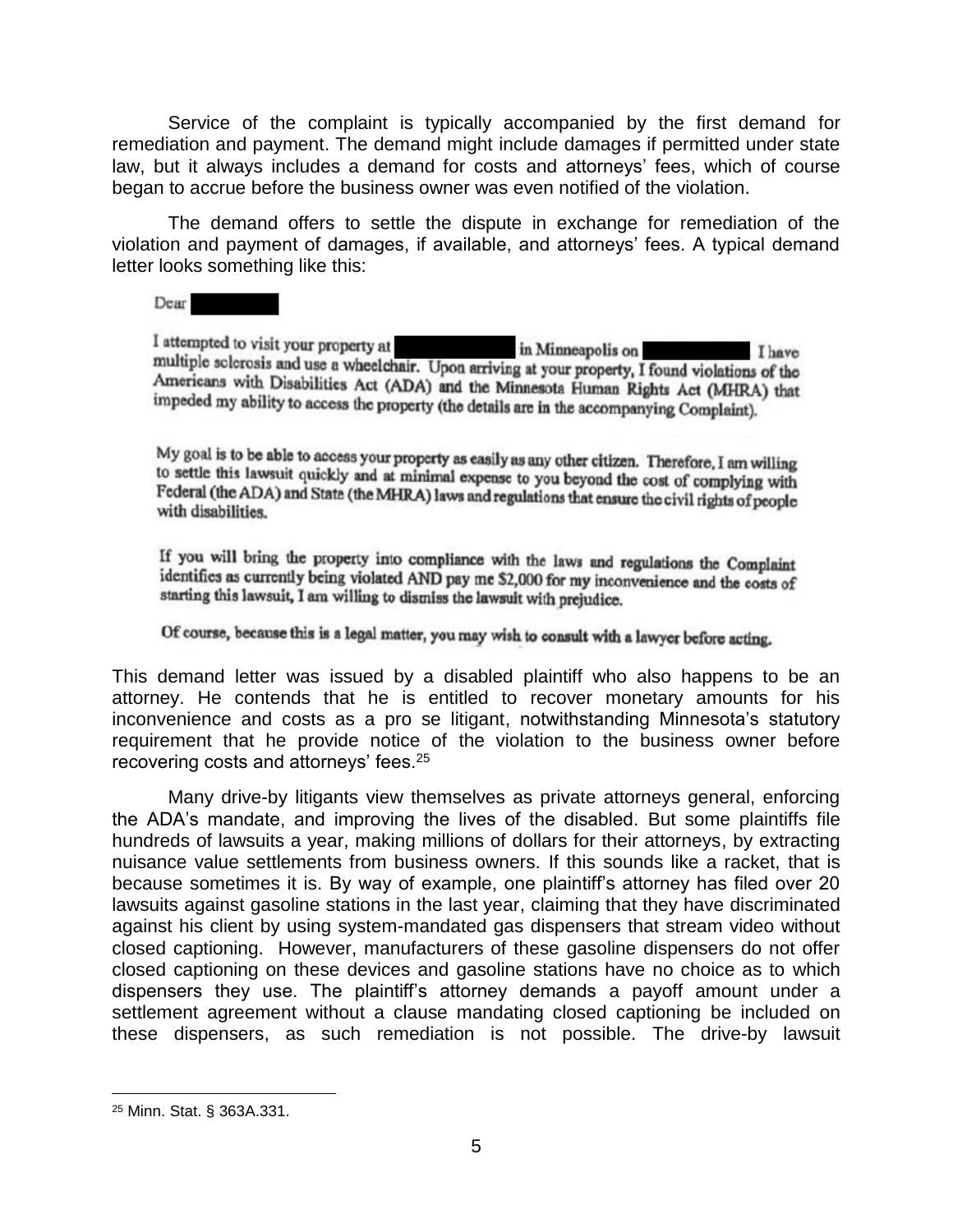Service of the complaint is typically accompanied by the first demand for remediation and payment. The demand might include damages if permitted under state law, but it always includes a demand for costs and attorneys' fees, which of course began to accrue before the business owner was even notified of the violation.

The demand offers to settle the dispute in exchange for remediation of the violation and payment of damages, if available, and attorneys' fees. A typical demand letter looks something like this:

Dear

I attempted to visit your property at in Minneapolis on Ihave multiple sclerosis and use a wheelchair. Upon arriving at your property, I found violations of the Americans with Disabilities Act (ADA) and the Minnesota Human Rights Act (MHRA) that impeded my ability to access the property (the details are in the accompanying Complaint).

My goal is to be able to access your property as easily as any other citizen. Therefore, I am willing to settle this lawsuit quickly and at minimal expense to you beyond the cost of complying with Federal (the ADA) and State (the MHRA) laws and regulations that ensure the civil rights of people<br>with displitition with disabilities.

If you will bring the property into compliance with the laws and regulations the Complaint identifies as currently being violated AND pay me \$2,000 for my inconvenience and the costs of starting this lawsuit, I am willing to dismiss the lawsuit with prejudice.

Of course, because this is a legal matter, you may wish to consult with a lawyer before acting.

This demand letter was issued by a disabled plaintiff who also happens to be an attorney. He contends that he is entitled to recover monetary amounts for his inconvenience and costs as a pro se litigant, notwithstanding Minnesota's statutory requirement that he provide notice of the violation to the business owner before recovering costs and attorneys' fees.<sup>25</sup>

Many drive-by litigants view themselves as private attorneys general, enforcing the ADA's mandate, and improving the lives of the disabled. But some plaintiffs file hundreds of lawsuits a year, making millions of dollars for their attorneys, by extracting nuisance value settlements from business owners. If this sounds like a racket, that is because sometimes it is. By way of example, one plaintiff's attorney has filed over 20 lawsuits against gasoline stations in the last year, claiming that they have discriminated against his client by using system-mandated gas dispensers that stream video without closed captioning. However, manufacturers of these gasoline dispensers do not offer closed captioning on these devices and gasoline stations have no choice as to which dispensers they use. The plaintiff's attorney demands a payoff amount under a settlement agreement without a clause mandating closed captioning be included on these dispensers, as such remediation is not possible. The drive-by lawsuit

<sup>25</sup> Minn. Stat. § 363A.331.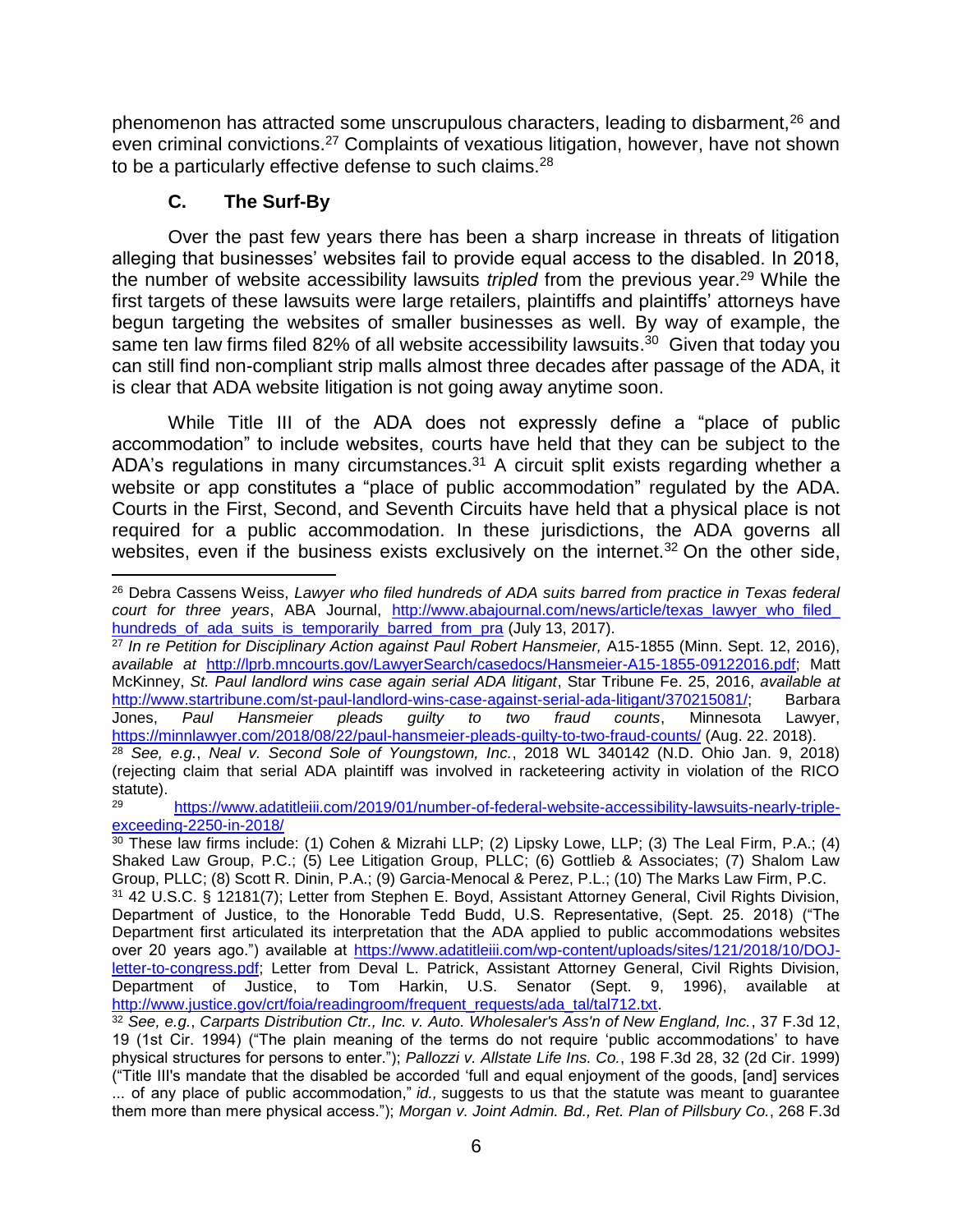phenomenon has attracted some unscrupulous characters, leading to disbarment,<sup>26</sup> and even criminal convictions.<sup>27</sup> Complaints of vexatious litigation, however, have not shown to be a particularly effective defense to such claims.<sup>28</sup>

## **C. The Surf-By**

Over the past few years there has been a sharp increase in threats of litigation alleging that businesses' websites fail to provide equal access to the disabled. In 2018, the number of website accessibility lawsuits *tripled* from the previous year.<sup>29</sup> While the first targets of these lawsuits were large retailers, plaintiffs and plaintiffs' attorneys have begun targeting the websites of smaller businesses as well. By way of example, the same ten law firms filed 82% of all website accessibility lawsuits.<sup>30</sup> Given that today you can still find non-compliant strip malls almost three decades after passage of the ADA, it is clear that ADA website litigation is not going away anytime soon.

While Title III of the ADA does not expressly define a "place of public accommodation" to include websites, courts have held that they can be subject to the ADA's regulations in many circumstances.<sup>31</sup> A circuit split exists regarding whether a website or app constitutes a "place of public accommodation" regulated by the ADA. Courts in the First, Second, and Seventh Circuits have held that a physical place is not required for a public accommodation. In these jurisdictions, the ADA governs all websites, even if the business exists exclusively on the internet.<sup>32</sup> On the other side,

 $\overline{\phantom{a}}$ <sup>26</sup> Debra Cassens Weiss, *Lawyer who filed hundreds of ADA suits barred from practice in Texas federal court for three years*, ABA Journal, [http://www.abajournal.com/news/article/texas\\_lawyer\\_who\\_filed\\_](http://www.abajournal.com/news/article/texas_lawyer_who_filed_%20hundreds_of_ada_suits_is_temporarily_barred_from_pra) hundreds of ada\_suits\_is\_temporarily\_barred\_from\_pra (July 13, 2017).

<sup>27</sup> *In re Petition for Disciplinary Action against Paul Robert Hansmeier,* A15-1855 (Minn. Sept. 12, 2016), *available at* [http://lprb.mncourts.gov/LawyerSearch/casedocs/Hansmeier-A15-1855-09122016.pdf;](http://lprb.mncourts.gov/LawyerSearch/casedocs/Hansmeier-A15-1855-09122016.pdf) Matt McKinney, *St. Paul landlord wins case again serial ADA litigant*, Star Tribune Fe. 25, 2016, *available at* [http://www.startribune.com/st-paul-landlord-wins-case-against-serial-ada-litigant/370215081/;](http://www.startribune.com/st-paul-landlord-wins-case-against-serial-ada-litigant/370215081/) Barbara Jones, *Paul Hansmeier pleads guilty to two fraud counts*, Minnesota Lawyer, <https://minnlawyer.com/2018/08/22/paul-hansmeier-pleads-guilty-to-two-fraud-counts/> (Aug. 22. 2018).

<sup>28</sup> *See, e.g.*, *Neal v. Second Sole of Youngstown, Inc.*, 2018 WL 340142 (N.D. Ohio Jan. 9, 2018) (rejecting claim that serial ADA plaintiff was involved in racketeering activity in violation of the RICO statute).<br><sup>29</sup>

<sup>29</sup> [https://www.adatitleiii.com/2019/01/number-of-federal-website-accessibility-lawsuits-nearly-triple](https://www.adatitleiii.com/2019/01/number-of-federal-website-accessibility-lawsuits-nearly-triple-exceeding-2250-in-2018/)[exceeding-2250-in-2018/](https://www.adatitleiii.com/2019/01/number-of-federal-website-accessibility-lawsuits-nearly-triple-exceeding-2250-in-2018/)

 $30$  These law firms include: (1) Cohen & Mizrahi LLP; (2) Lipsky Lowe, LLP; (3) The Leal Firm, P.A.; (4) Shaked Law Group, P.C.; (5) Lee Litigation Group, PLLC; (6) Gottlieb & Associates; (7) Shalom Law Group, PLLC; (8) Scott R. Dinin, P.A.; (9) Garcia-Menocal & Perez, P.L.; (10) The Marks Law Firm, P.C.

<sup>31</sup> 42 U.S.C. § 12181(7); Letter from Stephen E. Boyd, Assistant Attorney General, Civil Rights Division, Department of Justice, to the Honorable Tedd Budd, U.S. Representative, (Sept. 25. 2018) ("The Department first articulated its interpretation that the ADA applied to public accommodations websites over 20 years ago.") available at [https://www.adatitleiii.com/wp-content/uploads/sites/121/2018/10/DOJ](https://www.adatitleiii.com/wp-content/uploads/sites/121/2018/10/DOJ-letter-to-congress.pdf)[letter-to-congress.pdf;](https://www.adatitleiii.com/wp-content/uploads/sites/121/2018/10/DOJ-letter-to-congress.pdf) Letter from Deval L. Patrick, Assistant Attorney General, Civil Rights Division, Department of Justice, to Tom Harkin, U.S. Senator (Sept. 9, 1996), available at [http://www.justice.gov/crt/foia/readingroom/frequent\\_requests/ada\\_tal/tal712.txt.](http://www.justice.gov/crt/foia/readingroom/frequent_requests/ada_tal/tal712.txt)

<sup>32</sup> *See, e.g.*, *Carparts Distribution Ctr., Inc. v. Auto. Wholesaler's Ass'n of New England, Inc.*, 37 F.3d 12, 19 (1st Cir. 1994) ("The plain meaning of the terms do not require 'public accommodations' to have physical structures for persons to enter."); *Pallozzi v. Allstate Life Ins. Co.*, 198 F.3d 28, 32 (2d Cir. 1999) ("Title III's mandate that the disabled be accorded 'full and equal enjoyment of the goods, [and] services ... of any place of public accommodation," *id.,* suggests to us that the statute was meant to guarantee them more than mere physical access."); *Morgan v. Joint Admin. Bd., Ret. Plan of Pillsbury Co.*, 268 F.3d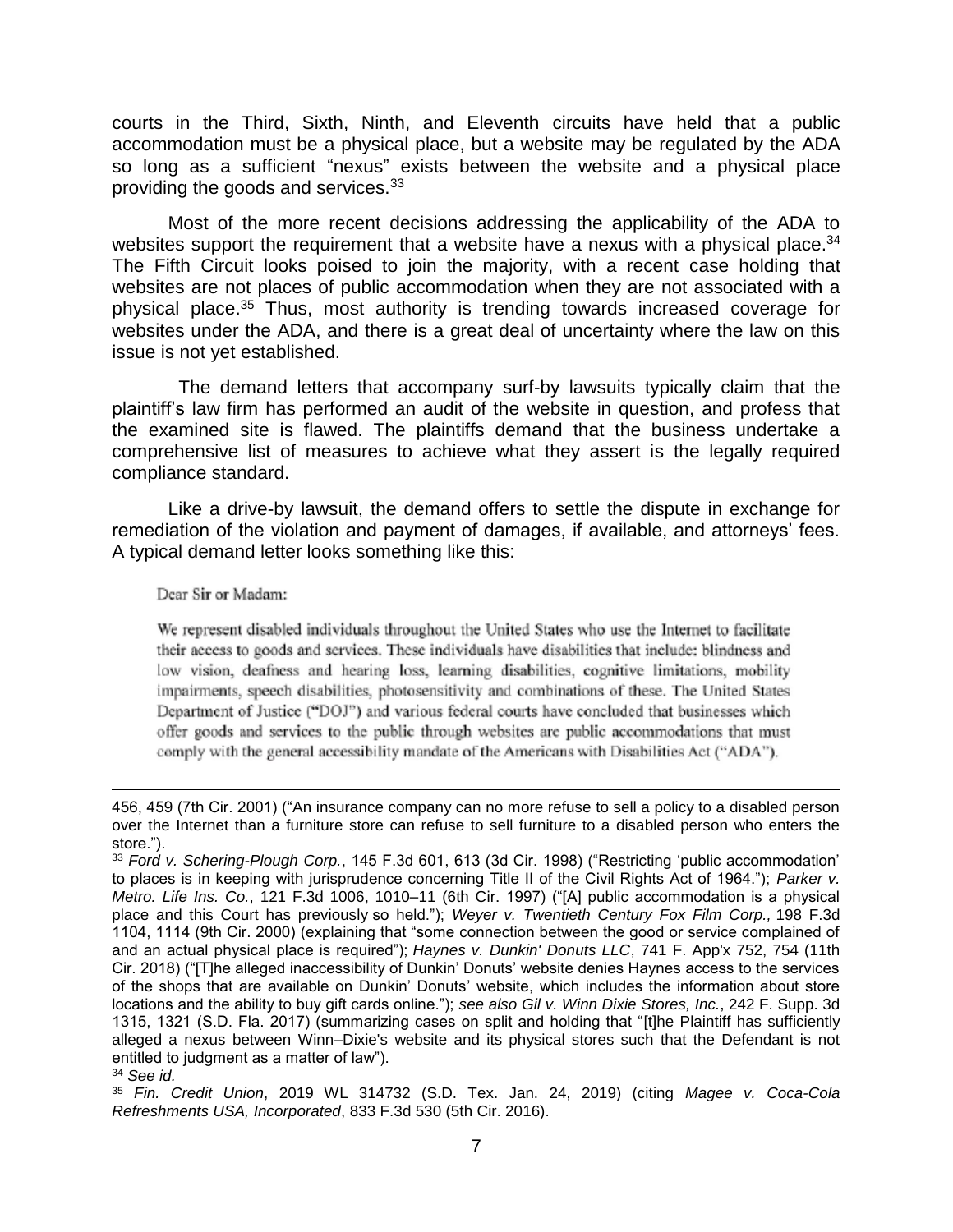courts in the Third, Sixth, Ninth, and Eleventh circuits have held that a public accommodation must be a physical place, but a website may be regulated by the ADA so long as a sufficient "nexus" exists between the website and a physical place providing the goods and services.<sup>33</sup>

Most of the more recent decisions addressing the applicability of the ADA to websites support the requirement that a website have a nexus with a physical place.<sup>34</sup> The Fifth Circuit looks poised to join the majority, with a recent case holding that websites are not places of public accommodation when they are not associated with a physical place. <sup>35</sup> Thus, most authority is trending towards increased coverage for websites under the ADA, and there is a great deal of uncertainty where the law on this issue is not yet established.

 The demand letters that accompany surf-by lawsuits typically claim that the plaintiff's law firm has performed an audit of the website in question, and profess that the examined site is flawed. The plaintiffs demand that the business undertake a comprehensive list of measures to achieve what they assert is the legally required compliance standard.

Like a drive-by lawsuit, the demand offers to settle the dispute in exchange for remediation of the violation and payment of damages, if available, and attorneys' fees. A typical demand letter looks something like this:

#### Dear Sir or Madam:

We represent disabled individuals throughout the United States who use the Internet to facilitate their access to goods and services. These individuals have disabilities that include: blindness and low vision, deafness and hearing loss, learning disabilities, cognitive limitations, mobility impairments, speech disabilities, photosensitivity and combinations of these. The United States Department of Justice ("DOJ") and various federal courts have concluded that businesses which offer goods and services to the public through websites are public accommodations that must comply with the general accessibility mandate of the Americans with Disabilities Act ("ADA").

<sup>456, 459 (7</sup>th Cir. 2001) ("An insurance company can no more refuse to sell a policy to a disabled person over the Internet than a furniture store can refuse to sell furniture to a disabled person who enters the store.").

<sup>33</sup> *Ford v. Schering-Plough Corp.*, 145 F.3d 601, 613 (3d Cir. 1998) ("Restricting 'public accommodation' to places is in keeping with jurisprudence concerning Title II of the Civil Rights Act of 1964."); *Parker v. Metro. Life Ins. Co.*, 121 F.3d 1006, 1010–11 (6th Cir. 1997) ("[A] public accommodation is a physical place and this Court has previously so held."); *Weyer v. Twentieth Century Fox Film Corp.,* 198 F.3d 1104, 1114 (9th Cir. 2000) (explaining that "some connection between the good or service complained of and an actual physical place is required"); *Haynes v. Dunkin' Donuts LLC*, 741 F. App'x 752, 754 (11th Cir. 2018) ("[T]he alleged inaccessibility of Dunkin' Donuts' website denies Haynes access to the services of the shops that are available on Dunkin' Donuts' website, which includes the information about store locations and the ability to buy gift cards online."); *see also Gil v. Winn Dixie Stores, Inc.*, 242 F. Supp. 3d 1315, 1321 (S.D. Fla. 2017) (summarizing cases on split and holding that "[t]he Plaintiff has sufficiently alleged a nexus between Winn–Dixie's website and its physical stores such that the Defendant is not entitled to judgment as a matter of law").

<sup>34</sup> *See id.*

<sup>35</sup> *Fin. Credit Union*, 2019 WL 314732 (S.D. Tex. Jan. 24, 2019) (citing *Magee v. Coca-Cola Refreshments USA, Incorporated*, 833 F.3d 530 (5th Cir. 2016).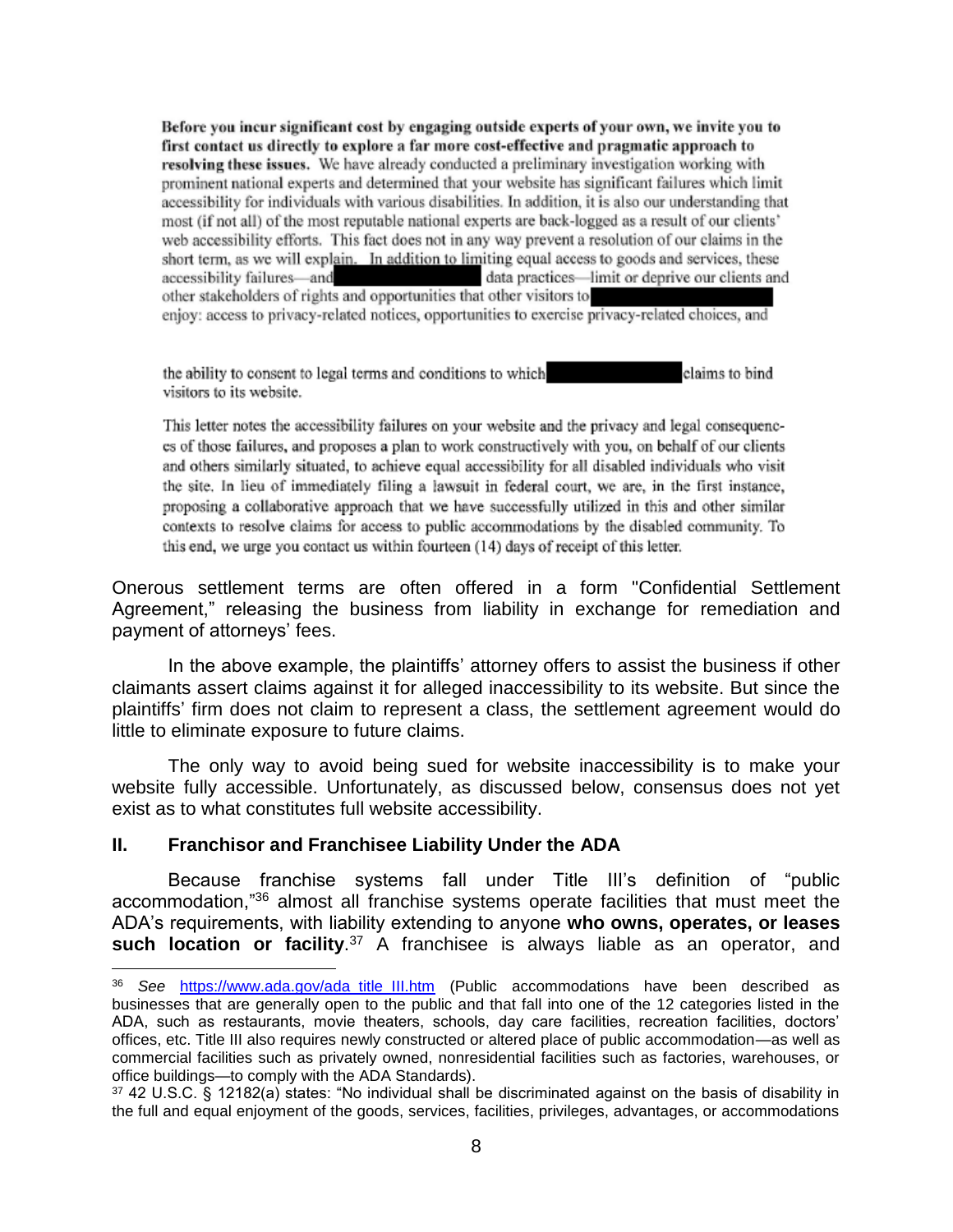Before you incur significant cost by engaging outside experts of your own, we invite you to first contact us directly to explore a far more cost-effective and pragmatic approach to resolving these issues. We have already conducted a preliminary investigation working with prominent national experts and determined that your website has significant failures which limit accessibility for individuals with various disabilities. In addition, it is also our understanding that most (if not all) of the most reputable national experts are back-logged as a result of our clients' web accessibility efforts. This fact does not in any way prevent a resolution of our claims in the short term, as we will explain. In addition to limiting equal access to goods and services, these accessibility failures-and data practices-limit or deprive our clients and other stakeholders of rights and opportunities that other visitors to enjoy: access to privacy-related notices, opportunities to exercise privacy-related choices, and

the ability to consent to legal terms and conditions to which claims to bind visitors to its website.

This letter notes the accessibility failures on your website and the privacy and legal consequences of those failures, and proposes a plan to work constructively with you, on behalf of our clients and others similarly situated, to achieve equal accessibility for all disabled individuals who visit the site. In lieu of immediately filing a lawsuit in federal court, we are, in the first instance, proposing a collaborative approach that we have successfully utilized in this and other similar contexts to resolve claims for access to public accommodations by the disabled community. To this end, we urge you contact us within fourteen (14) days of receipt of this letter.

Onerous settlement terms are often offered in a form "Confidential Settlement Agreement," releasing the business from liability in exchange for remediation and payment of attorneys' fees.

In the above example, the plaintiffs' attorney offers to assist the business if other claimants assert claims against it for alleged inaccessibility to its website. But since the plaintiffs' firm does not claim to represent a class, the settlement agreement would do little to eliminate exposure to future claims.

The only way to avoid being sued for website inaccessibility is to make your website fully accessible. Unfortunately, as discussed below, consensus does not yet exist as to what constitutes full website accessibility.

#### **II. Franchisor and Franchisee Liability Under the ADA**

 $\overline{a}$ 

Because franchise systems fall under Title III's definition of "public accommodation,"<sup>36</sup> almost all franchise systems operate facilities that must meet the ADA's requirements, with liability extending to anyone **who owns, operates, or leases such location or facility**. <sup>37</sup> A franchisee is always liable as an operator, and

<sup>36</sup> *See* [https://www.ada.gov/ada\\_title\\_III.htm](https://www.ada.gov/ada_title_III.htm) (Public accommodations have been described as businesses that are generally open to the public and that fall into one of the 12 categories listed in the ADA, such as restaurants, movie theaters, schools, day care facilities, recreation facilities, doctors' offices, etc. Title III also requires newly constructed or altered place of public accommodation—as well as commercial facilities such as privately owned, nonresidential facilities such as factories, warehouses, or office buildings—to comply with the ADA Standards).

<sup>37</sup> 42 U.S.C. § 12182(a) states: "No individual shall be discriminated against on the basis of disability in the full and equal enjoyment of the goods, services, facilities, privileges, advantages, or accommodations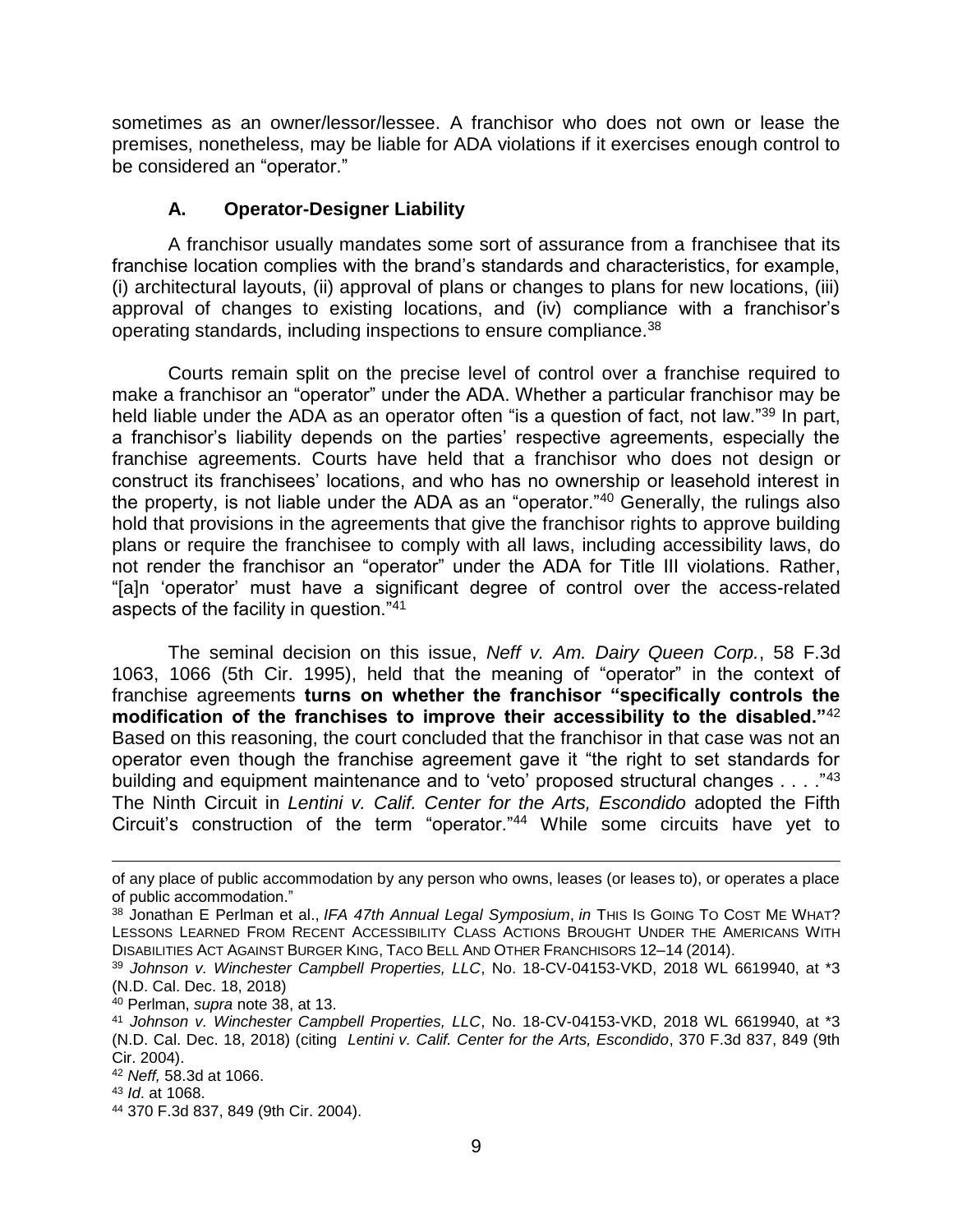sometimes as an owner/lessor/lessee. A franchisor who does not own or lease the premises, nonetheless, may be liable for ADA violations if it exercises enough control to be considered an "operator."

#### **A. Operator-Designer Liability**

A franchisor usually mandates some sort of assurance from a franchisee that its franchise location complies with the brand's standards and characteristics, for example, (i) architectural layouts, (ii) approval of plans or changes to plans for new locations, (iii) approval of changes to existing locations, and (iv) compliance with a franchisor's operating standards, including inspections to ensure compliance.<sup>38</sup>

Courts remain split on the precise level of control over a franchise required to make a franchisor an "operator" under the ADA. Whether a particular franchisor may be held liable under the ADA as an operator often "is a question of fact, not law."<sup>39</sup> In part, a franchisor's liability depends on the parties' respective agreements, especially the franchise agreements. Courts have held that a franchisor who does not design or construct its franchisees' locations, and who has no ownership or leasehold interest in the property, is not liable under the ADA as an "operator."<sup>40</sup> Generally, the rulings also hold that provisions in the agreements that give the franchisor rights to approve building plans or require the franchisee to comply with all laws, including accessibility laws, do not render the franchisor an "operator" under the ADA for Title III violations. Rather, "[a]n 'operator' must have a significant degree of control over the access-related aspects of the facility in question."<sup>41</sup>

The seminal decision on this issue, *Neff v. Am. Dairy Queen Corp.*, 58 F.3d 1063, 1066 (5th Cir. 1995), held that the meaning of "operator" in the context of franchise agreements **turns on whether the franchisor "specifically controls the modification of the franchises to improve their accessibility to the disabled."**<sup>42</sup> Based on this reasoning, the court concluded that the franchisor in that case was not an operator even though the franchise agreement gave it "the right to set standards for building and equipment maintenance and to 'veto' proposed structural changes . . . . "43 The Ninth Circuit in *Lentini v. Calif. Center for the Arts, Escondido* adopted the Fifth Circuit's construction of the term "operator."<sup>44</sup> While some circuits have yet to

 $\overline{a}$ 

of any place of public accommodation by any person who owns, leases (or leases to), or operates a place of public accommodation."

<sup>38</sup> Jonathan E Perlman et al., *IFA 47th Annual Legal Symposium*, *in* THIS IS GOING TO COST ME WHAT? LESSONS LEARNED FROM RECENT ACCESSIBILITY CLASS ACTIONS BROUGHT UNDER THE AMERICANS WITH DISABILITIES ACT AGAINST BURGER KING, TACO BELL AND OTHER FRANCHISORS 12–14 (2014).

<sup>39</sup> *Johnson v. Winchester Campbell Properties, LLC*, No. 18-CV-04153-VKD, 2018 WL 6619940, at \*3 (N.D. Cal. Dec. 18, 2018)

<sup>40</sup> Perlman, *supra* note 38, at 13.

<sup>41</sup> *Johnson v. Winchester Campbell Properties, LLC*, No. 18-CV-04153-VKD, 2018 WL 6619940, at \*3 (N.D. Cal. Dec. 18, 2018) (citing *Lentini v. Calif. Center for the Arts, Escondido*, 370 F.3d 837, 849 (9th Cir. 2004).

<sup>42</sup> *Neff,* 58.3d at 1066.

<sup>43</sup> *Id*. at 1068.

<sup>44</sup> 370 F.3d 837, 849 (9th Cir. 2004).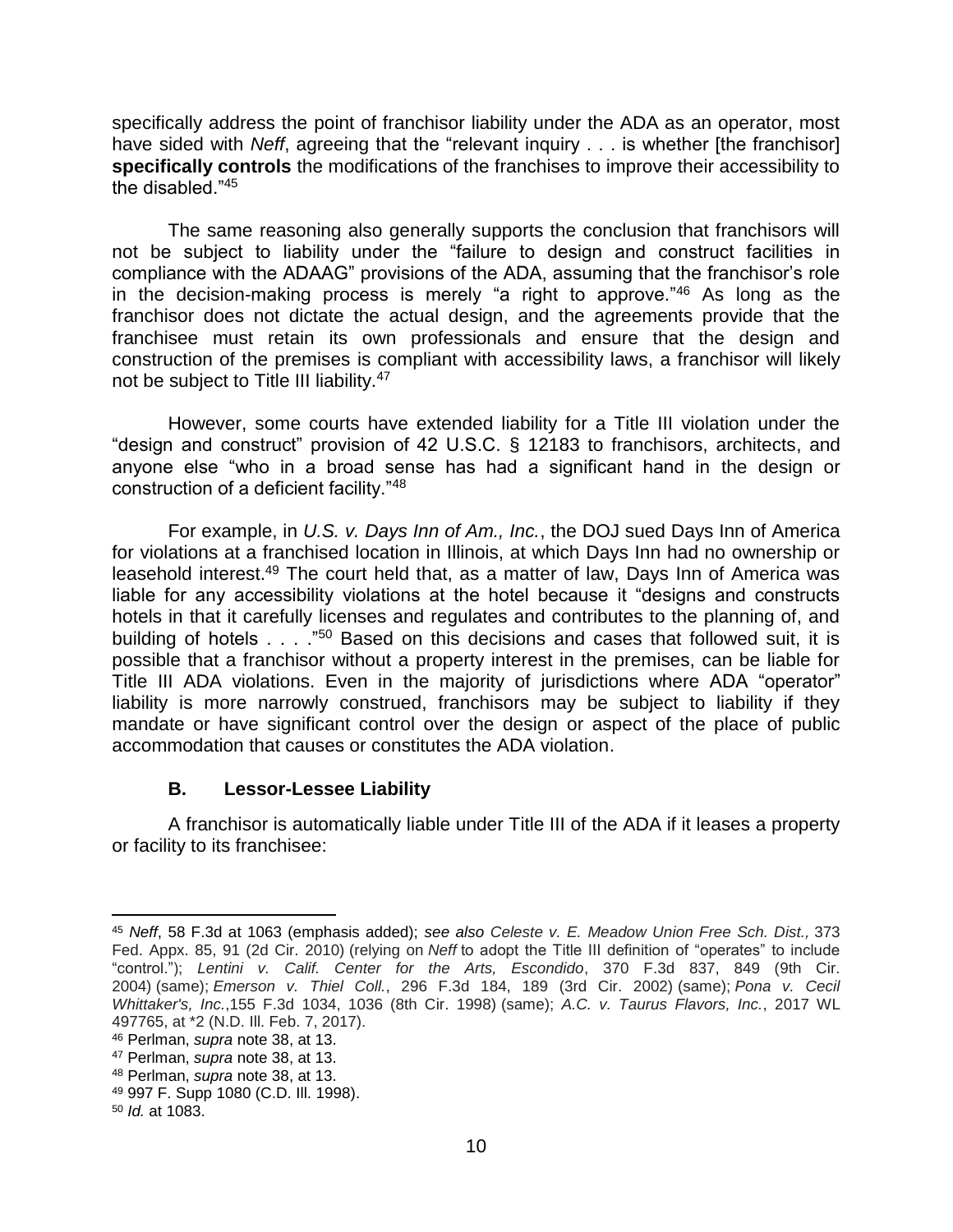specifically address the point of franchisor liability under the ADA as an operator, most have sided with *Neff*, agreeing that the "relevant inquiry . . . is whether [the franchisor] **specifically controls** the modifications of the franchises to improve their accessibility to the disabled  $"45"$ 

The same reasoning also generally supports the conclusion that franchisors will not be subject to liability under the "failure to design and construct facilities in compliance with the ADAAG" provisions of the ADA, assuming that the franchisor's role in the decision-making process is merely "a right to approve."<sup>46</sup> As long as the franchisor does not dictate the actual design, and the agreements provide that the franchisee must retain its own professionals and ensure that the design and construction of the premises is compliant with accessibility laws, a franchisor will likely not be subject to Title III liability.<sup>47</sup>

However, some courts have extended liability for a Title III violation under the "design and construct" provision of 42 U.S.C. § 12183 to franchisors, architects, and anyone else "who in a broad sense has had a significant hand in the design or construction of a deficient facility."<sup>48</sup>

For example, in *U.S. v. Days Inn of Am., Inc.*, the DOJ sued Days Inn of America for violations at a franchised location in Illinois, at which Days Inn had no ownership or leasehold interest.<sup>49</sup> The court held that, as a matter of law, Days Inn of America was liable for any accessibility violations at the hotel because it "designs and constructs hotels in that it carefully licenses and regulates and contributes to the planning of, and building of hotels . . . . "<sup>50</sup> Based on this decisions and cases that followed suit, it is possible that a franchisor without a property interest in the premises, can be liable for Title III ADA violations. Even in the majority of jurisdictions where ADA "operator" liability is more narrowly construed, franchisors may be subject to liability if they mandate or have significant control over the design or aspect of the place of public accommodation that causes or constitutes the ADA violation.

#### **B. Lessor-Lessee Liability**

A franchisor is automatically liable under Title III of the ADA if it leases a property or facility to its franchisee:

l <sup>45</sup> *Neff*, 58 F.3d at 1063 (emphasis added); *see also [Celeste v. E. Meadow Union Free Sch. Dist.,](https://1.next.westlaw.com/Link/Document/FullText?findType=Y&serNum=2021801007&pubNum=0006538&originatingDoc=I580c4b70edf511e6b28da5a53aeba485&refType=RP&fi=co_pp_sp_6538_91&originationContext=document&transitionType=DocumentItem&contextData=(sc.Folder*cid.a65df0ac4cd647e996f7aba37da56683*oc.Keycite)#co_pp_sp_6538_91)* 373 [Fed. Appx. 85, 91 \(2d Cir. 2010\)](https://1.next.westlaw.com/Link/Document/FullText?findType=Y&serNum=2021801007&pubNum=0006538&originatingDoc=I580c4b70edf511e6b28da5a53aeba485&refType=RP&fi=co_pp_sp_6538_91&originationContext=document&transitionType=DocumentItem&contextData=(sc.Folder*cid.a65df0ac4cd647e996f7aba37da56683*oc.Keycite)#co_pp_sp_6538_91) (relying on *Neff* to adopt the Title III definition of "operates" to include "control."); *[Lentini v. Calif. Center for the Arts, Escondido](https://1.next.westlaw.com/Link/Document/FullText?findType=Y&serNum=2004516854&pubNum=0000506&originatingDoc=I580c4b70edf511e6b28da5a53aeba485&refType=RP&fi=co_pp_sp_506_849&originationContext=document&transitionType=DocumentItem&contextData=(sc.Folder*cid.a65df0ac4cd647e996f7aba37da56683*oc.Keycite)#co_pp_sp_506_849)*, 370 F.3d 837, 849 (9th Cir. [2004\)](https://1.next.westlaw.com/Link/Document/FullText?findType=Y&serNum=2004516854&pubNum=0000506&originatingDoc=I580c4b70edf511e6b28da5a53aeba485&refType=RP&fi=co_pp_sp_506_849&originationContext=document&transitionType=DocumentItem&contextData=(sc.Folder*cid.a65df0ac4cd647e996f7aba37da56683*oc.Keycite)#co_pp_sp_506_849) (same); *Emerson v. Thiel Coll.*[, 296 F.3d 184, 189 \(3rd Cir. 2002\)](https://1.next.westlaw.com/Link/Document/FullText?findType=Y&serNum=2002429136&pubNum=0000506&originatingDoc=I580c4b70edf511e6b28da5a53aeba485&refType=RP&fi=co_pp_sp_506_189&originationContext=document&transitionType=DocumentItem&contextData=(sc.Folder*cid.a65df0ac4cd647e996f7aba37da56683*oc.Keycite)#co_pp_sp_506_189) (same); *[Pona v. Cecil](https://1.next.westlaw.com/Link/Document/FullText?findType=Y&serNum=1998193297&pubNum=0000506&originatingDoc=I580c4b70edf511e6b28da5a53aeba485&refType=RP&fi=co_pp_sp_506_1036&originationContext=document&transitionType=DocumentItem&contextData=(sc.Folder*cid.a65df0ac4cd647e996f7aba37da56683*oc.Keycite)#co_pp_sp_506_1036)  Whittaker's, Inc.*[,155 F.3d 1034, 1036 \(8th Cir. 1998\)](https://1.next.westlaw.com/Link/Document/FullText?findType=Y&serNum=1998193297&pubNum=0000506&originatingDoc=I580c4b70edf511e6b28da5a53aeba485&refType=RP&fi=co_pp_sp_506_1036&originationContext=document&transitionType=DocumentItem&contextData=(sc.Folder*cid.a65df0ac4cd647e996f7aba37da56683*oc.Keycite)#co_pp_sp_506_1036) (same); *A.C. v. Taurus Flavors, Inc.*, 2017 WL 497765, at \*2 (N.D. Ill. Feb. 7, 2017).

<sup>46</sup> Perlman, *supra* note 38, at 13.

<sup>47</sup> Perlman, *supra* note 38, at 13.

<sup>48</sup> Perlman, *supra* note 38, at 13.

<sup>49</sup> 997 F. Supp 1080 (C.D. Ill. 1998).

<sup>50</sup> *Id.* at 1083.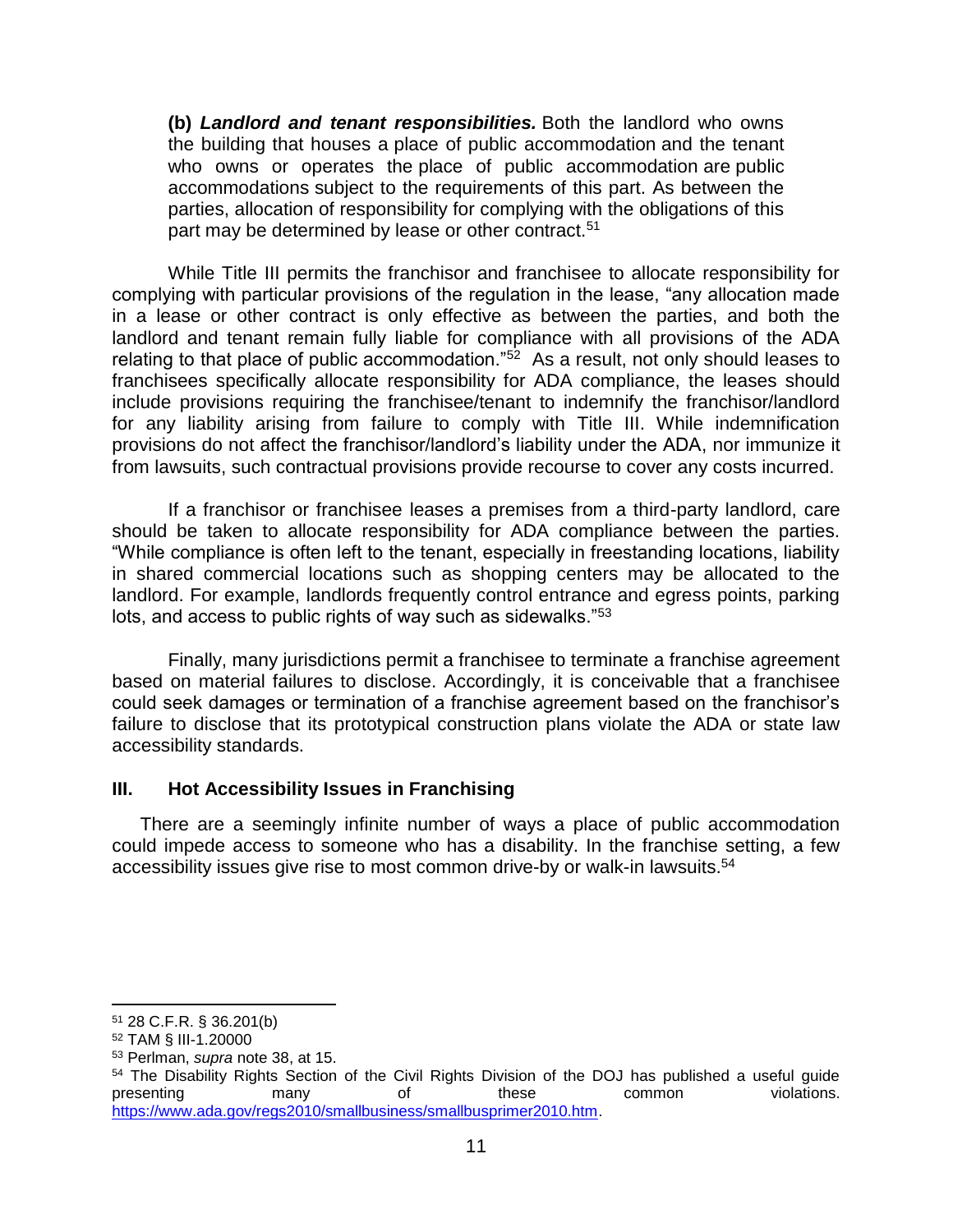**(b)** *Landlord and tenant responsibilities.* Both the landlord who owns the building that houses a place of public accommodation and the tenant who owns or operates the place of public accommodation are public accommodations subject to the requirements of this part. As between the parties, allocation of responsibility for complying with the obligations of this part may be determined by lease or other contract.<sup>51</sup>

While Title III permits the franchisor and franchisee to allocate responsibility for complying with particular provisions of the regulation in the lease, "any allocation made in a lease or other contract is only effective as between the parties, and both the landlord and tenant remain fully liable for compliance with all provisions of the ADA relating to that place of public accommodation."<sup>52</sup> As a result, not only should leases to franchisees specifically allocate responsibility for ADA compliance, the leases should include provisions requiring the franchisee/tenant to indemnify the franchisor/landlord for any liability arising from failure to comply with Title III. While indemnification provisions do not affect the franchisor/landlord's liability under the ADA, nor immunize it from lawsuits, such contractual provisions provide recourse to cover any costs incurred.

If a franchisor or franchisee leases a premises from a third-party landlord, care should be taken to allocate responsibility for ADA compliance between the parties. "While compliance is often left to the tenant, especially in freestanding locations, liability in shared commercial locations such as shopping centers may be allocated to the landlord. For example, landlords frequently control entrance and egress points, parking lots, and access to public rights of way such as sidewalks."<sup>53</sup>

Finally, many jurisdictions permit a franchisee to terminate a franchise agreement based on material failures to disclose. Accordingly, it is conceivable that a franchisee could seek damages or termination of a franchise agreement based on the franchisor's failure to disclose that its prototypical construction plans violate the ADA or state law accessibility standards.

#### **III. Hot Accessibility Issues in Franchising**

There are a seemingly infinite number of ways a place of public accommodation could impede access to someone who has a disability. In the franchise setting, a few accessibility issues give rise to most common drive-by or walk-in lawsuits.<sup>54</sup>

<sup>51</sup> 28 C.F.R. § 36.201(b)

<sup>52</sup> TAM § III-1.20000

<sup>53</sup> Perlman, *supra* note 38, at 15.

<sup>54</sup> The Disability Rights Section of the Civil Rights Division of the DOJ has published a useful guide presenting many of these common violations. [https://www.ada.gov/regs2010/smallbusiness/smallbusprimer2010.htm.](https://www.ada.gov/regs2010/smallbusiness/smallbusprimer2010.htm)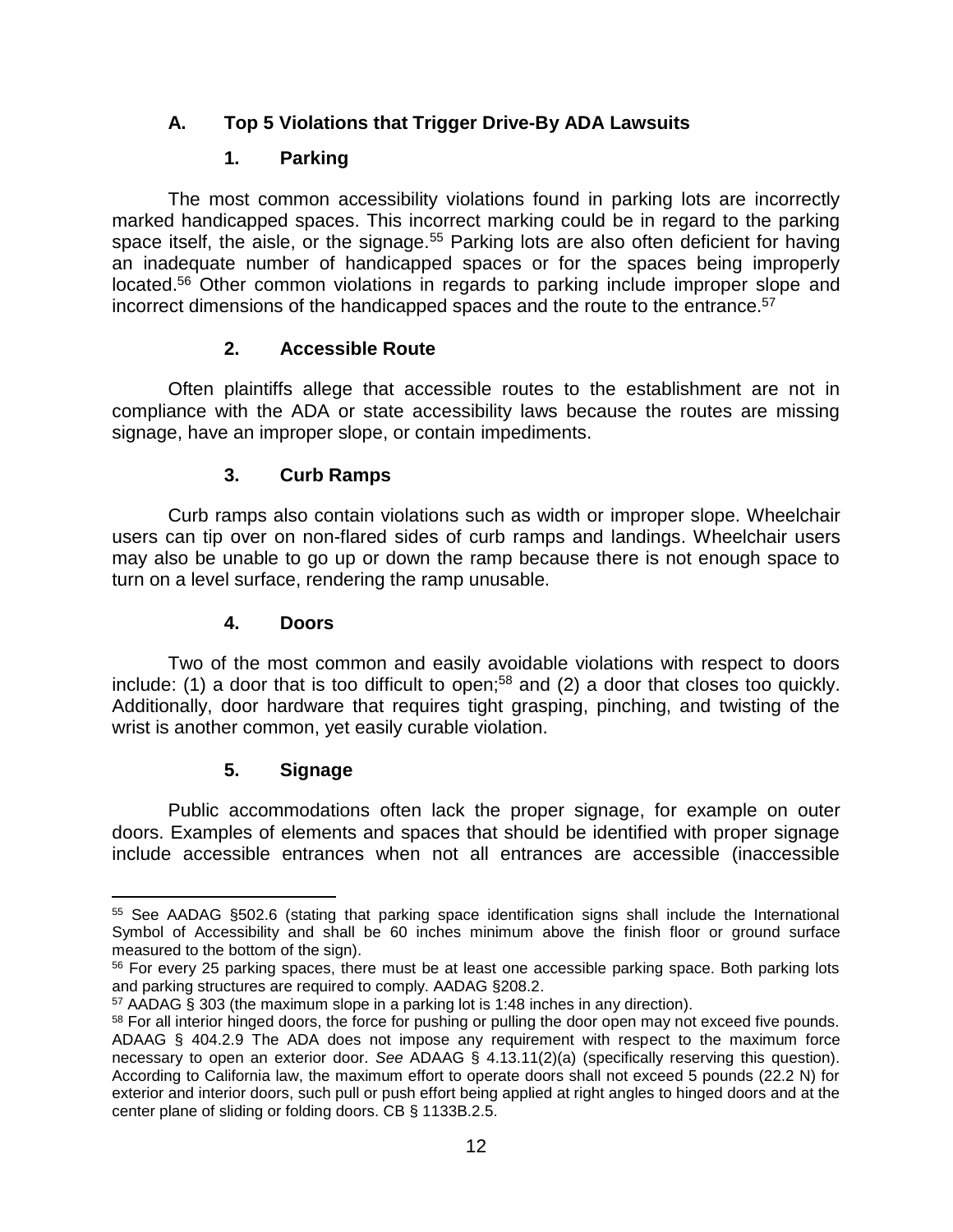# **A. Top 5 Violations that Trigger Drive-By ADA Lawsuits**

## **1. Parking**

The most common accessibility violations found in parking lots are incorrectly marked handicapped spaces. This incorrect marking could be in regard to the parking space itself, the aisle, or the signage.<sup>55</sup> Parking lots are also often deficient for having an inadequate number of handicapped spaces or for the spaces being improperly located.<sup>56</sup> Other common violations in regards to parking include improper slope and incorrect dimensions of the handicapped spaces and the route to the entrance.<sup>57</sup>

## **2. Accessible Route**

Often plaintiffs allege that accessible routes to the establishment are not in compliance with the ADA or state accessibility laws because the routes are missing signage, have an improper slope, or contain impediments.

## **3. Curb Ramps**

Curb ramps also contain violations such as width or improper slope. Wheelchair users can tip over on non-flared sides of curb ramps and landings. Wheelchair users may also be unable to go up or down the ramp because there is not enough space to turn on a level surface, rendering the ramp unusable.

#### **4. Doors**

Two of the most common and easily avoidable violations with respect to doors include: (1) a door that is too difficult to open:<sup>58</sup> and (2) a door that closes too quickly. Additionally, door hardware that requires tight grasping, pinching, and twisting of the wrist is another common, yet easily curable violation.

## **5. Signage**

 $\overline{\phantom{a}}$ 

Public accommodations often lack the proper signage, for example on outer doors. Examples of elements and spaces that should be identified with proper signage include accessible entrances when not all entrances are accessible (inaccessible

<sup>55</sup> See AADAG §502.6 (stating that parking space identification signs shall include the International Symbol of Accessibility and shall be 60 inches minimum above the finish floor or ground surface measured to the bottom of the sign).

<sup>&</sup>lt;sup>56</sup> For every 25 parking spaces, there must be at least one accessible parking space. Both parking lots and parking structures are required to comply. AADAG §208.2.

<sup>57</sup> AADAG § 303 (the maximum slope in a parking lot is 1:48 inches in any direction).

<sup>&</sup>lt;sup>58</sup> For all interior hinged doors, the force for pushing or pulling the door open may not exceed five pounds. ADAAG § 404.2.9 The ADA does not impose any requirement with respect to the maximum force necessary to open an exterior door. *See* ADAAG § 4.13.11(2)(a) (specifically reserving this question). According to California law, the maximum effort to operate doors shall not exceed 5 pounds (22.2 N) for exterior and interior doors, such pull or push effort being applied at right angles to hinged doors and at the center plane of sliding or folding doors. CB § 1133B.2.5.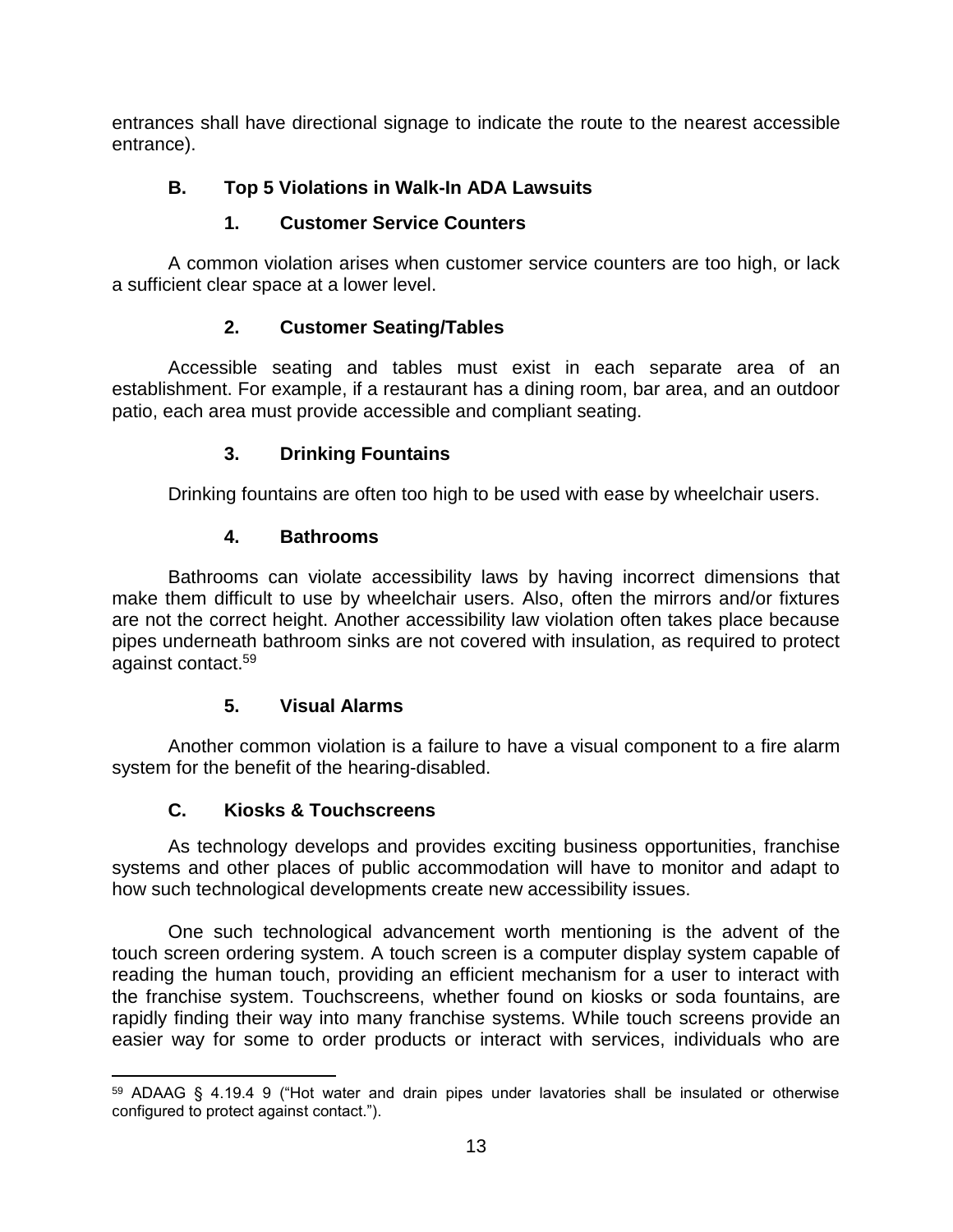entrances shall have directional signage to indicate the route to the nearest accessible entrance).

# **B. Top 5 Violations in Walk-In ADA Lawsuits**

# **1. Customer Service Counters**

A common violation arises when customer service counters are too high, or lack a sufficient clear space at a lower level.

# **2. Customer Seating/Tables**

Accessible seating and tables must exist in each separate area of an establishment. For example, if a restaurant has a dining room, bar area, and an outdoor patio, each area must provide accessible and compliant seating.

# **3. Drinking Fountains**

Drinking fountains are often too high to be used with ease by wheelchair users.

# **4. Bathrooms**

Bathrooms can violate accessibility laws by having incorrect dimensions that make them difficult to use by wheelchair users. Also, often the mirrors and/or fixtures are not the correct height. Another accessibility law violation often takes place because pipes underneath bathroom sinks are not covered with insulation, as required to protect against contact.<sup>59</sup>

# **5. Visual Alarms**

Another common violation is a failure to have a visual component to a fire alarm system for the benefit of the hearing-disabled.

# **C. Kiosks & Touchscreens**

As technology develops and provides exciting business opportunities, franchise systems and other places of public accommodation will have to monitor and adapt to how such technological developments create new accessibility issues.

One such technological advancement worth mentioning is the advent of the touch screen ordering system. A touch screen is a computer display system capable of reading the human touch, providing an efficient mechanism for a user to interact with the franchise system. Touchscreens, whether found on kiosks or soda fountains, are rapidly finding their way into many franchise systems. While touch screens provide an easier way for some to order products or interact with services, individuals who are

 $\overline{a}$ <sup>59</sup> ADAAG § 4.19.4 9 ("Hot water and drain pipes under lavatories shall be insulated or otherwise configured to protect against contact.").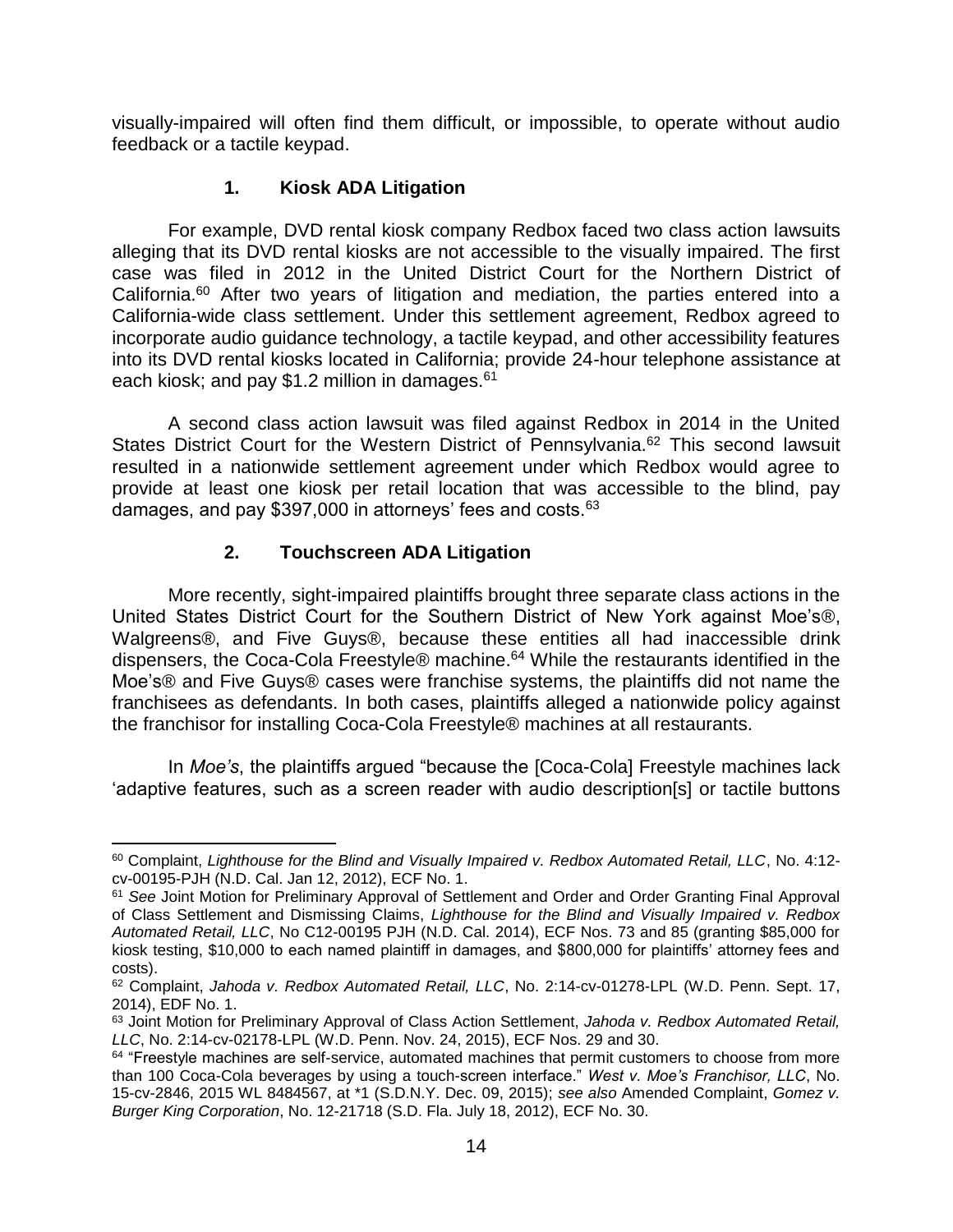visually-impaired will often find them difficult, or impossible, to operate without audio feedback or a tactile keypad.

#### **1. Kiosk ADA Litigation**

For example, DVD rental kiosk company Redbox faced two class action lawsuits alleging that its DVD rental kiosks are not accessible to the visually impaired. The first case was filed in 2012 in the United District Court for the Northern District of California.<sup>60</sup> After two years of litigation and mediation, the parties entered into a California-wide class settlement. Under this settlement agreement, Redbox agreed to incorporate audio guidance technology, a tactile keypad, and other accessibility features into its DVD rental kiosks located in California; provide 24-hour telephone assistance at each kiosk; and pay \$1.2 million in damages. $61$ 

A second class action lawsuit was filed against Redbox in 2014 in the United States District Court for the Western District of Pennsylvania.<sup>62</sup> This second lawsuit resulted in a nationwide settlement agreement under which Redbox would agree to provide at least one kiosk per retail location that was accessible to the blind, pay damages, and pay \$397,000 in attorneys' fees and costs.<sup>63</sup>

## **2. Touchscreen ADA Litigation**

More recently, sight-impaired plaintiffs brought three separate class actions in the United States District Court for the Southern District of New York against Moe's®, Walgreens®, and Five Guys®, because these entities all had inaccessible drink dispensers, the Coca-Cola Freestyle® machine.<sup>64</sup> While the restaurants identified in the Moe's® and Five Guys® cases were franchise systems, the plaintiffs did not name the franchisees as defendants. In both cases, plaintiffs alleged a nationwide policy against the franchisor for installing Coca-Cola Freestyle® machines at all restaurants.

In *Moe's*, the plaintiffs argued "because the [Coca-Cola] Freestyle machines lack 'adaptive features, such as a screen reader with audio description[s] or tactile buttons

 $\overline{\phantom{a}}$ <sup>60</sup> Complaint, *Lighthouse for the Blind and Visually Impaired v. Redbox Automated Retail, LLC*, No. 4:12 cv-00195-PJH (N.D. Cal. Jan 12, 2012), ECF No. 1.

<sup>61</sup> *See* Joint Motion for Preliminary Approval of Settlement and Order and Order Granting Final Approval of Class Settlement and Dismissing Claims, *Lighthouse for the Blind and Visually Impaired v. Redbox Automated Retail, LLC*, No C12-00195 PJH (N.D. Cal. 2014), ECF Nos. 73 and 85 (granting \$85,000 for kiosk testing, \$10,000 to each named plaintiff in damages, and \$800,000 for plaintiffs' attorney fees and costs).

<sup>62</sup> Complaint, *Jahoda v. Redbox Automated Retail, LLC*, No. 2:14-cv-01278-LPL (W.D. Penn. Sept. 17, 2014), EDF No. 1.

<sup>63</sup> Joint Motion for Preliminary Approval of Class Action Settlement, *Jahoda v. Redbox Automated Retail, LLC*, No. 2:14-cv-02178-LPL (W.D. Penn. Nov. 24, 2015), ECF Nos. 29 and 30.

<sup>&</sup>lt;sup>64</sup> "Freestyle machines are self-service, automated machines that permit customers to choose from more than 100 Coca-Cola beverages by using a touch-screen interface." *West v. Moe's Franchisor, LLC*, No. 15-cv-2846, 2015 WL 8484567, at \*1 (S.D.N.Y. Dec. 09, 2015); *see also* Amended Complaint, *Gomez v. Burger King Corporation*, No. 12-21718 (S.D. Fla. July 18, 2012), ECF No. 30.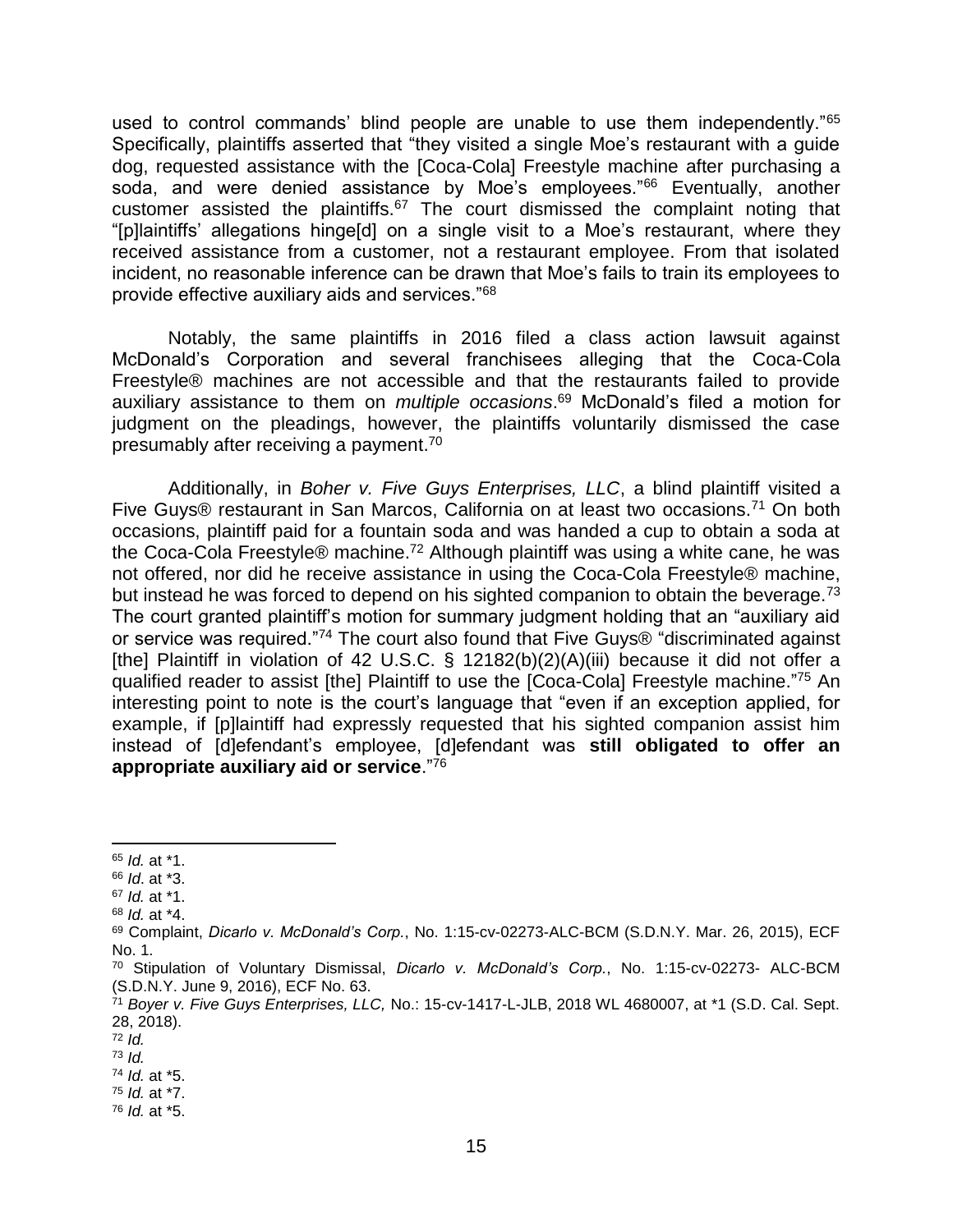used to control commands' blind people are unable to use them independently."<sup>65</sup> Specifically, plaintiffs asserted that "they visited a single Moe's restaurant with a guide dog, requested assistance with the [Coca-Cola] Freestyle machine after purchasing a soda, and were denied assistance by Moe's employees."<sup>66</sup> Eventually, another customer assisted the plaintiffs.<sup>67</sup> The court dismissed the complaint noting that "[p]laintiffs' allegations hinge[d] on a single visit to a Moe's restaurant, where they received assistance from a customer, not a restaurant employee. From that isolated incident, no reasonable inference can be drawn that Moe's fails to train its employees to provide effective auxiliary aids and services."<sup>68</sup>

Notably, the same plaintiffs in 2016 filed a class action lawsuit against McDonald's Corporation and several franchisees alleging that the Coca-Cola Freestyle® machines are not accessible and that the restaurants failed to provide auxiliary assistance to them on *multiple occasions*. <sup>69</sup> McDonald's filed a motion for judgment on the pleadings, however, the plaintiffs voluntarily dismissed the case presumably after receiving a payment.<sup>70</sup>

Additionally, in *Boher v. Five Guys Enterprises, LLC*, a blind plaintiff visited a Five Guys® restaurant in San Marcos, California on at least two occasions.<sup>71</sup> On both occasions, plaintiff paid for a fountain soda and was handed a cup to obtain a soda at the Coca-Cola Freestyle® machine.<sup>72</sup> Although plaintiff was using a white cane, he was not offered, nor did he receive assistance in using the Coca-Cola Freestyle® machine, but instead he was forced to depend on his sighted companion to obtain the beverage.<sup>73</sup> The court granted plaintiff's motion for summary judgment holding that an "auxiliary aid or service was required."<sup>74</sup> The court also found that Five Guys® "discriminated against [the] Plaintiff in violation of 42 U.S.C. § 12182(b)(2)(A)(iii) because it did not offer a qualified reader to assist [the] Plaintiff to use the [Coca-Cola] Freestyle machine."<sup>75</sup> An interesting point to note is the court's language that "even if an exception applied, for example, if [p]laintiff had expressly requested that his sighted companion assist him instead of [d]efendant's employee, [d]efendant was **still obligated to offer an appropriate auxiliary aid or service**."<sup>76</sup>

 $\overline{\phantom{a}}$ <sup>65</sup> *Id.* at \*1.

<sup>66</sup> *Id*. at \*3.

<sup>67</sup> *Id.* at \*1.

<sup>68</sup> *Id.* at \*4.

<sup>69</sup> Complaint, *Dicarlo v. McDonald's Corp.*, No. 1:15-cv-02273-ALC-BCM (S.D.N.Y. Mar. 26, 2015), ECF No. 1.

<sup>70</sup> Stipulation of Voluntary Dismissal, *Dicarlo v. McDonald's Corp.*, No. 1:15-cv-02273- ALC-BCM (S.D.N.Y. June 9, 2016), ECF No. 63.

<sup>71</sup> *Boyer v. Five Guys Enterprises, LLC,* No.: 15-cv-1417-L-JLB, 2018 WL 4680007, at \*1 (S.D. Cal. Sept. 28, 2018).

<sup>72</sup> *Id.*

<sup>73</sup> *Id.*

<sup>74</sup> *Id.* at \*5. <sup>75</sup> *Id.* at \*7.

<sup>76</sup> *Id.* at \*5.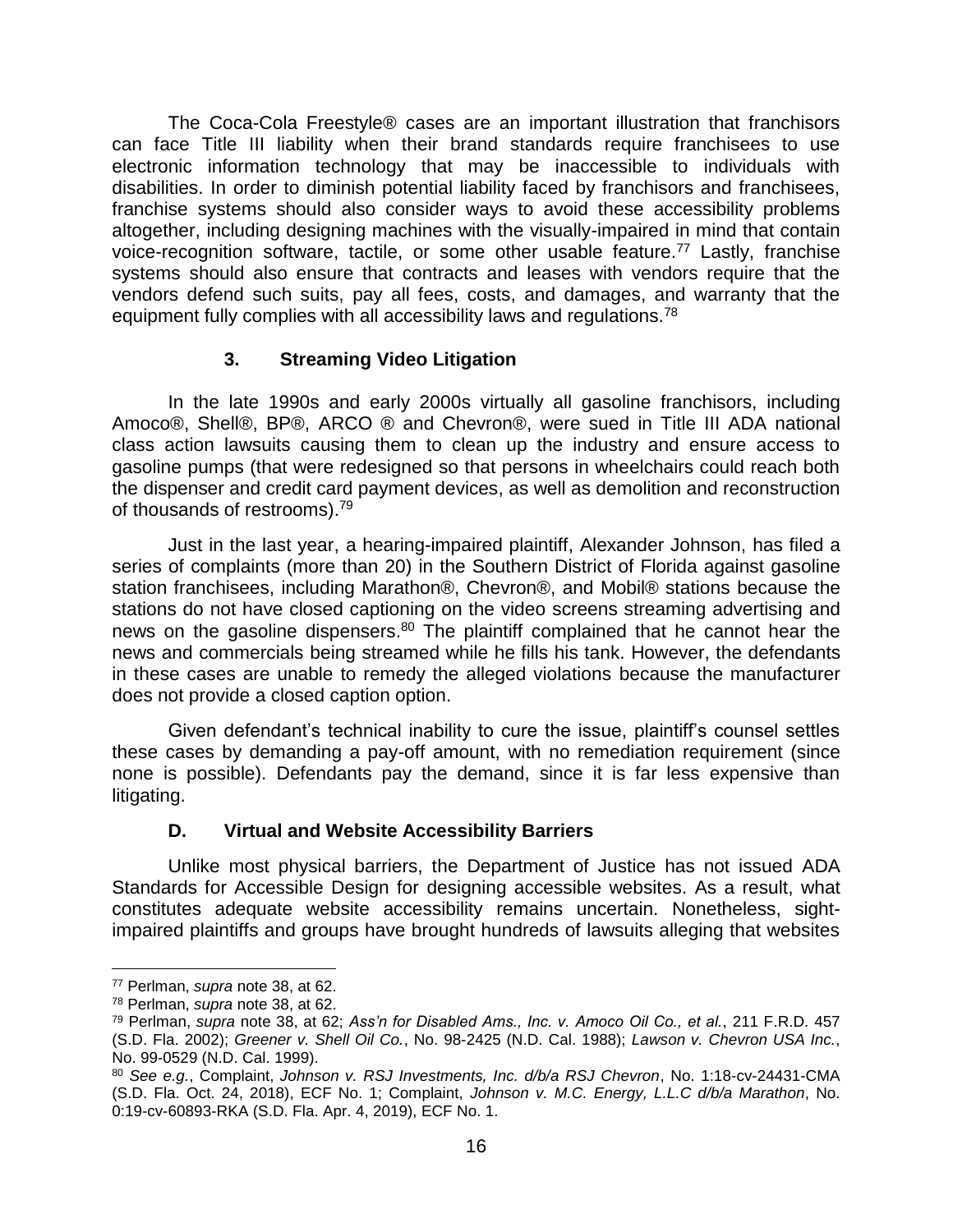The Coca-Cola Freestyle® cases are an important illustration that franchisors can face Title III liability when their brand standards require franchisees to use electronic information technology that may be inaccessible to individuals with disabilities. In order to diminish potential liability faced by franchisors and franchisees, franchise systems should also consider ways to avoid these accessibility problems altogether, including designing machines with the visually-impaired in mind that contain voice-recognition software, tactile, or some other usable feature.<sup>77</sup> Lastly, franchise systems should also ensure that contracts and leases with vendors require that the vendors defend such suits, pay all fees, costs, and damages, and warranty that the equipment fully complies with all accessibility laws and regulations.<sup>78</sup>

## **3. Streaming Video Litigation**

In the late 1990s and early 2000s virtually all gasoline franchisors, including Amoco®, Shell®, BP®, ARCO ® and Chevron®, were sued in Title III ADA national class action lawsuits causing them to clean up the industry and ensure access to gasoline pumps (that were redesigned so that persons in wheelchairs could reach both the dispenser and credit card payment devices, as well as demolition and reconstruction of thousands of restrooms).<sup>79</sup>

Just in the last year, a hearing-impaired plaintiff, Alexander Johnson, has filed a series of complaints (more than 20) in the Southern District of Florida against gasoline station franchisees, including Marathon®, Chevron®, and Mobil® stations because the stations do not have closed captioning on the video screens streaming advertising and news on the gasoline dispensers.<sup>80</sup> The plaintiff complained that he cannot hear the news and commercials being streamed while he fills his tank. However, the defendants in these cases are unable to remedy the alleged violations because the manufacturer does not provide a closed caption option.

Given defendant's technical inability to cure the issue, plaintiff's counsel settles these cases by demanding a pay-off amount, with no remediation requirement (since none is possible). Defendants pay the demand, since it is far less expensive than litigating.

#### **D. Virtual and Website Accessibility Barriers**

Unlike most physical barriers, the Department of Justice has not issued ADA Standards for Accessible Design for designing accessible websites. As a result, what constitutes adequate website accessibility remains uncertain. Nonetheless, sightimpaired plaintiffs and groups have brought hundreds of lawsuits alleging that websites

 $\overline{a}$ 

<sup>77</sup> Perlman, *supra* note 38, at 62.

<sup>78</sup> Perlman, *supra* note 38, at 62.

<sup>79</sup> Perlman, *supra* note 38, at 62; *Ass'n for Disabled Ams., Inc. v. Amoco Oil Co., et al.*, 211 F.R.D. 457 (S.D. Fla. 2002); *Greener v. Shell Oil Co.*, No. 98-2425 (N.D. Cal. 1988); *Lawson v. Chevron USA Inc.*, No. 99-0529 (N.D. Cal. 1999).

<sup>80</sup> *See e.g.*, Complaint, *Johnson v. RSJ Investments, Inc. d/b/a RSJ Chevron*, No. 1:18-cv-24431-CMA (S.D. Fla. Oct. 24, 2018), ECF No. 1; Complaint, *Johnson v. M.C. Energy, L.L.C d/b/a Marathon*, No. 0:19-cv-60893-RKA (S.D. Fla. Apr. 4, 2019), ECF No. 1.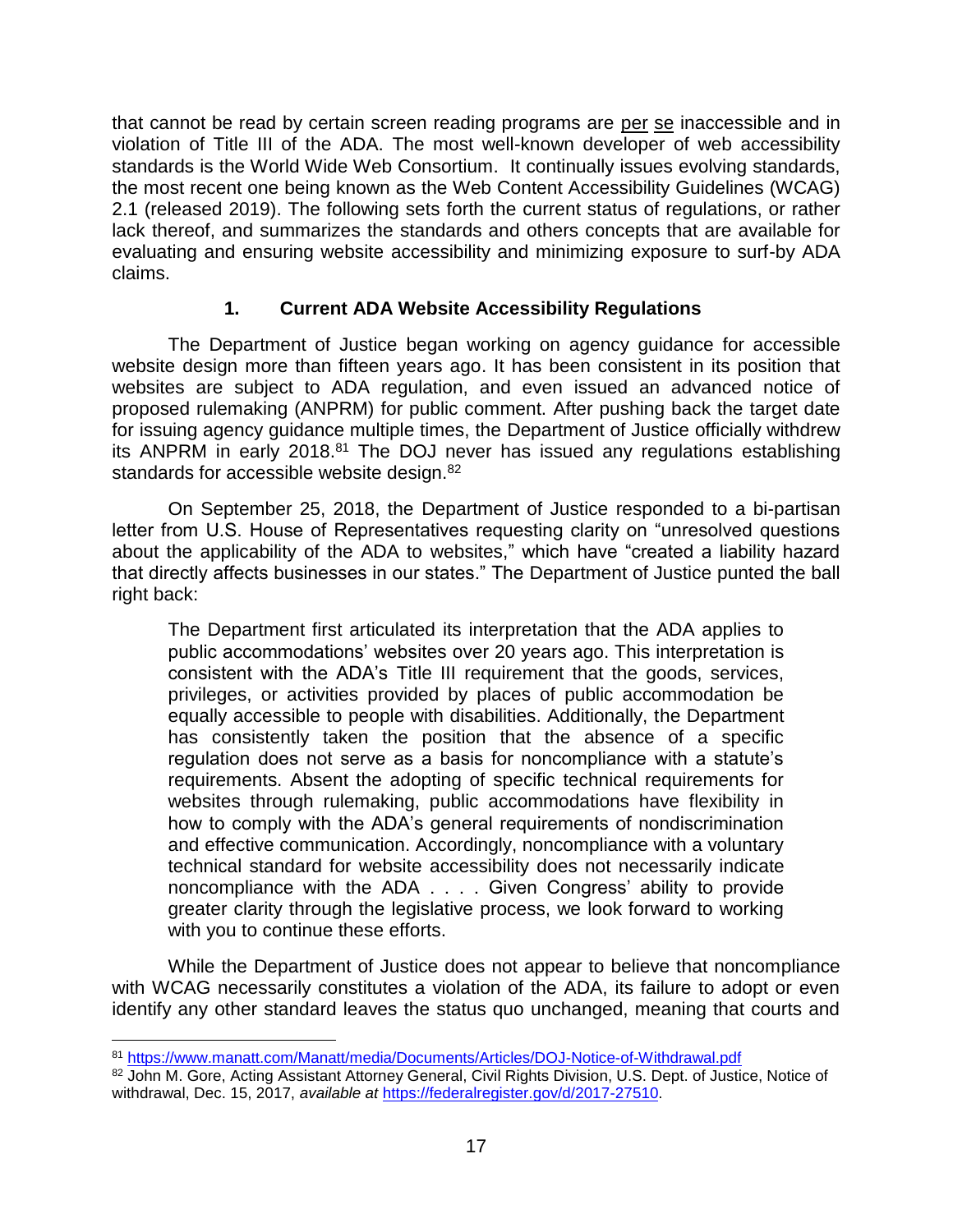that cannot be read by certain screen reading programs are per se inaccessible and in violation of Title III of the ADA. The most well-known developer of web accessibility standards is the World Wide Web Consortium. It continually issues evolving standards, the most recent one being known as the Web Content Accessibility Guidelines (WCAG) 2.1 (released 2019). The following sets forth the current status of regulations, or rather lack thereof, and summarizes the standards and others concepts that are available for evaluating and ensuring website accessibility and minimizing exposure to surf-by ADA claims.

#### **1. Current ADA Website Accessibility Regulations**

The Department of Justice began working on agency guidance for accessible website design more than fifteen years ago. It has been consistent in its position that websites are subject to ADA regulation, and even issued an advanced notice of proposed rulemaking (ANPRM) for public comment. After pushing back the target date for issuing agency guidance multiple times, the Department of Justice officially withdrew its ANPRM in early 2018.<sup>81</sup> The DOJ never has issued any regulations establishing standards for accessible website design.<sup>82</sup>

On September 25, 2018, the Department of Justice responded to a bi-partisan letter from U.S. House of Representatives requesting clarity on "unresolved questions about the applicability of the ADA to websites," which have "created a liability hazard that directly affects businesses in our states." The Department of Justice punted the ball right back:

The Department first articulated its interpretation that the ADA applies to public accommodations' websites over 20 years ago. This interpretation is consistent with the ADA's Title III requirement that the goods, services, privileges, or activities provided by places of public accommodation be equally accessible to people with disabilities. Additionally, the Department has consistently taken the position that the absence of a specific regulation does not serve as a basis for noncompliance with a statute's requirements. Absent the adopting of specific technical requirements for websites through rulemaking, public accommodations have flexibility in how to comply with the ADA's general requirements of nondiscrimination and effective communication. Accordingly, noncompliance with a voluntary technical standard for website accessibility does not necessarily indicate noncompliance with the ADA . . . . Given Congress' ability to provide greater clarity through the legislative process, we look forward to working with you to continue these efforts.

While the Department of Justice does not appear to believe that noncompliance with WCAG necessarily constitutes a violation of the ADA, its failure to adopt or even identify any other standard leaves the status quo unchanged, meaning that courts and

 $\overline{a}$ 

<sup>81</sup> <https://www.manatt.com/Manatt/media/Documents/Articles/DOJ-Notice-of-Withdrawal.pdf>

<sup>82</sup> John M. Gore, Acting Assistant Attorney General, Civil Rights Division, U.S. Dept. of Justice, Notice of withdrawal, Dec. 15, 2017, *available at* [https://federalregister.gov/d/2017-27510.](https://federalregister.gov/d/2017-27510)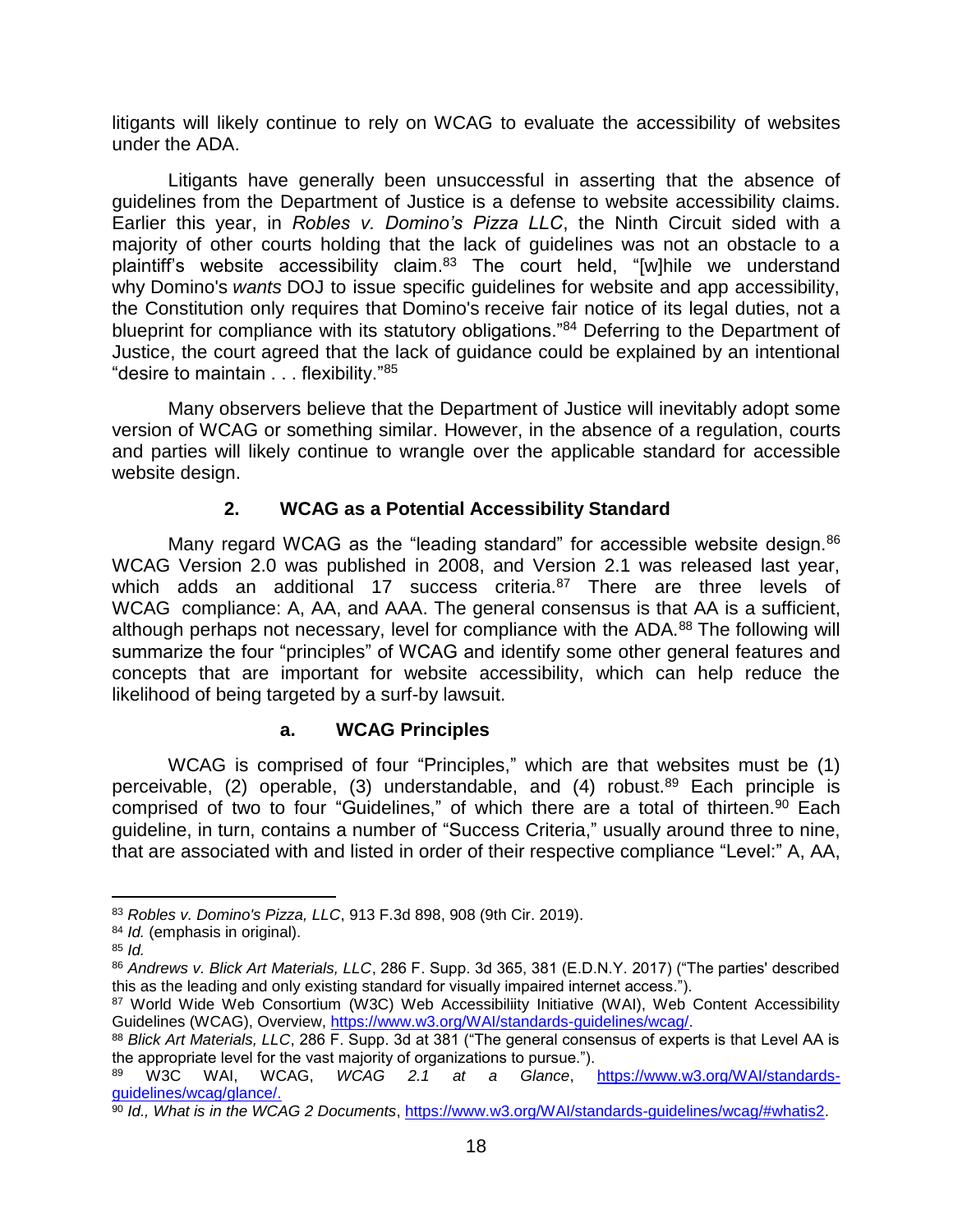litigants will likely continue to rely on WCAG to evaluate the accessibility of websites under the ADA.

Litigants have generally been unsuccessful in asserting that the absence of guidelines from the Department of Justice is a defense to website accessibility claims. Earlier this year, in *Robles v. Domino's Pizza LLC*, the Ninth Circuit sided with a majority of other courts holding that the lack of guidelines was not an obstacle to a plaintiff's website accessibility claim.<sup>83</sup> The court held, "[w]hile we understand why Domino's *wants* DOJ to issue specific guidelines for website and app accessibility, the Constitution only requires that Domino's receive fair notice of its legal duties, not a blueprint for compliance with its statutory obligations."<sup>84</sup> Deferring to the Department of Justice, the court agreed that the lack of guidance could be explained by an intentional "desire to maintain . . . flexibility."<sup>85</sup>

Many observers believe that the Department of Justice will inevitably adopt some version of WCAG or something similar. However, in the absence of a regulation, courts and parties will likely continue to wrangle over the applicable standard for accessible website design.

#### **2. WCAG as a Potential Accessibility Standard**

Many regard WCAG as the "leading standard" for accessible website design.<sup>86</sup> WCAG Version 2.0 was published in 2008, and Version 2.1 was released last year, which adds an additional 17 success criteria.<sup>87</sup> There are three levels of WCAG compliance: A, AA, and AAA. The general consensus is that AA is a sufficient, although perhaps not necessary, level for compliance with the ADA.<sup>88</sup> The following will summarize the four "principles" of WCAG and identify some other general features and concepts that are important for website accessibility, which can help reduce the likelihood of being targeted by a surf-by lawsuit.

#### **a. WCAG Principles**

WCAG is comprised of four "Principles," which are that websites must be (1) perceivable, (2) operable, (3) understandable, and (4) robust. $89$  Each principle is comprised of two to four "Guidelines," of which there are a total of thirteen.<sup>90</sup> Each guideline, in turn, contains a number of "Success Criteria," usually around three to nine, that are associated with and listed in order of their respective compliance "Level:" A, AA,

<sup>83</sup> *Robles v. Domino's Pizza, LLC*, 913 F.3d 898, 908 (9th Cir. 2019).

<sup>84</sup> *Id.* (emphasis in original).

<sup>85</sup> *Id.*

<sup>86</sup> *Andrews v. Blick Art Materials, LLC*, 286 F. Supp. 3d 365, 381 (E.D.N.Y. 2017) ("The parties' described this as the leading and only existing standard for visually impaired internet access.").

<sup>87</sup> World Wide Web Consortium (W3C) Web Accessibiliity Initiative (WAI), Web Content Accessibility Guidelines (WCAG), Overview, [https://www.w3.org/WAI/standards-guidelines/wcag/.](https://www.w3.org/WAI/standards-guidelines/wcag/)

<sup>88</sup> *Blick Art Materials, LLC*, 286 F. Supp. 3d at 381 ("The general consensus of experts is that Level AA is the appropriate level for the vast majority of organizations to pursue.").

<sup>89</sup> W3C WAI, WCAG, *WCAG 2.1 at a Glance*, [https://www.w3.org/WAI/standards](https://www.w3.org/WAI/standards-guidelines/wcag/)[guidelines/wcag/g](https://www.w3.org/WAI/standards-guidelines/wcag/)lance/.

<sup>90</sup> *Id., What is in the WCAG 2 Documents*, [https://www.w3.org/WAI/standards-guidelines/wcag/#whatis2.](https://www.w3.org/WAI/standards-guidelines/wcag/#whatis2)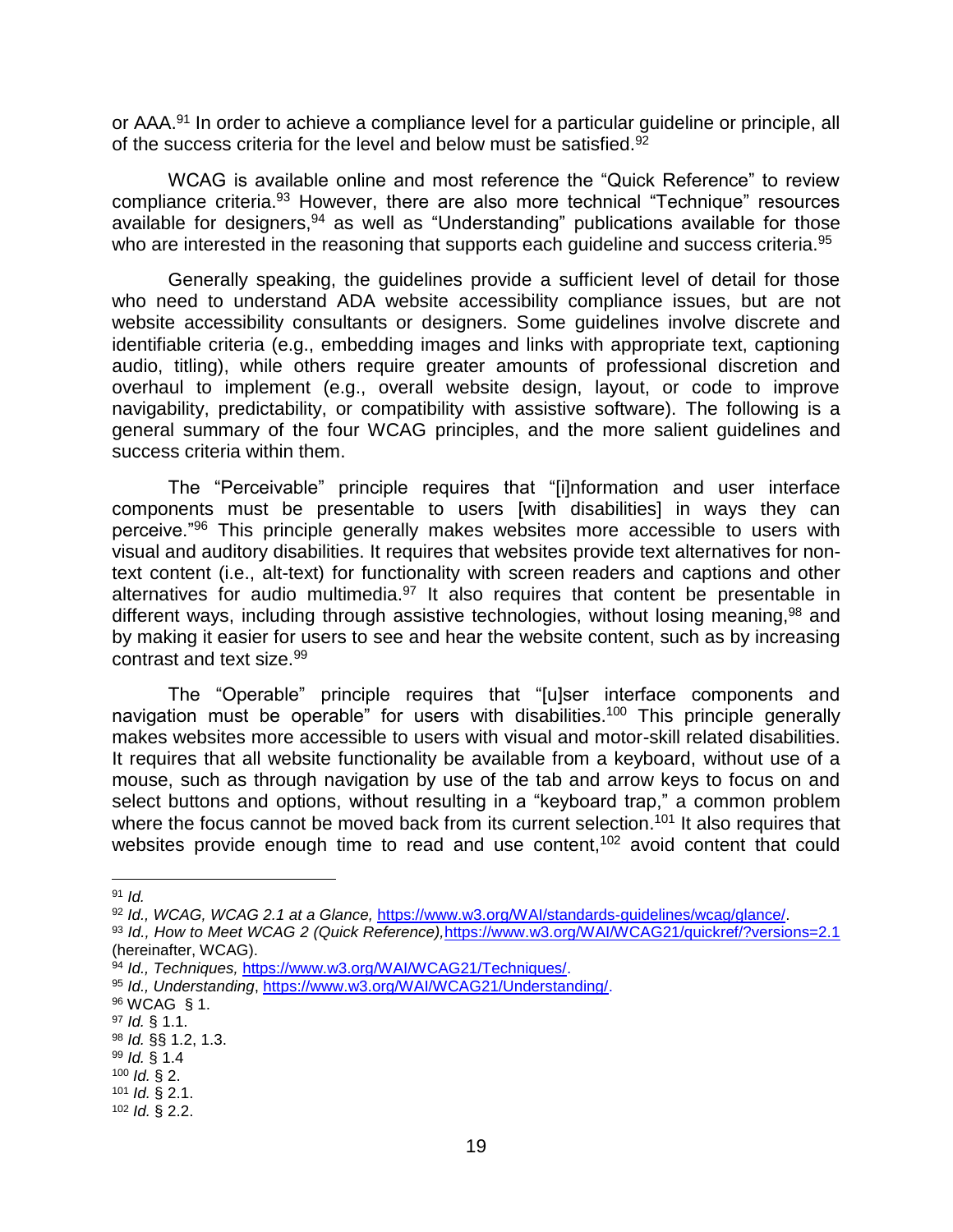or AAA.<sup>91</sup> In order to achieve a compliance level for a particular quideline or principle, all of the success criteria for the level and below must be satisfied.<sup>92</sup>

WCAG is available online and most reference the "Quick Reference" to review compliance criteria.<sup>93</sup> However, there are also more technical "Technique" resources available for designers,<sup>94</sup> as well as "Understanding" publications available for those who are interested in the reasoning that supports each guideline and success criteria.<sup>95</sup>

Generally speaking, the guidelines provide a sufficient level of detail for those who need to understand ADA website accessibility compliance issues, but are not website accessibility consultants or designers. Some guidelines involve discrete and identifiable criteria (e.g., embedding images and links with appropriate text, captioning audio, titling), while others require greater amounts of professional discretion and overhaul to implement (e.g., overall website design, layout, or code to improve navigability, predictability, or compatibility with assistive software). The following is a general summary of the four WCAG principles, and the more salient guidelines and success criteria within them.

The "Perceivable" principle requires that "[i]nformation and user interface components must be presentable to users [with disabilities] in ways they can perceive."<sup>96</sup> This principle generally makes websites more accessible to users with visual and auditory disabilities. It requires that websites provide text alternatives for nontext content (i.e., alt-text) for functionality with screen readers and captions and other alternatives for audio multimedia.<sup>97</sup> It also requires that content be presentable in different ways, including through assistive technologies, without losing meaning,<sup>98</sup> and by making it easier for users to see and hear the website content, such as by increasing contrast and text size.<sup>99</sup>

The "Operable" principle requires that "[u]ser interface components and navigation must be operable" for users with disabilities.<sup>100</sup> This principle generally makes websites more accessible to users with visual and motor-skill related disabilities. It requires that all website functionality be available from a keyboard, without use of a mouse, such as through navigation by use of the tab and arrow keys to focus on and select buttons and options, without resulting in a "keyboard trap," a common problem where the focus cannot be moved back from its current selection.<sup>101</sup> It also requires that websites provide enough time to read and use content,<sup>102</sup> avoid content that could

<sup>91</sup> *Id.*

<sup>92</sup> *Id., WCAG, WCAG 2.1 at a Glance,* [https://www.w3.org/WAI/standards-guidelines/wcag/glance/.](https://www.w3.org/WAI/standards-guidelines/wcag/glance/)

<sup>93</sup> *Id., How to Meet WCAG 2 (Quick Reference),*<https://www.w3.org/WAI/WCAG21/quickref/?versions=2.1> (hereinafter, WCAG).

<sup>94</sup> *Id., Techniques,* [https://www.w3.org/WAI/WCAG21/Techniques/.](https://www.w3.org/WAI/WCAG21/Techniques/)

<sup>95</sup> *Id., Understanding*, [https://www.w3.org/WAI/WCAG21/Understanding/.](https://www.w3.org/WAI/WCAG21/Understanding/)

<sup>96</sup> WCAG § 1.

<sup>97</sup> *Id.* § 1.1.

<sup>98</sup> *Id.* §§ 1.2, 1.3.

<sup>99</sup> *Id.* § 1.4

<sup>100</sup> *Id.* § 2.

<sup>101</sup> *Id.* § 2.1. <sup>102</sup> *Id.* § 2.2.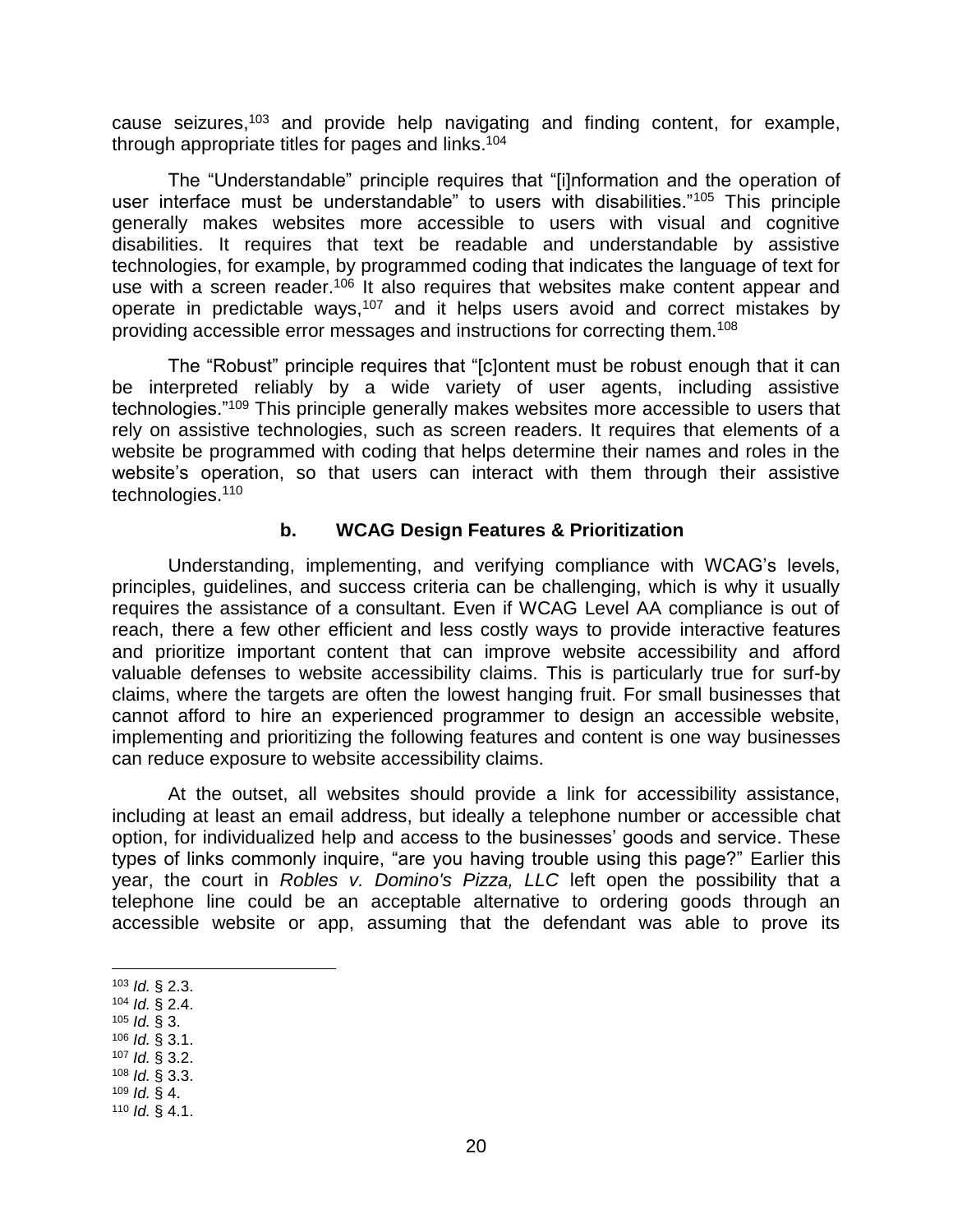cause seizures,<sup>103</sup> and provide help navigating and finding content, for example, through appropriate titles for pages and links.<sup>104</sup>

The "Understandable" principle requires that "[i]nformation and the operation of user interface must be understandable" to users with disabilities."<sup>105</sup> This principle generally makes websites more accessible to users with visual and cognitive disabilities. It requires that text be readable and understandable by assistive technologies, for example, by programmed coding that indicates the language of text for use with a screen reader.<sup>106</sup> It also requires that websites make content appear and operate in predictable ways,  $107$  and it helps users avoid and correct mistakes by providing accessible error messages and instructions for correcting them.<sup>108</sup>

The "Robust" principle requires that "[c]ontent must be robust enough that it can be interpreted reliably by a wide variety of user agents, including assistive technologies."<sup>109</sup> This principle generally makes websites more accessible to users that rely on assistive technologies, such as screen readers. It requires that elements of a website be programmed with coding that helps determine their names and roles in the website's operation, so that users can interact with them through their assistive technologies.<sup>110</sup>

#### **b. WCAG Design Features & Prioritization**

Understanding, implementing, and verifying compliance with WCAG's levels, principles, guidelines, and success criteria can be challenging, which is why it usually requires the assistance of a consultant. Even if WCAG Level AA compliance is out of reach, there a few other efficient and less costly ways to provide interactive features and prioritize important content that can improve website accessibility and afford valuable defenses to website accessibility claims. This is particularly true for surf-by claims, where the targets are often the lowest hanging fruit. For small businesses that cannot afford to hire an experienced programmer to design an accessible website, implementing and prioritizing the following features and content is one way businesses can reduce exposure to website accessibility claims.

At the outset, all websites should provide a link for accessibility assistance, including at least an email address, but ideally a telephone number or accessible chat option, for individualized help and access to the businesses' goods and service. These types of links commonly inquire, "are you having trouble using this page?" Earlier this year, the court in *Robles v. Domino's Pizza, LLC* left open the possibility that a telephone line could be an acceptable alternative to ordering goods through an accessible website or app, assuming that the defendant was able to prove its

- <sup>104</sup> *Id.* § 2.4.
- <sup>105</sup> *Id.* § 3.
- <sup>106</sup> *Id.* § 3.1.
- <sup>107</sup> *Id.* § 3.2.
- <sup>108</sup> *Id.* § 3.3.
- <sup>109</sup> *Id.* § 4. <sup>110</sup> *Id.* § 4.1.

 $\overline{a}$ <sup>103</sup> *Id.* § 2.3.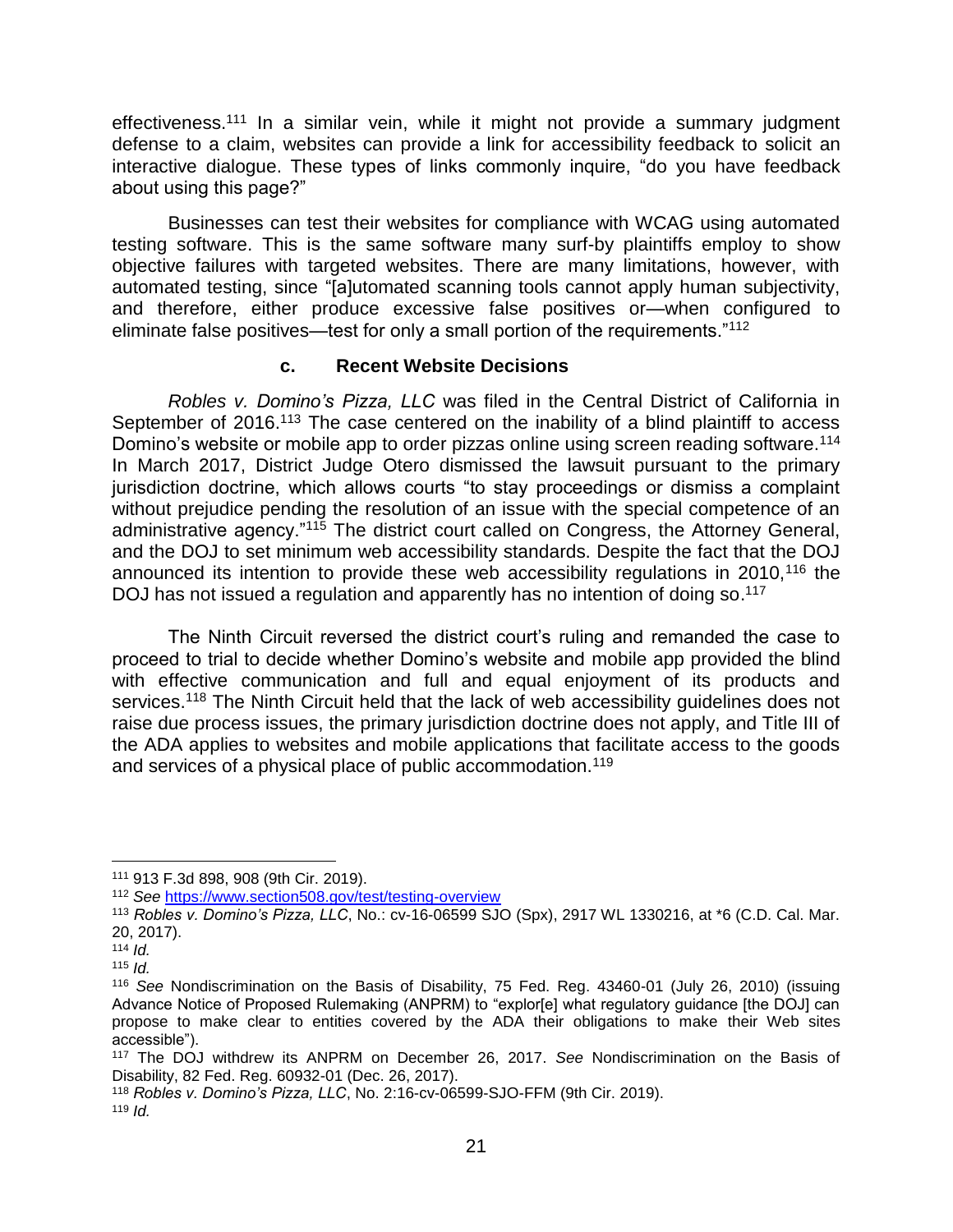effectiveness.<sup>111</sup> In a similar vein, while it might not provide a summary judgment defense to a claim, websites can provide a link for accessibility feedback to solicit an interactive dialogue. These types of links commonly inquire, "do you have feedback about using this page?"

Businesses can test their websites for compliance with WCAG using automated testing software. This is the same software many surf-by plaintiffs employ to show objective failures with targeted websites. There are many limitations, however, with automated testing, since "[a]utomated scanning tools cannot apply human subjectivity, and therefore, either produce excessive false positives or—when configured to eliminate false positives—test for only a small portion of the requirements."<sup>112</sup>

#### **c. Recent Website Decisions**

*Robles v. Domino's Pizza, LLC* was filed in the Central District of California in September of 2016.<sup>113</sup> The case centered on the inability of a blind plaintiff to access Domino's website or mobile app to order pizzas online using screen reading software.<sup>114</sup> In March 2017, District Judge Otero dismissed the lawsuit pursuant to the primary jurisdiction doctrine, which allows courts "to stay proceedings or dismiss a complaint without prejudice pending the resolution of an issue with the special competence of an administrative agency."<sup>115</sup> The district court called on Congress, the Attorney General, and the DOJ to set minimum web accessibility standards. Despite the fact that the DOJ announced its intention to provide these web accessibility regulations in 2010,<sup>116</sup> the DOJ has not issued a regulation and apparently has no intention of doing so.<sup>117</sup>

The Ninth Circuit reversed the district court's ruling and remanded the case to proceed to trial to decide whether Domino's website and mobile app provided the blind with effective communication and full and equal enjoyment of its products and services.<sup>118</sup> The Ninth Circuit held that the lack of web accessibility quidelines does not raise due process issues, the primary jurisdiction doctrine does not apply, and Title III of the ADA applies to websites and mobile applications that facilitate access to the goods and services of a physical place of public accommodation.<sup>119</sup>

 $\overline{a}$ 

<sup>111</sup> 913 F.3d 898, 908 (9th Cir. 2019).

<sup>112</sup> *See* <https://www.section508.gov/test/testing-overview>

<sup>113</sup> *Robles v. Domino's Pizza, LLC*, No.: cv-16-06599 SJO (Spx), 2917 WL 1330216, at \*6 (C.D. Cal. Mar. 20, 2017).

<sup>114</sup> *Id.*

<sup>115</sup> *Id.*

<sup>116</sup> *See* Nondiscrimination on the Basis of Disability, 75 Fed. Reg. 43460-01 (July 26, 2010) (issuing Advance Notice of Proposed Rulemaking (ANPRM) to "explor[e] what regulatory guidance [the DOJ] can propose to make clear to entities covered by the ADA their obligations to make their Web sites accessible").

<sup>117</sup> The DOJ withdrew its ANPRM on December 26, 2017. *See* Nondiscrimination on the Basis of Disability, 82 Fed. Reg. 60932-01 (Dec. 26, 2017).

<sup>118</sup> *Robles v. Domino's Pizza, LLC*, No. 2:16-cv-06599-SJO-FFM (9th Cir. 2019).

<sup>119</sup> *Id.*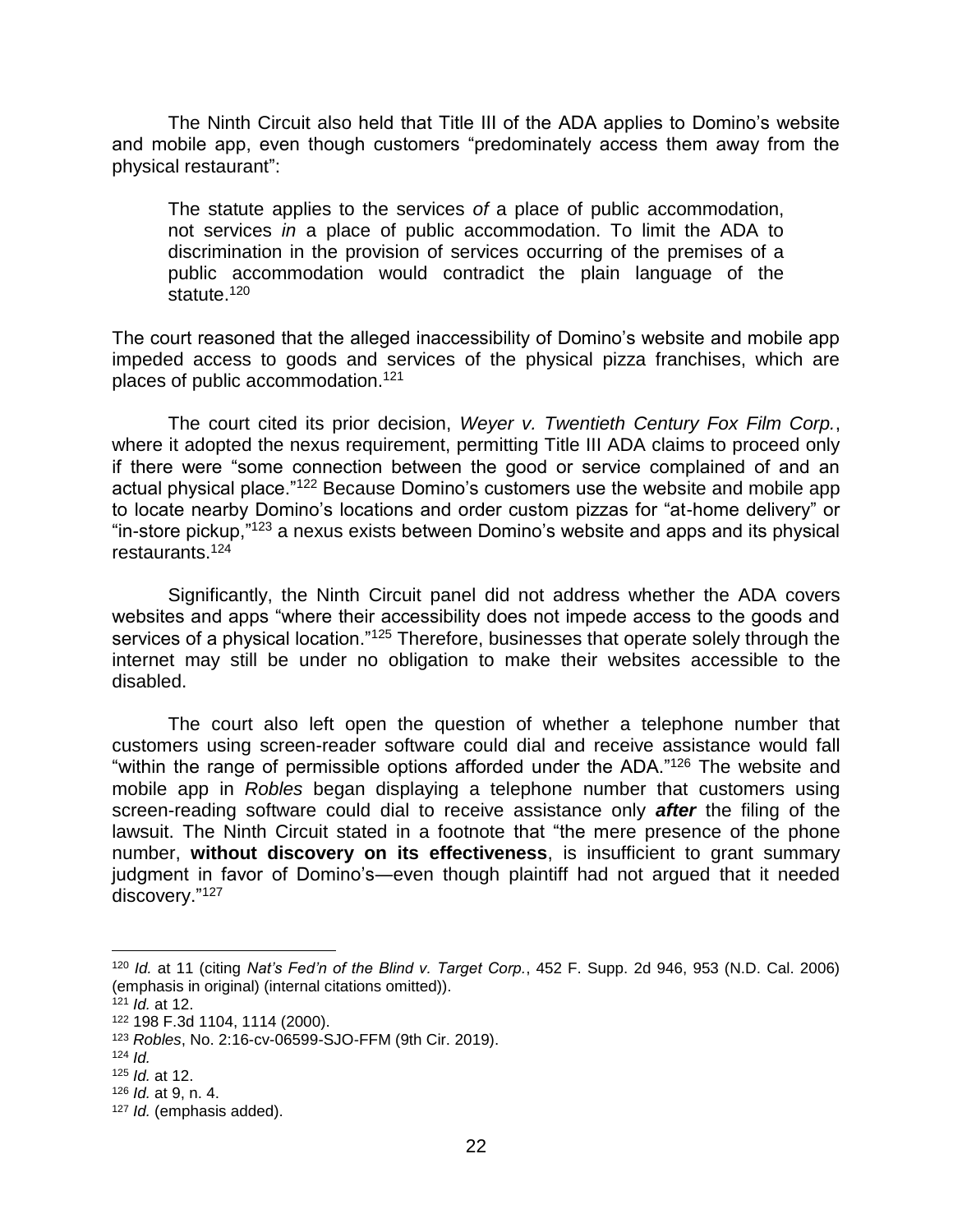The Ninth Circuit also held that Title III of the ADA applies to Domino's website and mobile app, even though customers "predominately access them away from the physical restaurant":

The statute applies to the services *of* a place of public accommodation, not services *in* a place of public accommodation. To limit the ADA to discrimination in the provision of services occurring of the premises of a public accommodation would contradict the plain language of the statute.<sup>120</sup>

The court reasoned that the alleged inaccessibility of Domino's website and mobile app impeded access to goods and services of the physical pizza franchises, which are places of public accommodation.<sup>121</sup>

The court cited its prior decision, *Weyer v. Twentieth Century Fox Film Corp.*, where it adopted the nexus requirement, permitting Title III ADA claims to proceed only if there were "some connection between the good or service complained of and an actual physical place."<sup>122</sup> Because Domino's customers use the website and mobile app to locate nearby Domino's locations and order custom pizzas for "at-home delivery" or "in-store pickup,"<sup>123</sup> a nexus exists between Domino's website and apps and its physical restaurants.<sup>124</sup>

Significantly, the Ninth Circuit panel did not address whether the ADA covers websites and apps "where their accessibility does not impede access to the goods and services of a physical location."<sup>125</sup> Therefore, businesses that operate solely through the internet may still be under no obligation to make their websites accessible to the disabled.

The court also left open the question of whether a telephone number that customers using screen-reader software could dial and receive assistance would fall "within the range of permissible options afforded under the ADA."<sup>126</sup> The website and mobile app in *Robles* began displaying a telephone number that customers using screen-reading software could dial to receive assistance only *after* the filing of the lawsuit. The Ninth Circuit stated in a footnote that "the mere presence of the phone number, **without discovery on its effectiveness**, is insufficient to grant summary judgment in favor of Domino's―even though plaintiff had not argued that it needed discovery."<sup>127</sup>

<sup>120</sup> *Id.* at 11 (citing *Nat's Fed'n of the Blind v. Target Corp.*, 452 F. Supp. 2d 946, 953 (N.D. Cal. 2006) (emphasis in original) (internal citations omitted)).

<sup>121</sup> *Id.* at 12.

<sup>122</sup> 198 F.3d 1104, 1114 (2000).

<sup>123</sup> *Robles*, No. 2:16-cv-06599-SJO-FFM (9th Cir. 2019).

<sup>124</sup> *Id.*

<sup>125</sup> *Id.* at 12.

<sup>126</sup> *Id.* at 9, n. 4.

<sup>127</sup> *Id.* (emphasis added).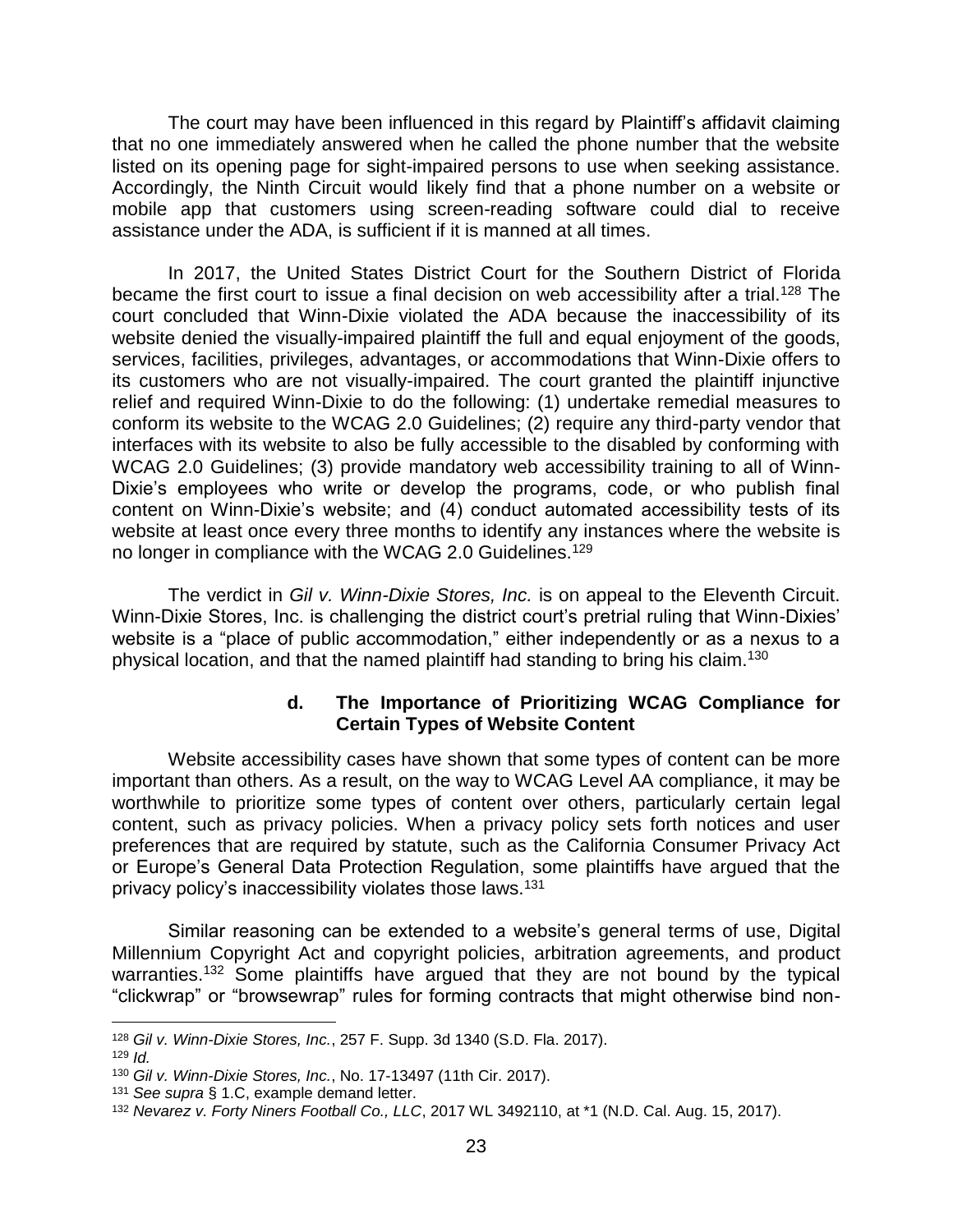The court may have been influenced in this regard by Plaintiff's affidavit claiming that no one immediately answered when he called the phone number that the website listed on its opening page for sight-impaired persons to use when seeking assistance. Accordingly, the Ninth Circuit would likely find that a phone number on a website or mobile app that customers using screen-reading software could dial to receive assistance under the ADA, is sufficient if it is manned at all times.

In 2017, the United States District Court for the Southern District of Florida became the first court to issue a final decision on web accessibility after a trial.<sup>128</sup> The court concluded that Winn-Dixie violated the ADA because the inaccessibility of its website denied the visually-impaired plaintiff the full and equal enjoyment of the goods. services, facilities, privileges, advantages, or accommodations that Winn-Dixie offers to its customers who are not visually-impaired. The court granted the plaintiff injunctive relief and required Winn-Dixie to do the following: (1) undertake remedial measures to conform its website to the WCAG 2.0 Guidelines; (2) require any third-party vendor that interfaces with its website to also be fully accessible to the disabled by conforming with WCAG 2.0 Guidelines; (3) provide mandatory web accessibility training to all of Winn-Dixie's employees who write or develop the programs, code, or who publish final content on Winn-Dixie's website; and (4) conduct automated accessibility tests of its website at least once every three months to identify any instances where the website is no longer in compliance with the WCAG 2.0 Guidelines.<sup>129</sup>

The verdict in *Gil v. Winn-Dixie Stores, Inc.* is on appeal to the Eleventh Circuit. Winn-Dixie Stores, Inc. is challenging the district court's pretrial ruling that Winn-Dixies' website is a "place of public accommodation," either independently or as a nexus to a physical location, and that the named plaintiff had standing to bring his claim.<sup>130</sup>

#### **d. The Importance of Prioritizing WCAG Compliance for Certain Types of Website Content**

Website accessibility cases have shown that some types of content can be more important than others. As a result, on the way to WCAG Level AA compliance, it may be worthwhile to prioritize some types of content over others, particularly certain legal content, such as privacy policies. When a privacy policy sets forth notices and user preferences that are required by statute, such as the California Consumer Privacy Act or Europe's General Data Protection Regulation, some plaintiffs have argued that the privacy policy's inaccessibility violates those laws. 131

Similar reasoning can be extended to a website's general terms of use, Digital Millennium Copyright Act and copyright policies, arbitration agreements, and product warranties.<sup>132</sup> Some plaintiffs have argued that they are not bound by the typical "clickwrap" or "browsewrap" rules for forming contracts that might otherwise bind non-

l

<sup>128</sup> *Gil v. Winn-Dixie Stores, Inc.*, 257 F. Supp. 3d 1340 (S.D. Fla. 2017).

<sup>129</sup> *Id.*

<sup>130</sup> *Gil v. Winn-Dixie Stores, Inc.*, No. 17-13497 (11th Cir. 2017).

<sup>131</sup> *See supra* § 1.C, example demand letter.

<sup>132</sup> *Nevarez v. Forty Niners Football Co., LLC*, 2017 WL 3492110, at \*1 (N.D. Cal. Aug. 15, 2017).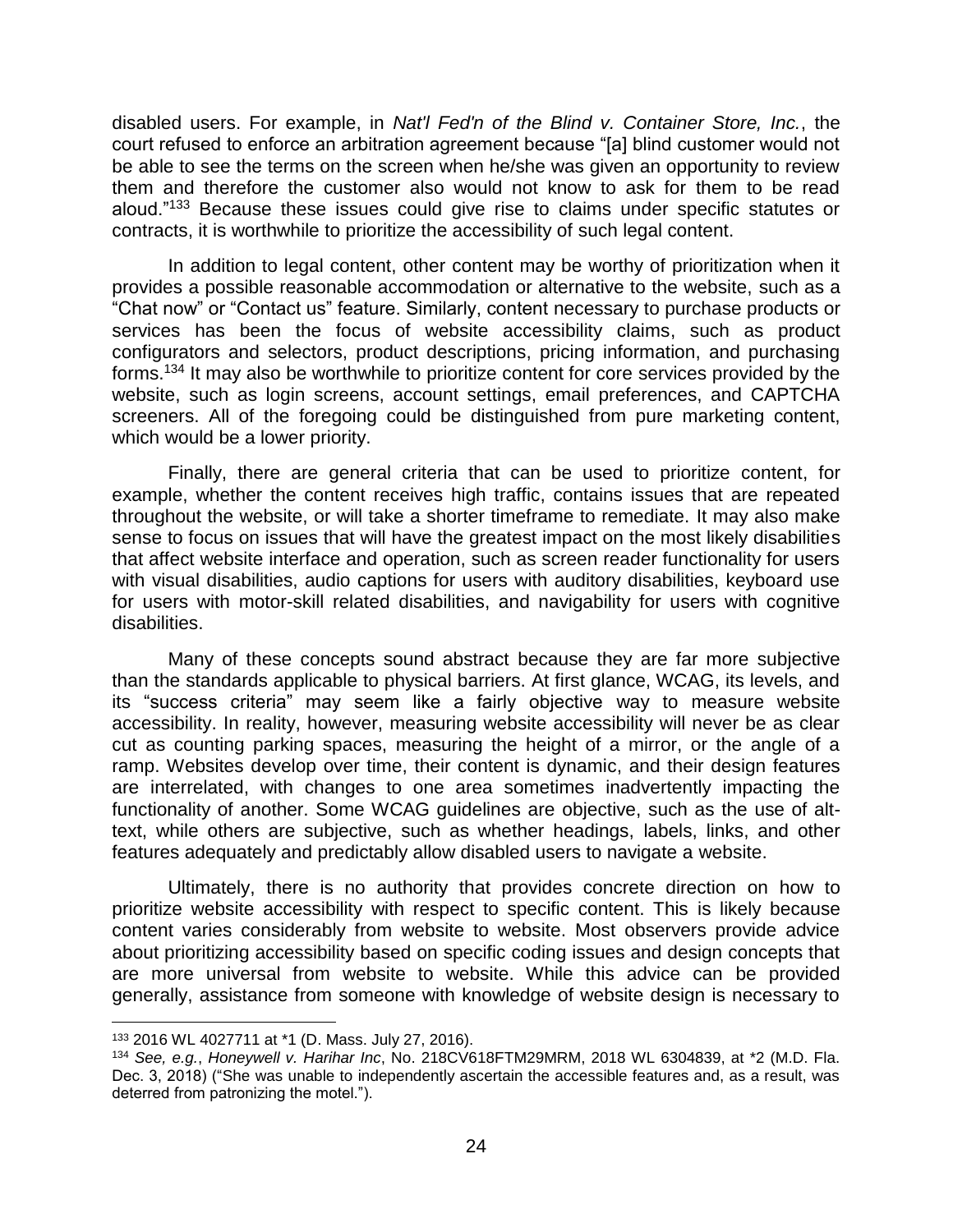disabled users. For example, in *Nat'l Fed'n of the Blind v. Container Store, Inc.*, the court refused to enforce an arbitration agreement because "[a] blind customer would not be able to see the terms on the screen when he/she was given an opportunity to review them and therefore the customer also would not know to ask for them to be read aloud."<sup>133</sup> Because these issues could give rise to claims under specific statutes or contracts, it is worthwhile to prioritize the accessibility of such legal content.

In addition to legal content, other content may be worthy of prioritization when it provides a possible reasonable accommodation or alternative to the website, such as a "Chat now" or "Contact us" feature. Similarly, content necessary to purchase products or services has been the focus of website accessibility claims, such as product configurators and selectors, product descriptions, pricing information, and purchasing forms.<sup>134</sup> It may also be worthwhile to prioritize content for core services provided by the website, such as login screens, account settings, email preferences, and CAPTCHA screeners. All of the foregoing could be distinguished from pure marketing content, which would be a lower priority.

Finally, there are general criteria that can be used to prioritize content, for example, whether the content receives high traffic, contains issues that are repeated throughout the website, or will take a shorter timeframe to remediate. It may also make sense to focus on issues that will have the greatest impact on the most likely disabilities that affect website interface and operation, such as screen reader functionality for users with visual disabilities, audio captions for users with auditory disabilities, keyboard use for users with motor-skill related disabilities, and navigability for users with cognitive disabilities.

Many of these concepts sound abstract because they are far more subjective than the standards applicable to physical barriers. At first glance, WCAG, its levels, and its "success criteria" may seem like a fairly objective way to measure website accessibility. In reality, however, measuring website accessibility will never be as clear cut as counting parking spaces, measuring the height of a mirror, or the angle of a ramp. Websites develop over time, their content is dynamic, and their design features are interrelated, with changes to one area sometimes inadvertently impacting the functionality of another. Some WCAG guidelines are objective, such as the use of alttext, while others are subjective, such as whether headings, labels, links, and other features adequately and predictably allow disabled users to navigate a website.

Ultimately, there is no authority that provides concrete direction on how to prioritize website accessibility with respect to specific content. This is likely because content varies considerably from website to website. Most observers provide advice about prioritizing accessibility based on specific coding issues and design concepts that are more universal from website to website. While this advice can be provided generally, assistance from someone with knowledge of website design is necessary to

l

<sup>133</sup> 2016 WL 4027711 at \*1 (D. Mass. July 27, 2016).

<sup>134</sup> *See, e.g.*, *Honeywell v. Harihar Inc*, No. 218CV618FTM29MRM, 2018 WL 6304839, at \*2 (M.D. Fla. Dec. 3, 2018) ("She was unable to independently ascertain the accessible features and, as a result, was deterred from patronizing the motel.").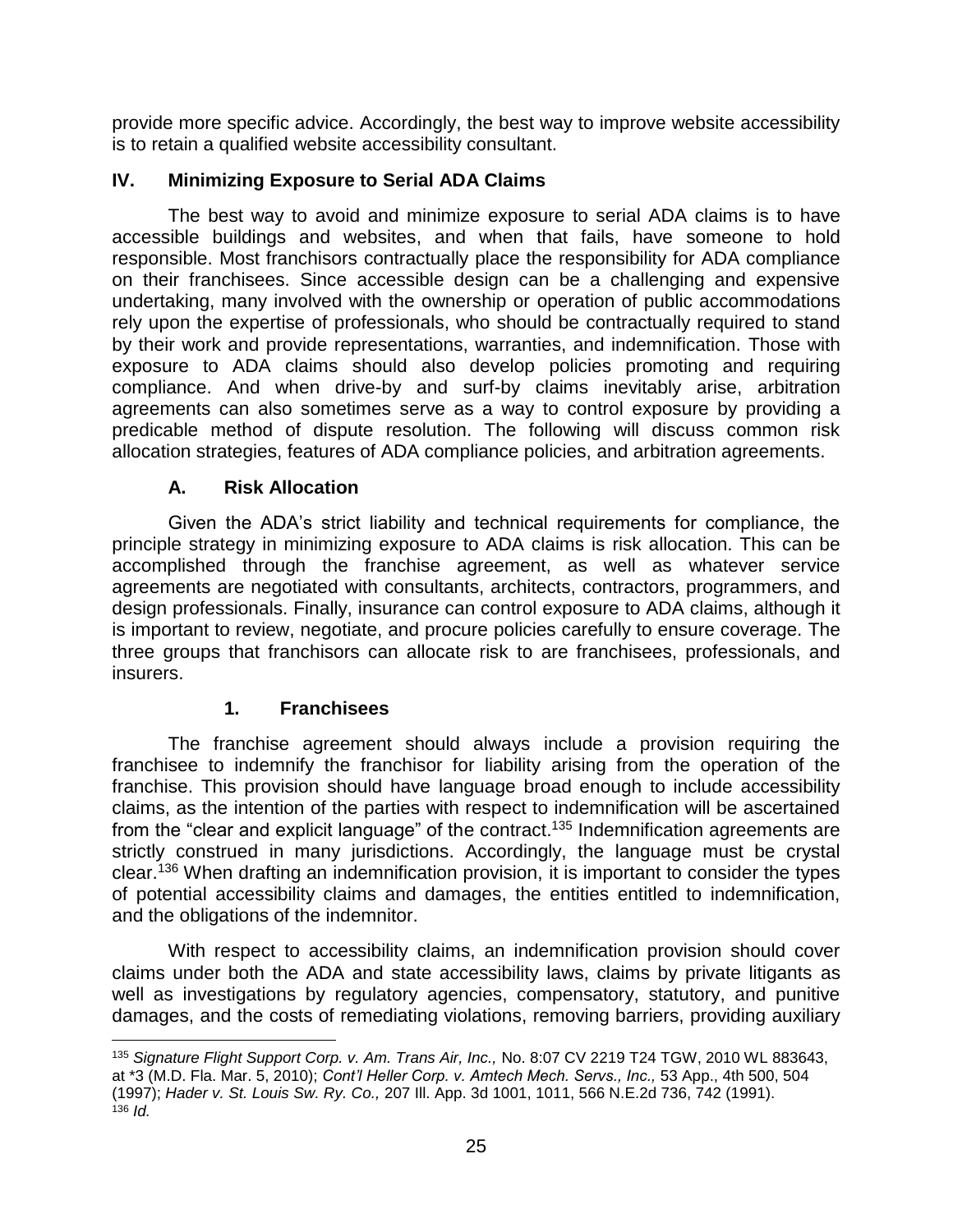provide more specific advice. Accordingly, the best way to improve website accessibility is to retain a qualified website accessibility consultant.

# **IV. Minimizing Exposure to Serial ADA Claims**

The best way to avoid and minimize exposure to serial ADA claims is to have accessible buildings and websites, and when that fails, have someone to hold responsible. Most franchisors contractually place the responsibility for ADA compliance on their franchisees. Since accessible design can be a challenging and expensive undertaking, many involved with the ownership or operation of public accommodations rely upon the expertise of professionals, who should be contractually required to stand by their work and provide representations, warranties, and indemnification. Those with exposure to ADA claims should also develop policies promoting and requiring compliance. And when drive-by and surf-by claims inevitably arise, arbitration agreements can also sometimes serve as a way to control exposure by providing a predicable method of dispute resolution. The following will discuss common risk allocation strategies, features of ADA compliance policies, and arbitration agreements.

# **A. Risk Allocation**

Given the ADA's strict liability and technical requirements for compliance, the principle strategy in minimizing exposure to ADA claims is risk allocation. This can be accomplished through the franchise agreement, as well as whatever service agreements are negotiated with consultants, architects, contractors, programmers, and design professionals. Finally, insurance can control exposure to ADA claims, although it is important to review, negotiate, and procure policies carefully to ensure coverage. The three groups that franchisors can allocate risk to are franchisees, professionals, and insurers.

# **1. Franchisees**

 $\overline{a}$ 

The franchise agreement should always include a provision requiring the franchisee to indemnify the franchisor for liability arising from the operation of the franchise. This provision should have language broad enough to include accessibility claims, as the intention of the parties with respect to indemnification will be ascertained from the "clear and explicit language" of the contract.<sup>135</sup> Indemnification agreements are strictly construed in many jurisdictions. Accordingly, the language must be crystal clear. <sup>136</sup> When drafting an indemnification provision, it is important to consider the types of potential accessibility claims and damages, the entities entitled to indemnification, and the obligations of the indemnitor.

With respect to accessibility claims, an indemnification provision should cover claims under both the ADA and state accessibility laws, claims by private litigants as well as investigations by regulatory agencies, compensatory, statutory, and punitive damages, and the costs of remediating violations, removing barriers, providing auxiliary

<sup>135</sup> *Signature Flight Support Corp. v. Am. Trans Air, Inc.,* No. 8:07 CV 2219 T24 TGW, 2010 WL 883643, at \*3 (M.D. Fla. Mar. 5, 2010); *Cont'l Heller Corp. v. Amtech Mech. Servs., Inc.,* 53 App., 4th 500, 504 (1997); *Hader v. St. Louis Sw. Ry. Co.,* 207 Ill. App. 3d 1001, 1011, 566 N.E.2d 736, 742 (1991).  $136$  *Id.*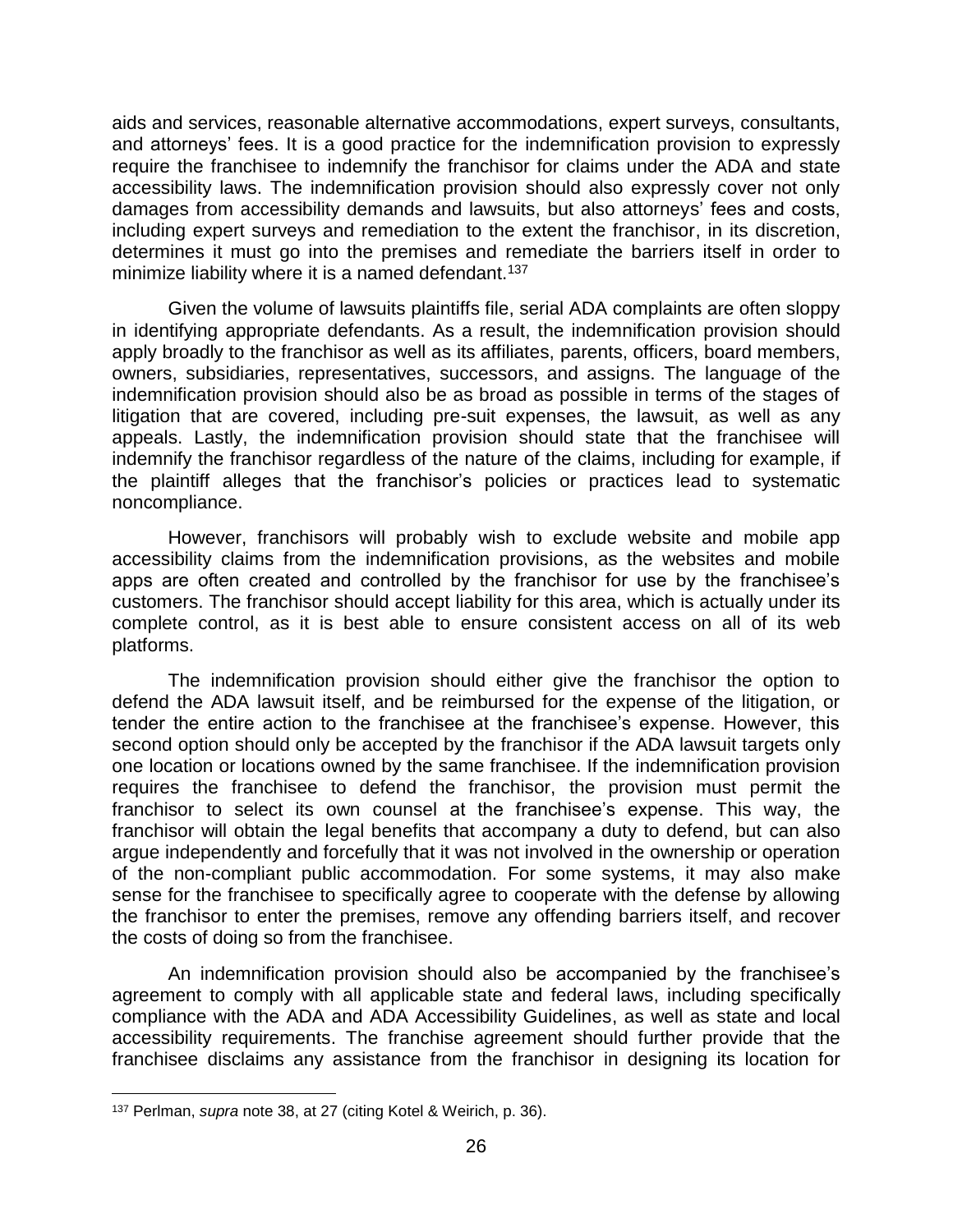aids and services, reasonable alternative accommodations, expert surveys, consultants, and attorneys' fees. It is a good practice for the indemnification provision to expressly require the franchisee to indemnify the franchisor for claims under the ADA and state accessibility laws. The indemnification provision should also expressly cover not only damages from accessibility demands and lawsuits, but also attorneys' fees and costs, including expert surveys and remediation to the extent the franchisor, in its discretion, determines it must go into the premises and remediate the barriers itself in order to minimize liability where it is a named defendant.<sup>137</sup>

Given the volume of lawsuits plaintiffs file, serial ADA complaints are often sloppy in identifying appropriate defendants. As a result, the indemnification provision should apply broadly to the franchisor as well as its affiliates, parents, officers, board members, owners, subsidiaries, representatives, successors, and assigns. The language of the indemnification provision should also be as broad as possible in terms of the stages of litigation that are covered, including pre-suit expenses, the lawsuit, as well as any appeals. Lastly, the indemnification provision should state that the franchisee will indemnify the franchisor regardless of the nature of the claims, including for example, if the plaintiff alleges that the franchisor's policies or practices lead to systematic noncompliance.

However, franchisors will probably wish to exclude website and mobile app accessibility claims from the indemnification provisions, as the websites and mobile apps are often created and controlled by the franchisor for use by the franchisee's customers. The franchisor should accept liability for this area, which is actually under its complete control, as it is best able to ensure consistent access on all of its web platforms.

The indemnification provision should either give the franchisor the option to defend the ADA lawsuit itself, and be reimbursed for the expense of the litigation, or tender the entire action to the franchisee at the franchisee's expense. However, this second option should only be accepted by the franchisor if the ADA lawsuit targets only one location or locations owned by the same franchisee. If the indemnification provision requires the franchisee to defend the franchisor, the provision must permit the franchisor to select its own counsel at the franchisee's expense. This way, the franchisor will obtain the legal benefits that accompany a duty to defend, but can also argue independently and forcefully that it was not involved in the ownership or operation of the non-compliant public accommodation. For some systems, it may also make sense for the franchisee to specifically agree to cooperate with the defense by allowing the franchisor to enter the premises, remove any offending barriers itself, and recover the costs of doing so from the franchisee.

An indemnification provision should also be accompanied by the franchisee's agreement to comply with all applicable state and federal laws, including specifically compliance with the ADA and ADA Accessibility Guidelines, as well as state and local accessibility requirements. The franchise agreement should further provide that the franchisee disclaims any assistance from the franchisor in designing its location for

<sup>137</sup> Perlman, *supra* note 38, at 27 (citing Kotel & Weirich, p. 36).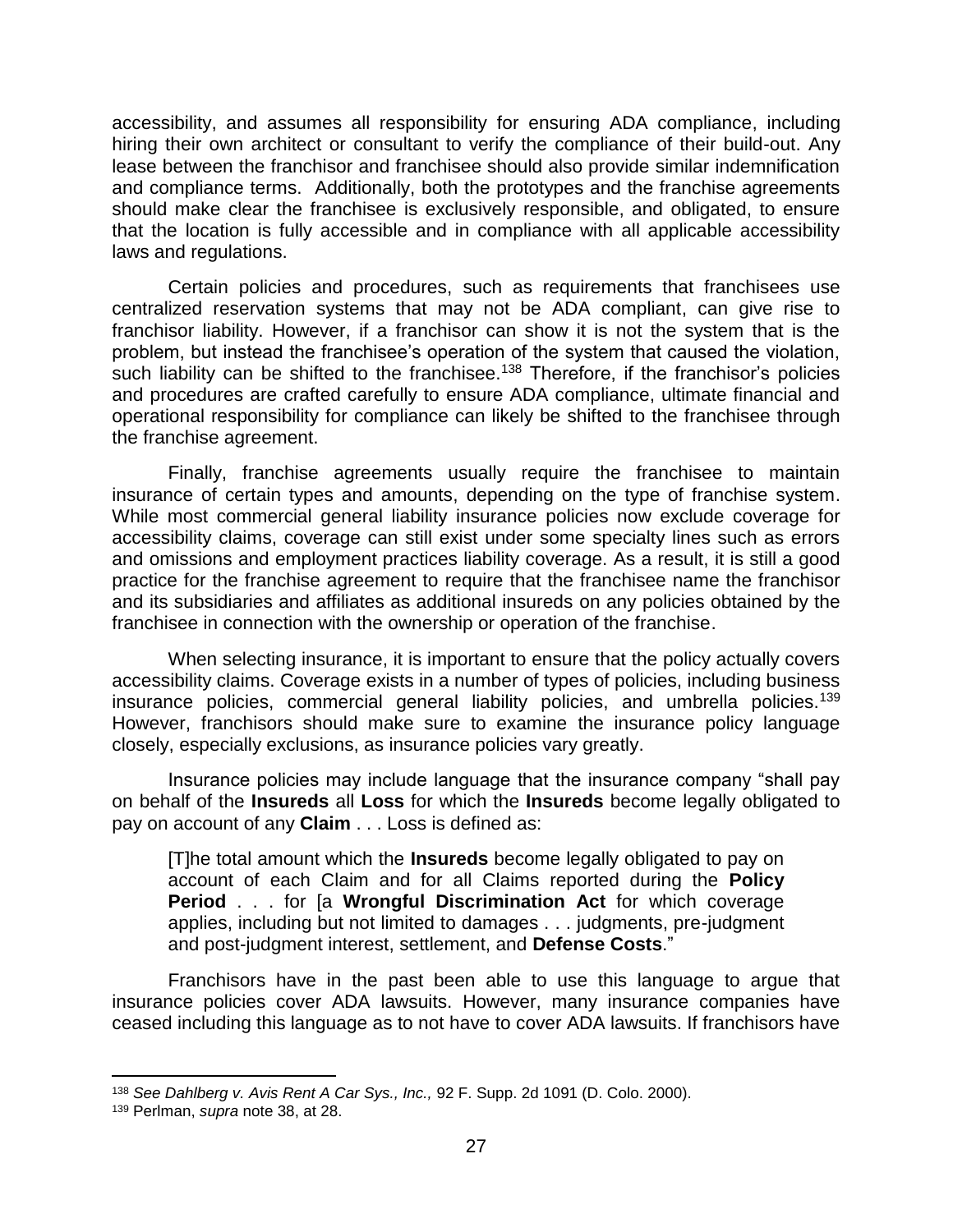accessibility, and assumes all responsibility for ensuring ADA compliance, including hiring their own architect or consultant to verify the compliance of their build-out. Any lease between the franchisor and franchisee should also provide similar indemnification and compliance terms. Additionally, both the prototypes and the franchise agreements should make clear the franchisee is exclusively responsible, and obligated, to ensure that the location is fully accessible and in compliance with all applicable accessibility laws and regulations.

Certain policies and procedures, such as requirements that franchisees use centralized reservation systems that may not be ADA compliant, can give rise to franchisor liability. However, if a franchisor can show it is not the system that is the problem, but instead the franchisee's operation of the system that caused the violation, such liability can be shifted to the franchisee.<sup>138</sup> Therefore, if the franchisor's policies and procedures are crafted carefully to ensure ADA compliance, ultimate financial and operational responsibility for compliance can likely be shifted to the franchisee through the franchise agreement.

Finally, franchise agreements usually require the franchisee to maintain insurance of certain types and amounts, depending on the type of franchise system. While most commercial general liability insurance policies now exclude coverage for accessibility claims, coverage can still exist under some specialty lines such as errors and omissions and employment practices liability coverage. As a result, it is still a good practice for the franchise agreement to require that the franchisee name the franchisor and its subsidiaries and affiliates as additional insureds on any policies obtained by the franchisee in connection with the ownership or operation of the franchise.

When selecting insurance, it is important to ensure that the policy actually covers accessibility claims. Coverage exists in a number of types of policies, including business insurance policies, commercial general liability policies, and umbrella policies.<sup>139</sup> However, franchisors should make sure to examine the insurance policy language closely, especially exclusions, as insurance policies vary greatly.

Insurance policies may include language that the insurance company "shall pay on behalf of the **Insureds** all **Loss** for which the **Insureds** become legally obligated to pay on account of any **Claim** . . . Loss is defined as:

[T]he total amount which the **Insureds** become legally obligated to pay on account of each Claim and for all Claims reported during the **Policy Period** . . . for [a **Wrongful Discrimination Act** for which coverage applies, including but not limited to damages . . . judgments, pre-judgment and post-judgment interest, settlement, and **Defense Costs**."

Franchisors have in the past been able to use this language to argue that insurance policies cover ADA lawsuits. However, many insurance companies have ceased including this language as to not have to cover ADA lawsuits. If franchisors have

 $\overline{a}$ 

<sup>138</sup> *See Dahlberg v. Avis Rent A Car Sys., Inc.,* 92 F. Supp. 2d 1091 (D. Colo. 2000).

<sup>139</sup> Perlman, *supra* note 38, at 28.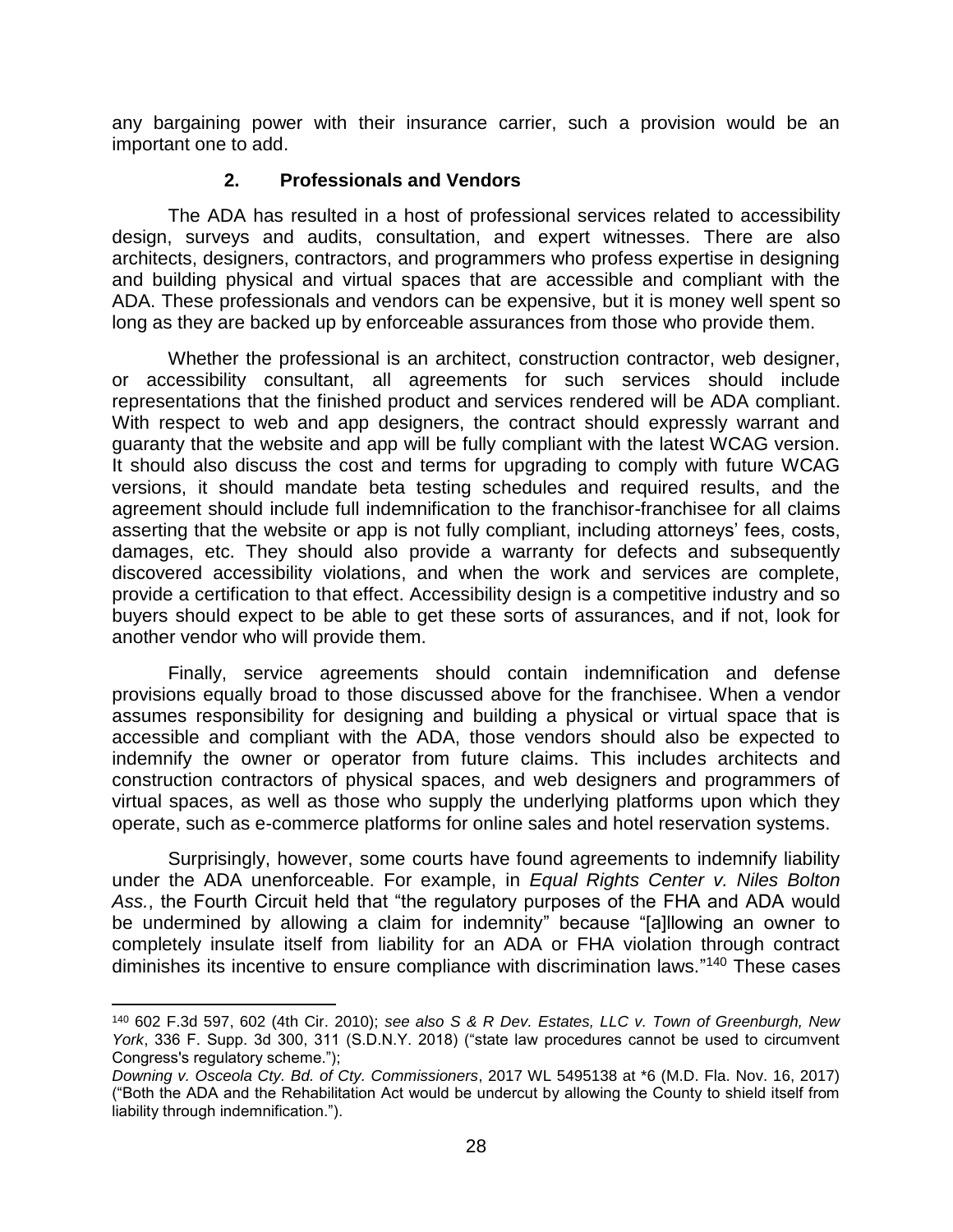any bargaining power with their insurance carrier, such a provision would be an important one to add.

#### **2. Professionals and Vendors**

The ADA has resulted in a host of professional services related to accessibility design, surveys and audits, consultation, and expert witnesses. There are also architects, designers, contractors, and programmers who profess expertise in designing and building physical and virtual spaces that are accessible and compliant with the ADA. These professionals and vendors can be expensive, but it is money well spent so long as they are backed up by enforceable assurances from those who provide them.

Whether the professional is an architect, construction contractor, web designer, or accessibility consultant, all agreements for such services should include representations that the finished product and services rendered will be ADA compliant. With respect to web and app designers, the contract should expressly warrant and guaranty that the website and app will be fully compliant with the latest WCAG version. It should also discuss the cost and terms for upgrading to comply with future WCAG versions, it should mandate beta testing schedules and required results, and the agreement should include full indemnification to the franchisor-franchisee for all claims asserting that the website or app is not fully compliant, including attorneys' fees, costs, damages, etc. They should also provide a warranty for defects and subsequently discovered accessibility violations, and when the work and services are complete, provide a certification to that effect. Accessibility design is a competitive industry and so buyers should expect to be able to get these sorts of assurances, and if not, look for another vendor who will provide them.

Finally, service agreements should contain indemnification and defense provisions equally broad to those discussed above for the franchisee. When a vendor assumes responsibility for designing and building a physical or virtual space that is accessible and compliant with the ADA, those vendors should also be expected to indemnify the owner or operator from future claims. This includes architects and construction contractors of physical spaces, and web designers and programmers of virtual spaces, as well as those who supply the underlying platforms upon which they operate, such as e-commerce platforms for online sales and hotel reservation systems.

Surprisingly, however, some courts have found agreements to indemnify liability under the ADA unenforceable. For example, in *Equal Rights Center v. Niles Bolton Ass.*, the Fourth Circuit held that "the regulatory purposes of the FHA and ADA would be undermined by allowing a claim for indemnity" because "[a]llowing an owner to completely insulate itself from liability for an ADA or FHA violation through contract diminishes its incentive to ensure compliance with discrimination laws."<sup>140</sup> These cases

<sup>140</sup> 602 F.3d 597, 602 (4th Cir. 2010); *see also S & R Dev. Estates, LLC v. Town of Greenburgh, New York*, 336 F. Supp. 3d 300, 311 (S.D.N.Y. 2018) ("state law procedures cannot be used to circumvent Congress's regulatory scheme.");

*Downing v. Osceola Cty. Bd. of Cty. Commissioners*, 2017 WL 5495138 at \*6 (M.D. Fla. Nov. 16, 2017) ("Both the ADA and the Rehabilitation Act would be undercut by allowing the County to shield itself from liability through indemnification.").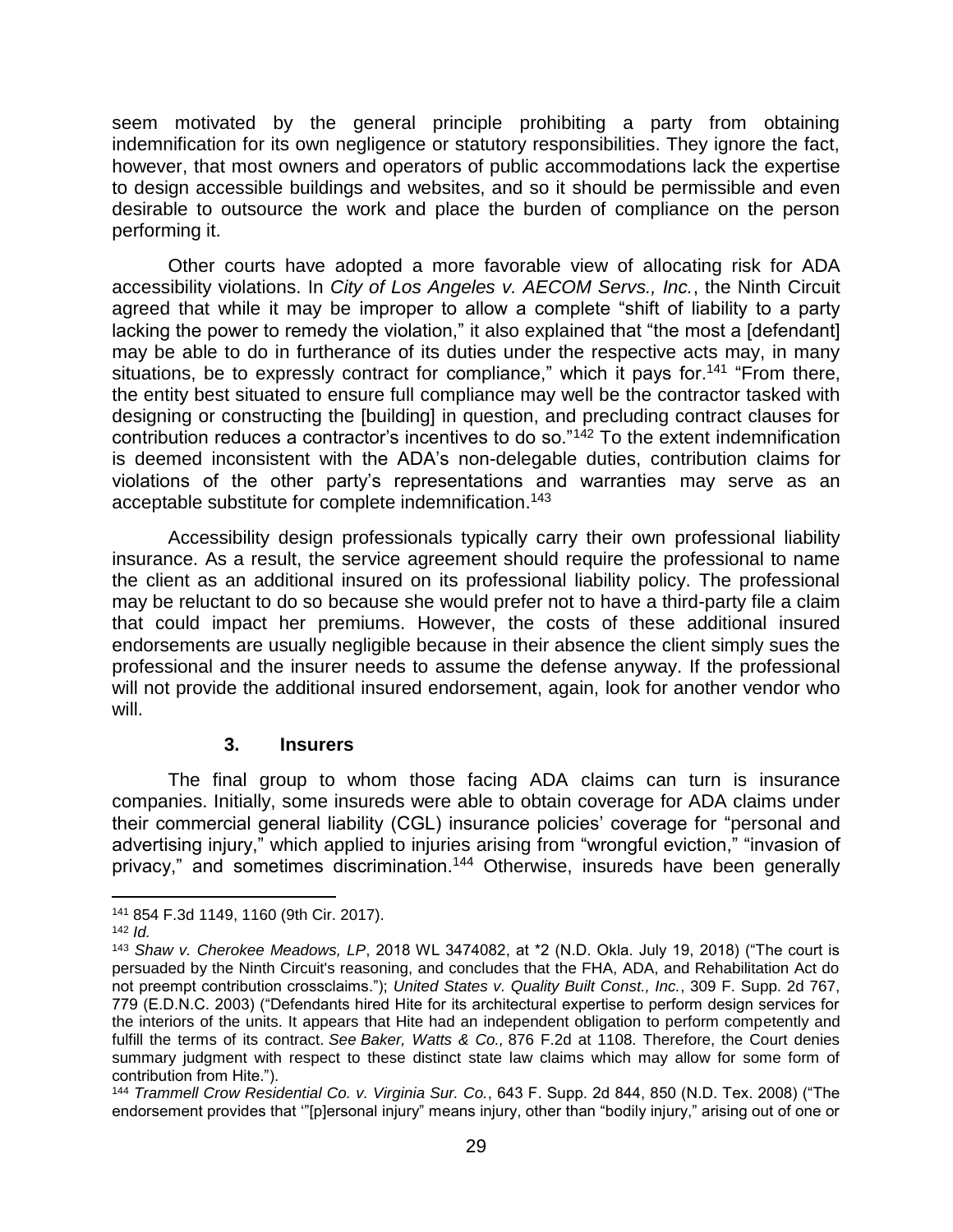seem motivated by the general principle prohibiting a party from obtaining indemnification for its own negligence or statutory responsibilities. They ignore the fact, however, that most owners and operators of public accommodations lack the expertise to design accessible buildings and websites, and so it should be permissible and even desirable to outsource the work and place the burden of compliance on the person performing it.

Other courts have adopted a more favorable view of allocating risk for ADA accessibility violations. In *City of Los Angeles v. AECOM Servs., Inc.*, the Ninth Circuit agreed that while it may be improper to allow a complete "shift of liability to a party lacking the power to remedy the violation," it also explained that "the most a [defendant] may be able to do in furtherance of its duties under the respective acts may, in many situations, be to expressly contract for compliance," which it pays for.<sup>141</sup> "From there, the entity best situated to ensure full compliance may well be the contractor tasked with designing or constructing the [building] in question, and precluding contract clauses for contribution reduces a contractor's incentives to do so."<sup>142</sup> To the extent indemnification is deemed inconsistent with the ADA's non-delegable duties, contribution claims for violations of the other party's representations and warranties may serve as an acceptable substitute for complete indemnification. 143

Accessibility design professionals typically carry their own professional liability insurance. As a result, the service agreement should require the professional to name the client as an additional insured on its professional liability policy. The professional may be reluctant to do so because she would prefer not to have a third-party file a claim that could impact her premiums. However, the costs of these additional insured endorsements are usually negligible because in their absence the client simply sues the professional and the insurer needs to assume the defense anyway. If the professional will not provide the additional insured endorsement, again, look for another vendor who will.

#### **3. Insurers**

The final group to whom those facing ADA claims can turn is insurance companies. Initially, some insureds were able to obtain coverage for ADA claims under their commercial general liability (CGL) insurance policies' coverage for "personal and advertising injury," which applied to injuries arising from "wrongful eviction," "invasion of privacy," and sometimes discrimination.<sup>144</sup> Otherwise, insureds have been generally

 $\overline{\phantom{a}}$ <sup>141</sup> 854 F.3d 1149, 1160 (9th Cir. 2017).

<sup>142</sup> *Id.*

<sup>143</sup> *Shaw v. Cherokee Meadows, LP*, 2018 WL 3474082, at \*2 (N.D. Okla. July 19, 2018) ("The court is persuaded by the Ninth Circuit's reasoning, and concludes that the FHA, ADA, and Rehabilitation Act do not preempt contribution crossclaims."); *United States v. Quality Built Const., Inc.*, 309 F. Supp. 2d 767, 779 (E.D.N.C. 2003) ("Defendants hired Hite for its architectural expertise to perform design services for the interiors of the units. It appears that Hite had an independent obligation to perform competently and fulfill the terms of its contract. *See Baker, Watts & Co.,* 876 F.2d at 1108. Therefore, the Court denies summary judgment with respect to these distinct state law claims which may allow for some form of contribution from Hite.").

<sup>144</sup> *Trammell Crow Residential Co. v. Virginia Sur. Co.*, 643 F. Supp. 2d 844, 850 (N.D. Tex. 2008) ("The endorsement provides that '"[p]ersonal injury" means injury, other than "bodily injury," arising out of one or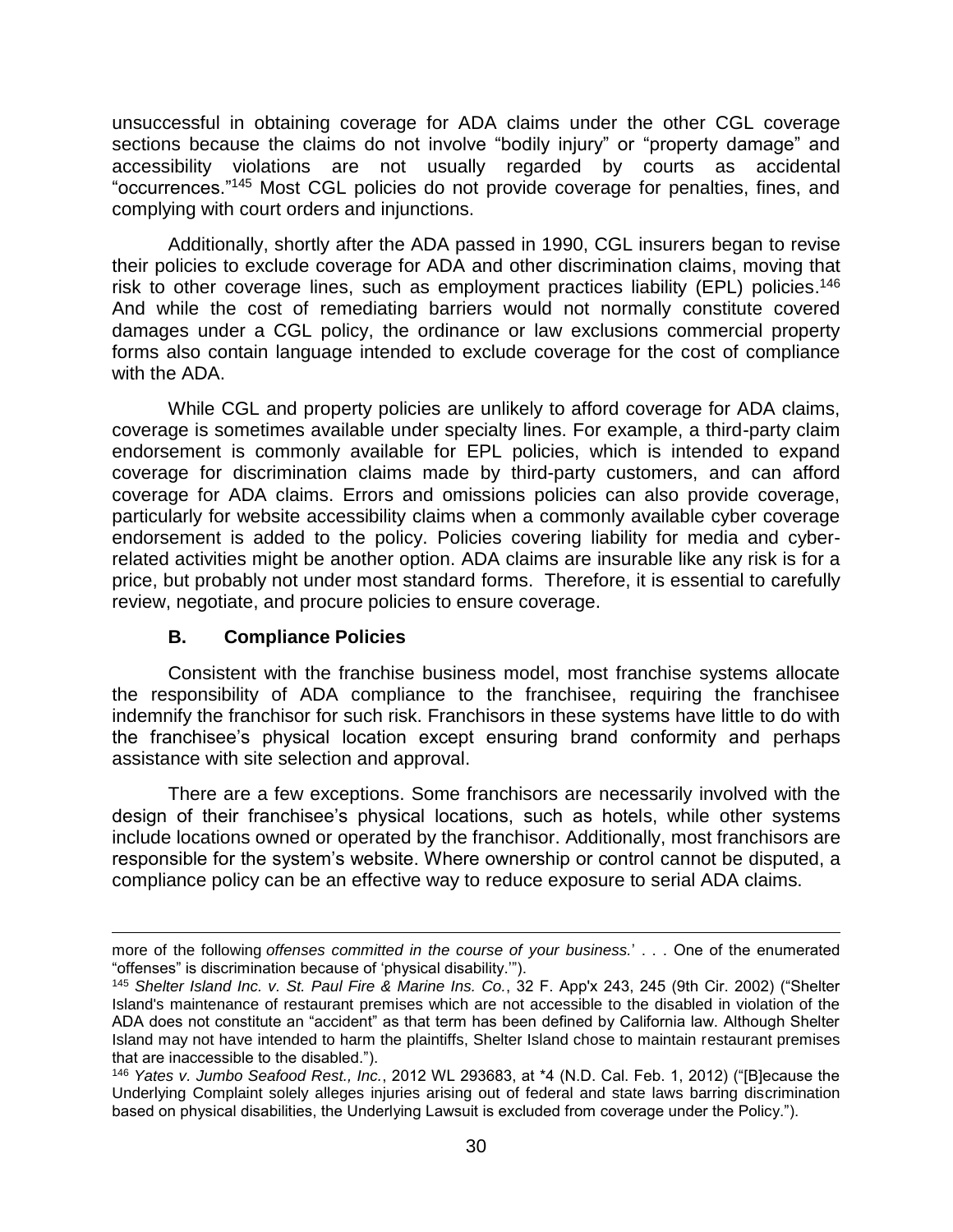unsuccessful in obtaining coverage for ADA claims under the other CGL coverage sections because the claims do not involve "bodily injury" or "property damage" and accessibility violations are not usually regarded by courts as accidental "occurrences." <sup>145</sup> Most CGL policies do not provide coverage for penalties, fines, and complying with court orders and injunctions.

Additionally, shortly after the ADA passed in 1990, CGL insurers began to revise their policies to exclude coverage for ADA and other discrimination claims, moving that risk to other coverage lines, such as employment practices liability (EPL) policies.<sup>146</sup> And while the cost of remediating barriers would not normally constitute covered damages under a CGL policy, the ordinance or law exclusions commercial property forms also contain language intended to exclude coverage for the cost of compliance with the ADA.

While CGL and property policies are unlikely to afford coverage for ADA claims, coverage is sometimes available under specialty lines. For example, a third-party claim endorsement is commonly available for EPL policies, which is intended to expand coverage for discrimination claims made by third-party customers, and can afford coverage for ADA claims. Errors and omissions policies can also provide coverage, particularly for website accessibility claims when a commonly available cyber coverage endorsement is added to the policy. Policies covering liability for media and cyberrelated activities might be another option. ADA claims are insurable like any risk is for a price, but probably not under most standard forms. Therefore, it is essential to carefully review, negotiate, and procure policies to ensure coverage.

## **B. Compliance Policies**

Consistent with the franchise business model, most franchise systems allocate the responsibility of ADA compliance to the franchisee, requiring the franchisee indemnify the franchisor for such risk. Franchisors in these systems have little to do with the franchisee's physical location except ensuring brand conformity and perhaps assistance with site selection and approval.

There are a few exceptions. Some franchisors are necessarily involved with the design of their franchisee's physical locations, such as hotels, while other systems include locations owned or operated by the franchisor. Additionally, most franchisors are responsible for the system's website. Where ownership or control cannot be disputed, a compliance policy can be an effective way to reduce exposure to serial ADA claims.

 $\overline{\phantom{a}}$ more of the following *offenses committed in the course of your business.*' . . . One of the enumerated "offenses" is discrimination because of 'physical disability.'").

<sup>145</sup> *Shelter Island Inc. v. St. Paul Fire & Marine Ins. Co.*, 32 F. App'x 243, 245 (9th Cir. 2002) ("Shelter Island's maintenance of restaurant premises which are not accessible to the disabled in violation of the ADA does not constitute an "accident" as that term has been defined by California law. Although Shelter Island may not have intended to harm the plaintiffs, Shelter Island chose to maintain restaurant premises that are inaccessible to the disabled.").

<sup>146</sup> *Yates v. Jumbo Seafood Rest., Inc.*, 2012 WL 293683, at \*4 (N.D. Cal. Feb. 1, 2012) ("[B]ecause the Underlying Complaint solely alleges injuries arising out of federal and state laws barring discrimination based on physical disabilities, the Underlying Lawsuit is excluded from coverage under the Policy.").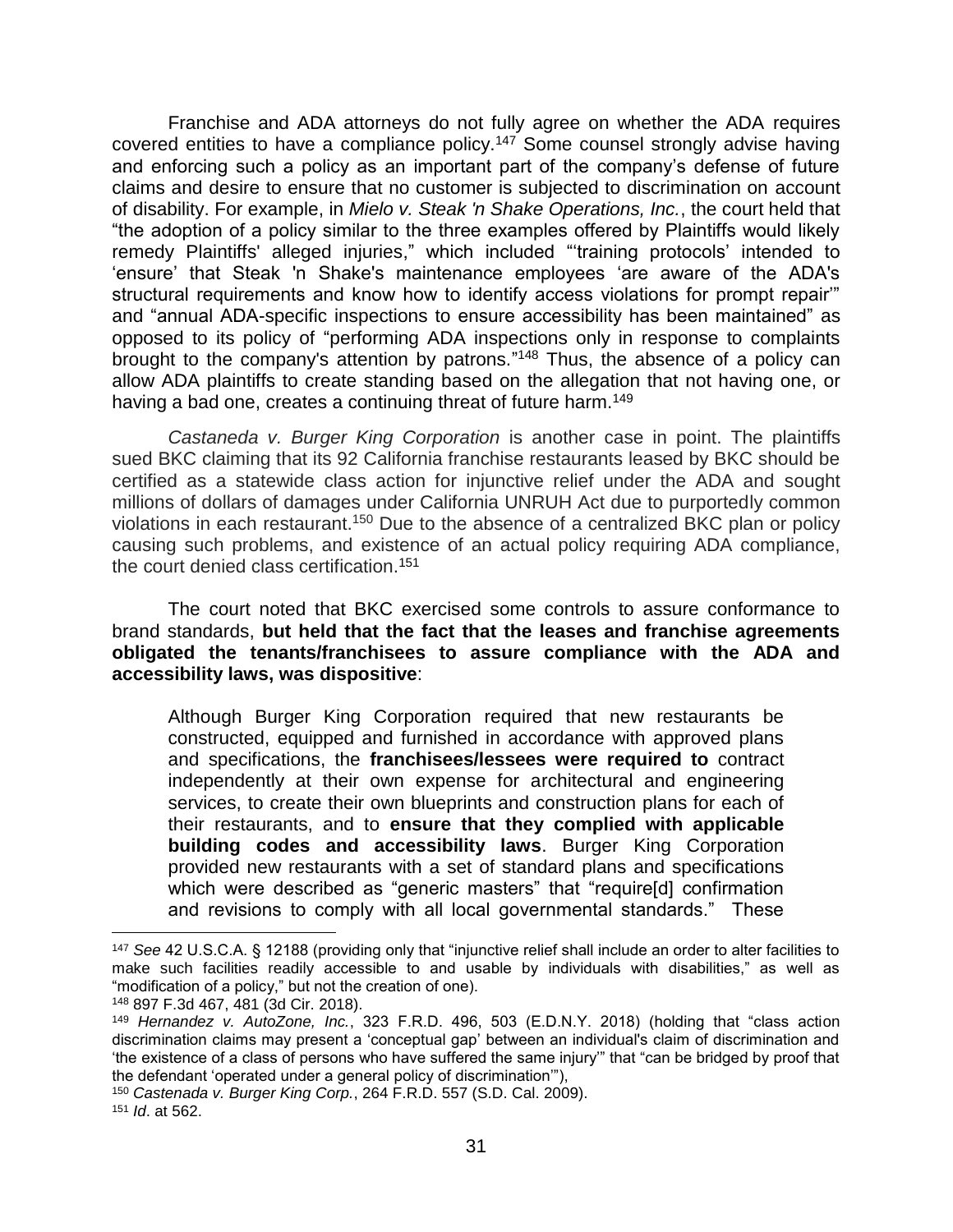Franchise and ADA attorneys do not fully agree on whether the ADA requires covered entities to have a compliance policy.<sup>147</sup> Some counsel strongly advise having and enforcing such a policy as an important part of the company's defense of future claims and desire to ensure that no customer is subjected to discrimination on account of disability. For example, in *Mielo v. Steak 'n Shake Operations, Inc.*, the court held that "the adoption of a policy similar to the three examples offered by Plaintiffs would likely remedy Plaintiffs' alleged injuries," which included "'training protocols' intended to 'ensure' that Steak 'n Shake's maintenance employees 'are aware of the ADA's structural requirements and know how to identify access violations for prompt repair'" and "annual ADA-specific inspections to ensure accessibility has been maintained" as opposed to its policy of "performing ADA inspections only in response to complaints brought to the company's attention by patrons."<sup>148</sup> Thus, the absence of a policy can allow ADA plaintiffs to create standing based on the allegation that not having one, or having a bad one, creates a continuing threat of future harm.<sup>149</sup>

*Castaneda v. Burger King Corporation* is another case in point. The plaintiffs sued BKC claiming that its 92 California franchise restaurants leased by BKC should be certified as a statewide class action for injunctive relief under the ADA and sought millions of dollars of damages under California UNRUH Act due to purportedly common violations in each restaurant.<sup>150</sup> Due to the absence of a centralized BKC plan or policy causing such problems, and existence of an actual policy requiring ADA compliance, the court denied class certification.<sup>151</sup>

The court noted that BKC exercised some controls to assure conformance to brand standards, **but held that the fact that the leases and franchise agreements obligated the tenants/franchisees to assure compliance with the ADA and accessibility laws, was dispositive**:

Although Burger King Corporation required that new restaurants be constructed, equipped and furnished in accordance with approved plans and specifications, the **franchisees/lessees were required to** contract independently at their own expense for architectural and engineering services, to create their own blueprints and construction plans for each of their restaurants, and to **ensure that they complied with applicable building codes and accessibility laws**. Burger King Corporation provided new restaurants with a set of standard plans and specifications which were described as "generic masters" that "require[d] confirmation and revisions to comply with all local governmental standards." These

<sup>147</sup> *See* 42 U.S.C.A. § 12188 (providing only that "injunctive relief shall include an order to alter facilities to make such facilities readily accessible to and usable by individuals with disabilities," as well as "modification of a policy," but not the creation of one).

<sup>148</sup> 897 F.3d 467, 481 (3d Cir. 2018).

<sup>149</sup> *Hernandez v. AutoZone, Inc.*, 323 F.R.D. 496, 503 (E.D.N.Y. 2018) (holding that "class action discrimination claims may present a 'conceptual gap' between an individual's claim of discrimination and 'the existence of a class of persons who have suffered the same injury'" that "can be bridged by proof that the defendant 'operated under a general policy of discrimination'"),

<sup>150</sup> *Castenada v. Burger King Corp.*, 264 F.R.D. 557 (S.D. Cal. 2009).

<sup>151</sup> *Id*. at 562.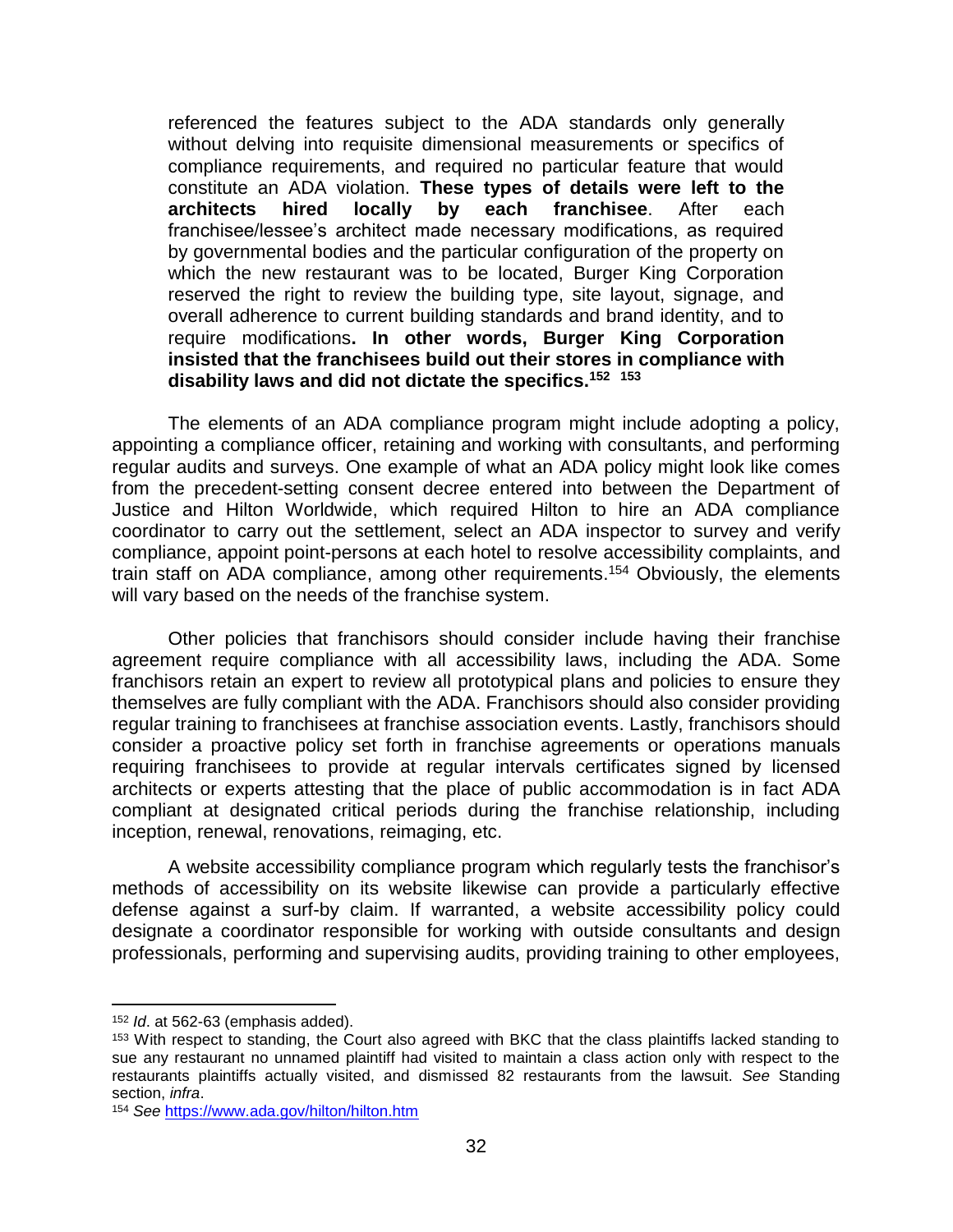referenced the features subject to the ADA standards only generally without delving into requisite dimensional measurements or specifics of compliance requirements, and required no particular feature that would constitute an ADA violation. **These types of details were left to the architects hired locally by each franchisee**. After each franchisee/lessee's architect made necessary modifications, as required by governmental bodies and the particular configuration of the property on which the new restaurant was to be located, Burger King Corporation reserved the right to review the building type, site layout, signage, and overall adherence to current building standards and brand identity, and to require modifications**. In other words, Burger King Corporation insisted that the franchisees build out their stores in compliance with disability laws and did not dictate the specifics.<sup>152</sup> 153**

The elements of an ADA compliance program might include adopting a policy, appointing a compliance officer, retaining and working with consultants, and performing regular audits and surveys. One example of what an ADA policy might look like comes from the precedent-setting consent decree entered into between the Department of Justice and Hilton Worldwide, which required Hilton to hire an ADA compliance coordinator to carry out the settlement, select an ADA inspector to survey and verify compliance, appoint point-persons at each hotel to resolve accessibility complaints, and train staff on ADA compliance, among other requirements. <sup>154</sup> Obviously, the elements will vary based on the needs of the franchise system.

Other policies that franchisors should consider include having their franchise agreement require compliance with all accessibility laws, including the ADA. Some franchisors retain an expert to review all prototypical plans and policies to ensure they themselves are fully compliant with the ADA. Franchisors should also consider providing regular training to franchisees at franchise association events. Lastly, franchisors should consider a proactive policy set forth in franchise agreements or operations manuals requiring franchisees to provide at regular intervals certificates signed by licensed architects or experts attesting that the place of public accommodation is in fact ADA compliant at designated critical periods during the franchise relationship, including inception, renewal, renovations, reimaging, etc.

A website accessibility compliance program which regularly tests the franchisor's methods of accessibility on its website likewise can provide a particularly effective defense against a surf-by claim. If warranted, a website accessibility policy could designate a coordinator responsible for working with outside consultants and design professionals, performing and supervising audits, providing training to other employees,

<sup>152</sup> *Id*. at 562-63 (emphasis added).

<sup>&</sup>lt;sup>153</sup> With respect to standing, the Court also agreed with BKC that the class plaintiffs lacked standing to sue any restaurant no unnamed plaintiff had visited to maintain a class action only with respect to the restaurants plaintiffs actually visited, and dismissed 82 restaurants from the lawsuit. *See* Standing section, *infra*.

<sup>154</sup> *See* <https://www.ada.gov/hilton/hilton.htm>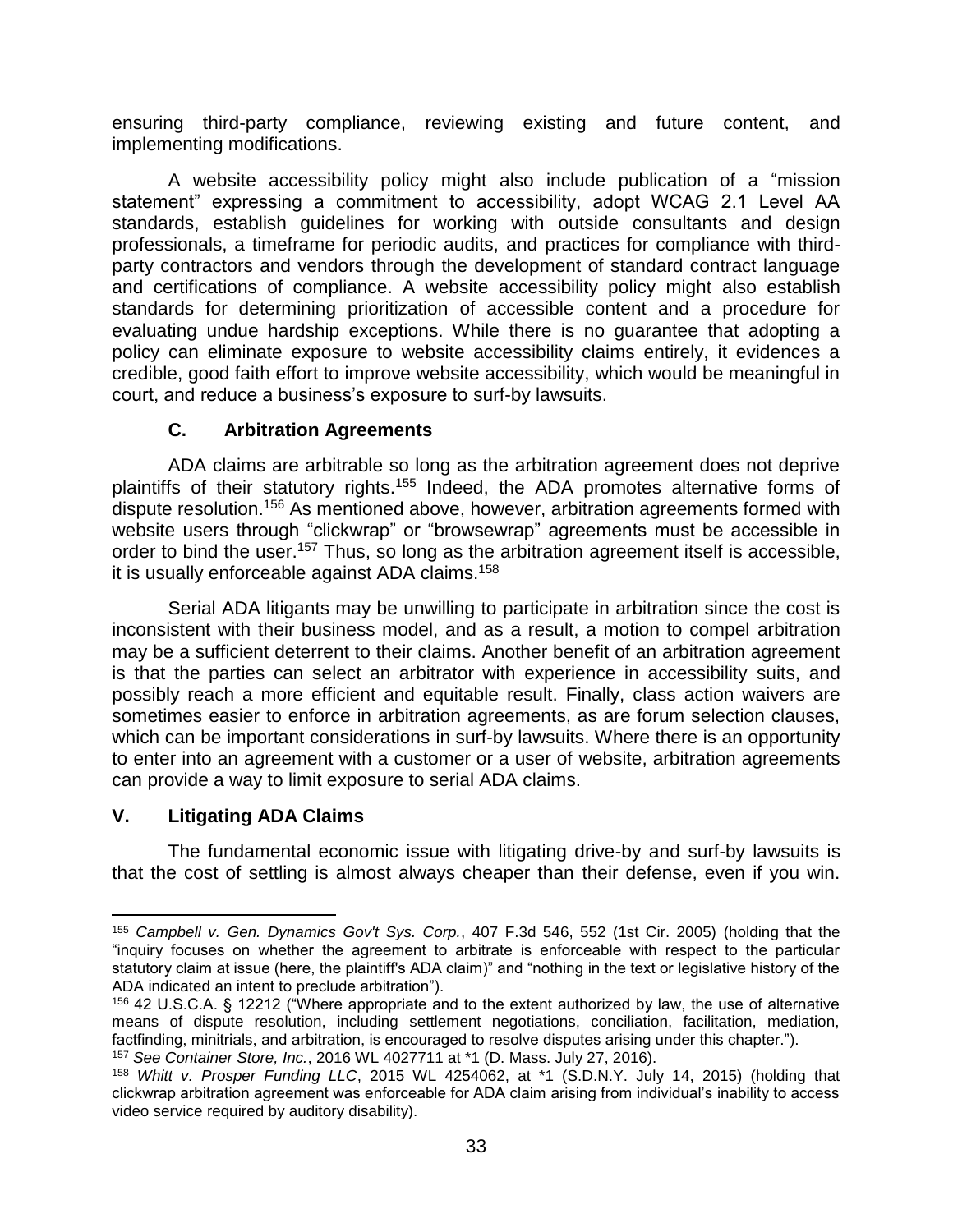ensuring third-party compliance, reviewing existing and future content, and implementing modifications.

A website accessibility policy might also include publication of a "mission statement" expressing a commitment to accessibility, adopt WCAG 2.1 Level AA standards, establish guidelines for working with outside consultants and design professionals, a timeframe for periodic audits, and practices for compliance with thirdparty contractors and vendors through the development of standard contract language and certifications of compliance. A website accessibility policy might also establish standards for determining prioritization of accessible content and a procedure for evaluating undue hardship exceptions. While there is no guarantee that adopting a policy can eliminate exposure to website accessibility claims entirely, it evidences a credible, good faith effort to improve website accessibility, which would be meaningful in court, and reduce a business's exposure to surf-by lawsuits.

#### **C. Arbitration Agreements**

ADA claims are arbitrable so long as the arbitration agreement does not deprive plaintiffs of their statutory rights.<sup>155</sup> Indeed, the ADA promotes alternative forms of dispute resolution.<sup>156</sup> As mentioned above, however, arbitration agreements formed with website users through "clickwrap" or "browsewrap" agreements must be accessible in order to bind the user.<sup>157</sup> Thus, so long as the arbitration agreement itself is accessible, it is usually enforceable against ADA claims.<sup>158</sup>

Serial ADA litigants may be unwilling to participate in arbitration since the cost is inconsistent with their business model, and as a result, a motion to compel arbitration may be a sufficient deterrent to their claims. Another benefit of an arbitration agreement is that the parties can select an arbitrator with experience in accessibility suits, and possibly reach a more efficient and equitable result. Finally, class action waivers are sometimes easier to enforce in arbitration agreements, as are forum selection clauses, which can be important considerations in surf-by lawsuits. Where there is an opportunity to enter into an agreement with a customer or a user of website, arbitration agreements can provide a way to limit exposure to serial ADA claims.

## **V. Litigating ADA Claims**

l

The fundamental economic issue with litigating drive-by and surf-by lawsuits is that the cost of settling is almost always cheaper than their defense, even if you win.

<sup>155</sup> *Campbell v. Gen. Dynamics Gov't Sys. Corp.*, 407 F.3d 546, 552 (1st Cir. 2005) (holding that the "inquiry focuses on whether the agreement to arbitrate is enforceable with respect to the particular statutory claim at issue (here, the plaintiff's ADA claim)" and "nothing in the text or legislative history of the ADA indicated an intent to preclude arbitration").

<sup>156</sup> 42 U.S.C.A. § 12212 ("Where appropriate and to the extent authorized by law, the use of alternative means of dispute resolution, including settlement negotiations, conciliation, facilitation, mediation, factfinding, minitrials, and arbitration, is encouraged to resolve disputes arising under this chapter."). <sup>157</sup> *See Container Store, Inc.*, 2016 WL 4027711 at \*1 (D. Mass. July 27, 2016).

<sup>158</sup> *Whitt v. Prosper Funding LLC*, 2015 WL 4254062, at \*1 (S.D.N.Y. July 14, 2015) (holding that clickwrap arbitration agreement was enforceable for ADA claim arising from individual's inability to access video service required by auditory disability).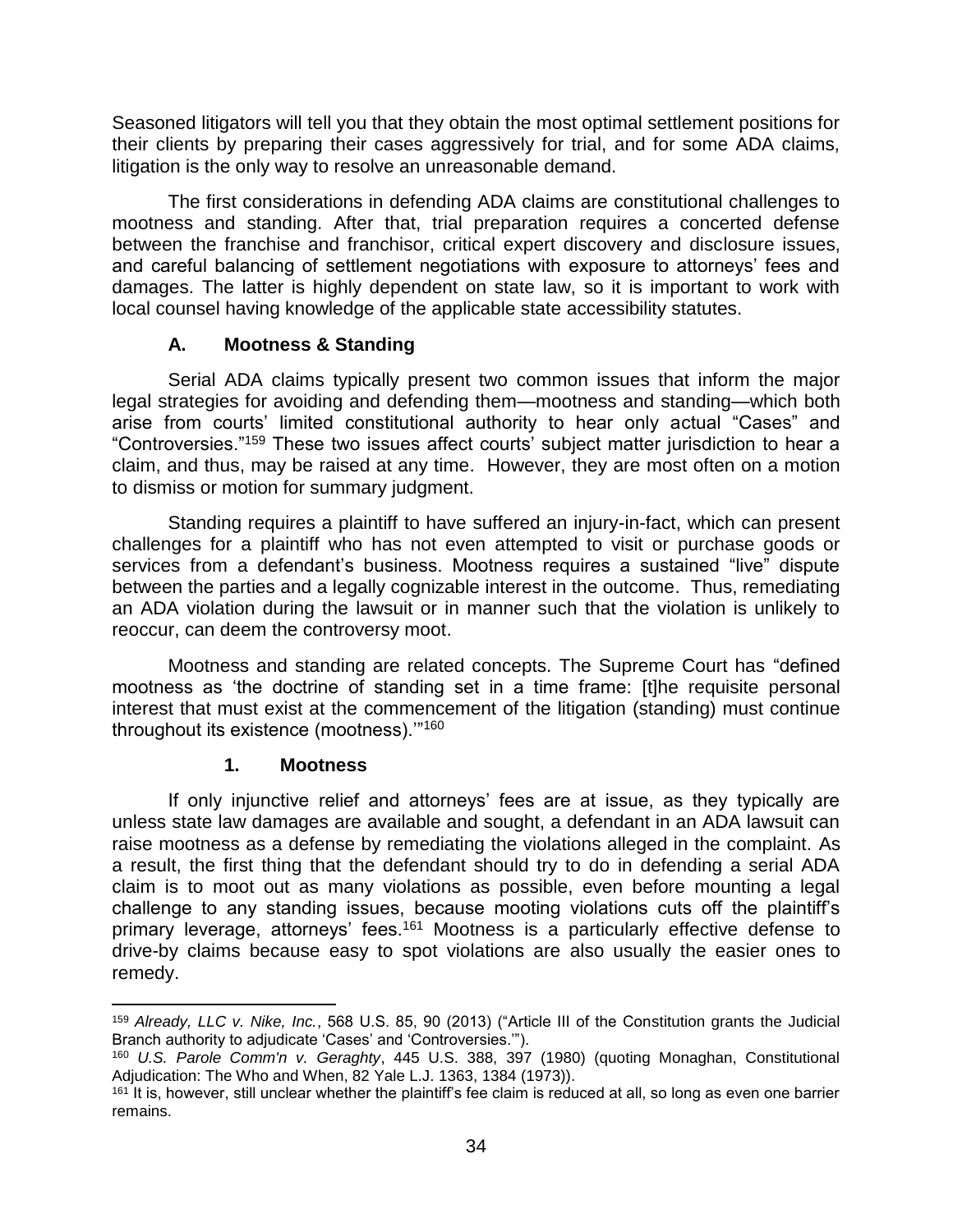Seasoned litigators will tell you that they obtain the most optimal settlement positions for their clients by preparing their cases aggressively for trial, and for some ADA claims, litigation is the only way to resolve an unreasonable demand.

The first considerations in defending ADA claims are constitutional challenges to mootness and standing. After that, trial preparation requires a concerted defense between the franchise and franchisor, critical expert discovery and disclosure issues, and careful balancing of settlement negotiations with exposure to attorneys' fees and damages. The latter is highly dependent on state law, so it is important to work with local counsel having knowledge of the applicable state accessibility statutes.

## **A. Mootness & Standing**

Serial ADA claims typically present two common issues that inform the major legal strategies for avoiding and defending them—mootness and standing—which both arise from courts' limited constitutional authority to hear only actual "Cases" and "Controversies."<sup>159</sup> These two issues affect courts' subject matter jurisdiction to hear a claim, and thus, may be raised at any time. However, they are most often on a motion to dismiss or motion for summary judgment.

Standing requires a plaintiff to have suffered an injury-in-fact, which can present challenges for a plaintiff who has not even attempted to visit or purchase goods or services from a defendant's business. Mootness requires a sustained "live" dispute between the parties and a legally cognizable interest in the outcome. Thus, remediating an ADA violation during the lawsuit or in manner such that the violation is unlikely to reoccur, can deem the controversy moot.

Mootness and standing are related concepts. The Supreme Court has "defined mootness as 'the doctrine of standing set in a time frame: [t]he requisite personal interest that must exist at the commencement of the litigation (standing) must continue throughout its existence (mootness).'"<sup>160</sup>

#### **1. Mootness**

If only injunctive relief and attorneys' fees are at issue, as they typically are unless state law damages are available and sought, a defendant in an ADA lawsuit can raise mootness as a defense by remediating the violations alleged in the complaint. As a result, the first thing that the defendant should try to do in defending a serial ADA claim is to moot out as many violations as possible, even before mounting a legal challenge to any standing issues, because mooting violations cuts off the plaintiff's primary leverage, attorneys' fees.<sup>161</sup> Mootness is a particularly effective defense to drive-by claims because easy to spot violations are also usually the easier ones to remedy.

 $\overline{\phantom{a}}$ <sup>159</sup> *Already, LLC v. Nike, Inc.*, 568 U.S. 85, 90 (2013) ("Article III of the Constitution grants the Judicial Branch authority to adjudicate 'Cases' and 'Controversies.'").

<sup>160</sup> *U.S. Parole Comm'n v. Geraghty*, 445 U.S. 388, 397 (1980) (quoting Monaghan, Constitutional Adjudication: The Who and When, 82 Yale L.J. 1363, 1384 (1973)).

<sup>&</sup>lt;sup>161</sup> It is, however, still unclear whether the plaintiff's fee claim is reduced at all, so long as even one barrier remains.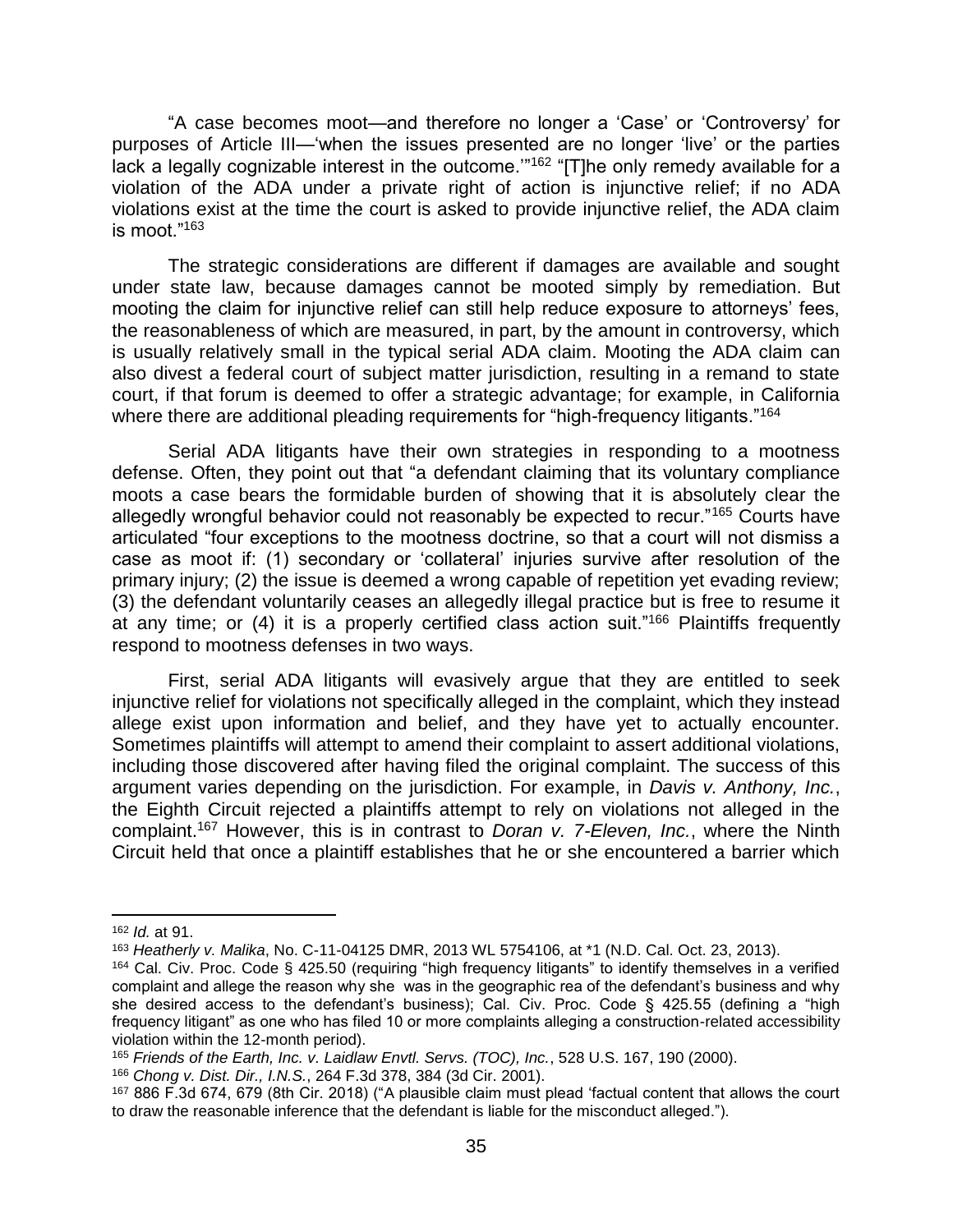"A case becomes moot—and therefore no longer a 'Case' or 'Controversy' for purposes of Article III—'when the issues presented are no longer 'live' or the parties lack a legally cognizable interest in the outcome.'"<sup>162</sup> "[T]he only remedy available for a violation of the ADA under a private right of action is injunctive relief; if no ADA violations exist at the time the court is asked to provide injunctive relief, the ADA claim is moot."<sup>163</sup>

The strategic considerations are different if damages are available and sought under state law, because damages cannot be mooted simply by remediation. But mooting the claim for injunctive relief can still help reduce exposure to attorneys' fees, the reasonableness of which are measured, in part, by the amount in controversy, which is usually relatively small in the typical serial ADA claim. Mooting the ADA claim can also divest a federal court of subject matter jurisdiction, resulting in a remand to state court, if that forum is deemed to offer a strategic advantage; for example, in California where there are additional pleading requirements for "high-frequency litigants."<sup>164</sup>

Serial ADA litigants have their own strategies in responding to a mootness defense. Often, they point out that "a defendant claiming that its voluntary compliance moots a case bears the formidable burden of showing that it is absolutely clear the allegedly wrongful behavior could not reasonably be expected to recur."<sup>165</sup> Courts have articulated "four exceptions to the mootness doctrine, so that a court will not dismiss a case as moot if: (1) secondary or 'collateral' injuries survive after resolution of the primary injury; (2) the issue is deemed a wrong capable of repetition yet evading review; (3) the defendant voluntarily ceases an allegedly illegal practice but is free to resume it at any time; or (4) it is a properly certified class action suit."<sup>166</sup> Plaintiffs frequently respond to mootness defenses in two ways.

First, serial ADA litigants will evasively argue that they are entitled to seek injunctive relief for violations not specifically alleged in the complaint, which they instead allege exist upon information and belief, and they have yet to actually encounter. Sometimes plaintiffs will attempt to amend their complaint to assert additional violations, including those discovered after having filed the original complaint. The success of this argument varies depending on the jurisdiction. For example, in *Davis v. Anthony, Inc.*, the Eighth Circuit rejected a plaintiffs attempt to rely on violations not alleged in the complaint.<sup>167</sup> However, this is in contrast to *Doran v. 7-Eleven, Inc.*, where the Ninth Circuit held that once a plaintiff establishes that he or she encountered a barrier which

l

<sup>162</sup> *Id.* at 91.

<sup>163</sup> *Heatherly v. Malika*, No. C-11-04125 DMR, 2013 WL 5754106, at \*1 (N.D. Cal. Oct. 23, 2013).

<sup>164</sup> Cal. Civ. Proc. Code § 425.50 (requiring "high frequency litigants" to identify themselves in a verified complaint and allege the reason why she was in the geographic rea of the defendant's business and why she desired access to the defendant's business); Cal. Civ. Proc. Code § 425.55 (defining a "high frequency litigant" as one who has filed 10 or more complaints alleging a construction-related accessibility violation within the 12-month period).

<sup>165</sup> *Friends of the Earth, Inc. v. Laidlaw Envtl. Servs. (TOC), Inc.*, 528 U.S. 167, 190 (2000).

<sup>166</sup> *Chong v. Dist. Dir., I.N.S.*, 264 F.3d 378, 384 (3d Cir. 2001).

<sup>167</sup> 886 F.3d 674, 679 (8th Cir. 2018) ("A plausible claim must plead 'factual content that allows the court to draw the reasonable inference that the defendant is liable for the misconduct alleged.").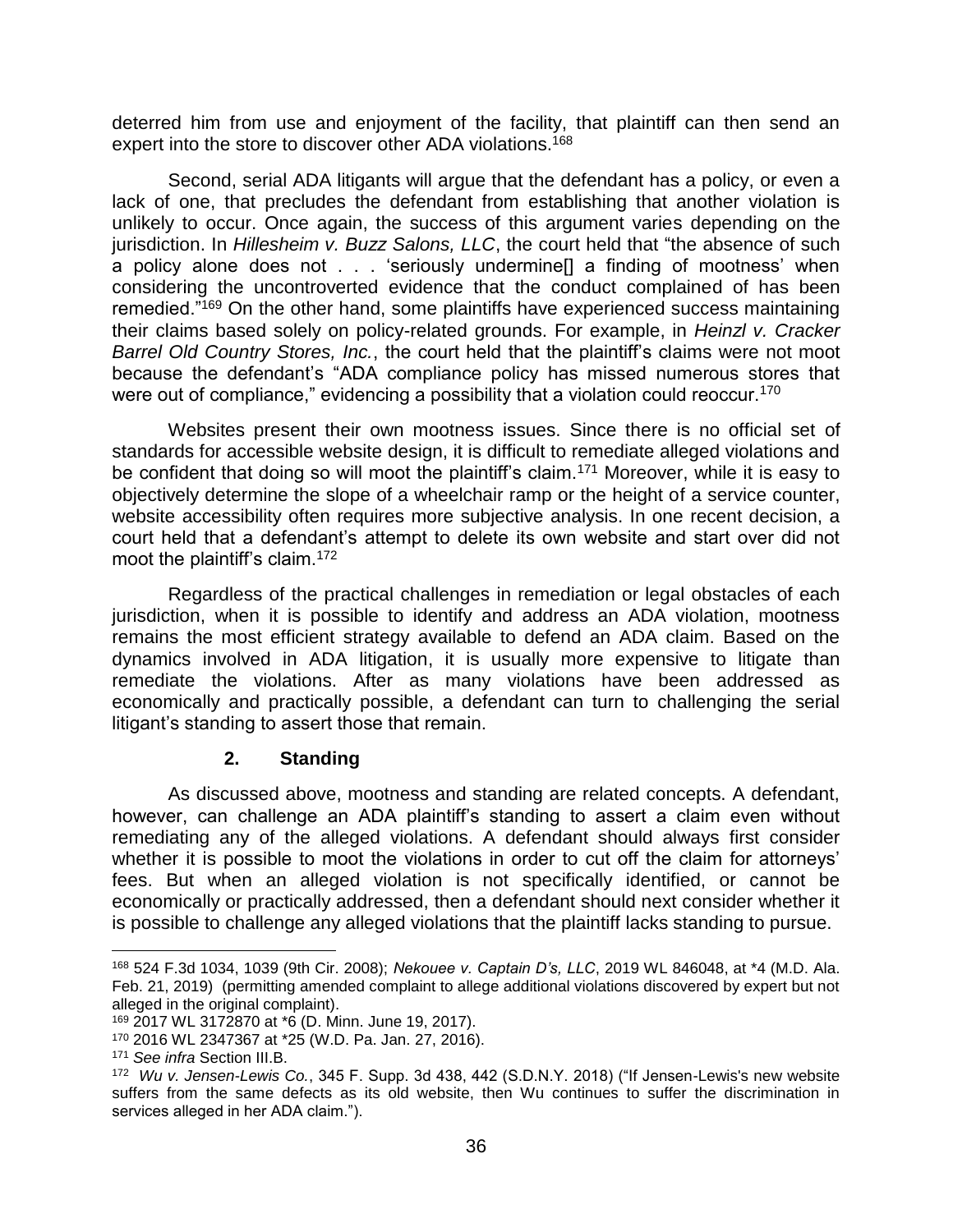deterred him from use and enjoyment of the facility, that plaintiff can then send an expert into the store to discover other ADA violations.<sup>168</sup>

Second, serial ADA litigants will argue that the defendant has a policy, or even a lack of one, that precludes the defendant from establishing that another violation is unlikely to occur. Once again, the success of this argument varies depending on the jurisdiction. In *Hillesheim v. Buzz Salons, LLC*, the court held that "the absence of such a policy alone does not . . . 'seriously undermine[] a finding of mootness' when considering the uncontroverted evidence that the conduct complained of has been remedied."<sup>169</sup> On the other hand, some plaintiffs have experienced success maintaining their claims based solely on policy-related grounds. For example, in *Heinzl v. Cracker Barrel Old Country Stores, Inc.*, the court held that the plaintiff's claims were not moot because the defendant's "ADA compliance policy has missed numerous stores that were out of compliance," evidencing a possibility that a violation could reoccur.<sup>170</sup>

Websites present their own mootness issues. Since there is no official set of standards for accessible website design, it is difficult to remediate alleged violations and be confident that doing so will moot the plaintiff's claim.<sup>171</sup> Moreover, while it is easy to objectively determine the slope of a wheelchair ramp or the height of a service counter, website accessibility often requires more subjective analysis. In one recent decision, a court held that a defendant's attempt to delete its own website and start over did not moot the plaintiff's claim.<sup>172</sup>

Regardless of the practical challenges in remediation or legal obstacles of each jurisdiction, when it is possible to identify and address an ADA violation, mootness remains the most efficient strategy available to defend an ADA claim. Based on the dynamics involved in ADA litigation, it is usually more expensive to litigate than remediate the violations. After as many violations have been addressed as economically and practically possible, a defendant can turn to challenging the serial litigant's standing to assert those that remain.

#### **2. Standing**

As discussed above, mootness and standing are related concepts. A defendant, however, can challenge an ADA plaintiff's standing to assert a claim even without remediating any of the alleged violations. A defendant should always first consider whether it is possible to moot the violations in order to cut off the claim for attorneys' fees. But when an alleged violation is not specifically identified, or cannot be economically or practically addressed, then a defendant should next consider whether it is possible to challenge any alleged violations that the plaintiff lacks standing to pursue.

<sup>168</sup> 524 F.3d 1034, 1039 (9th Cir. 2008); *Nekouee v. Captain D's, LLC*, 2019 WL 846048, at \*4 (M.D. Ala. Feb. 21, 2019) (permitting amended complaint to allege additional violations discovered by expert but not alleged in the original complaint).

<sup>169</sup> 2017 WL 3172870 at \*6 (D. Minn. June 19, 2017).

<sup>170</sup> 2016 WL 2347367 at \*25 (W.D. Pa. Jan. 27, 2016).

<sup>171</sup> *See infra* Section III.B.

<sup>172</sup> *Wu v. Jensen-Lewis Co.*, 345 F. Supp. 3d 438, 442 (S.D.N.Y. 2018) ("If Jensen-Lewis's new website suffers from the same defects as its old website, then Wu continues to suffer the discrimination in services alleged in her ADA claim.").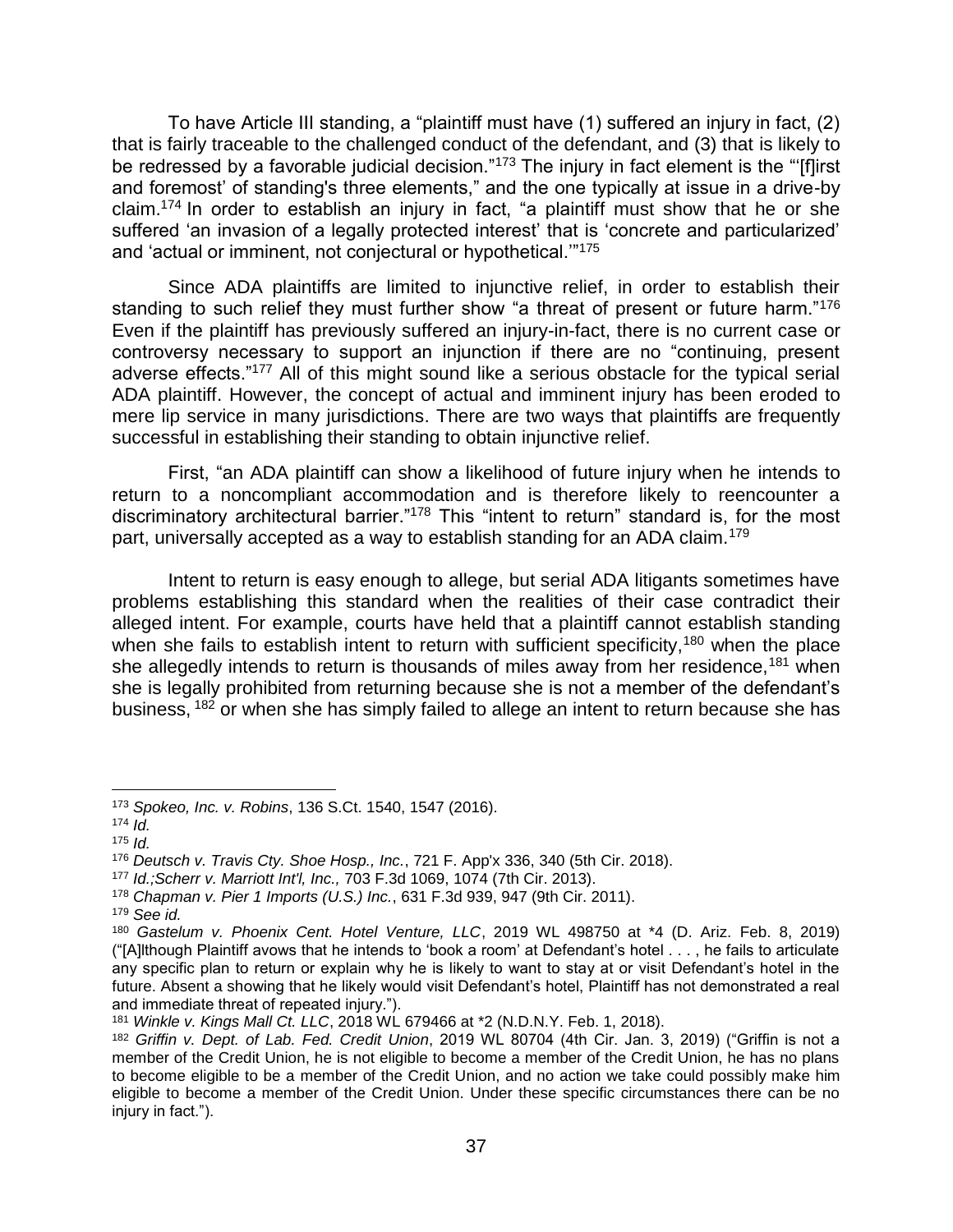To have Article III standing, a "plaintiff must have (1) suffered an injury in fact, (2) that is fairly traceable to the challenged conduct of the defendant, and (3) that is likely to be redressed by a favorable judicial decision."<sup>173</sup> The injury in fact element is the "'[f]irst and foremost' of standing's three elements," and the one typically at issue in a drive-by claim.<sup>174</sup> In order to establish an injury in fact, "a plaintiff must show that he or she suffered 'an invasion of a legally protected interest' that is 'concrete and particularized' and 'actual or imminent, not conjectural or hypothetical.'"<sup>175</sup>

Since ADA plaintiffs are limited to injunctive relief, in order to establish their standing to such relief they must further show "a threat of present or future harm."<sup>176</sup> Even if the plaintiff has previously suffered an injury-in-fact, there is no current case or controversy necessary to support an injunction if there are no "continuing, present adverse effects."<sup>177</sup> All of this might sound like a serious obstacle for the typical serial ADA plaintiff. However, the concept of actual and imminent injury has been eroded to mere lip service in many jurisdictions. There are two ways that plaintiffs are frequently successful in establishing their standing to obtain injunctive relief.

First, "an ADA plaintiff can show a likelihood of future injury when he intends to return to a noncompliant accommodation and is therefore likely to reencounter a discriminatory architectural barrier."<sup>178</sup> This "intent to return" standard is, for the most part, universally accepted as a way to establish standing for an ADA claim.<sup>179</sup>

Intent to return is easy enough to allege, but serial ADA litigants sometimes have problems establishing this standard when the realities of their case contradict their alleged intent. For example, courts have held that a plaintiff cannot establish standing when she fails to establish intent to return with sufficient specificity,<sup>180</sup> when the place she allegedly intends to return is thousands of miles away from her residence,<sup>181</sup> when she is legally prohibited from returning because she is not a member of the defendant's business, <sup>182</sup> or when she has simply failed to allege an intent to return because she has

<sup>173</sup> *Spokeo, Inc. v. Robins*, 136 S.Ct. 1540, 1547 (2016).

 $174$  *Id.* 

<sup>175</sup> *Id.*

<sup>176</sup> *Deutsch v. Travis Cty. Shoe Hosp., Inc.*, 721 F. App'x 336, 340 (5th Cir. 2018).

<sup>177</sup> *Id.;Scherr v. Marriott Int'l, Inc.,* 703 F.3d 1069, 1074 (7th Cir. 2013).

<sup>178</sup> *Chapman v. Pier 1 Imports (U.S.) Inc.*, 631 F.3d 939, 947 (9th Cir. 2011).

<sup>179</sup> *See id.*

<sup>180</sup> *Gastelum v. Phoenix Cent. Hotel Venture, LLC*, 2019 WL 498750 at \*4 (D. Ariz. Feb. 8, 2019) ("[A]lthough Plaintiff avows that he intends to 'book a room' at Defendant's hotel . . . , he fails to articulate any specific plan to return or explain why he is likely to want to stay at or visit Defendant's hotel in the future. Absent a showing that he likely would visit Defendant's hotel, Plaintiff has not demonstrated a real and immediate threat of repeated injury.").

<sup>181</sup> *Winkle v. Kings Mall Ct. LLC*, 2018 WL 679466 at \*2 (N.D.N.Y. Feb. 1, 2018).

<sup>182</sup> *Griffin v. Dept. of Lab. Fed. Credit Union*, 2019 WL 80704 (4th Cir. Jan. 3, 2019) ("Griffin is not a member of the Credit Union, he is not eligible to become a member of the Credit Union, he has no plans to become eligible to be a member of the Credit Union, and no action we take could possibly make him eligible to become a member of the Credit Union. Under these specific circumstances there can be no injury in fact.").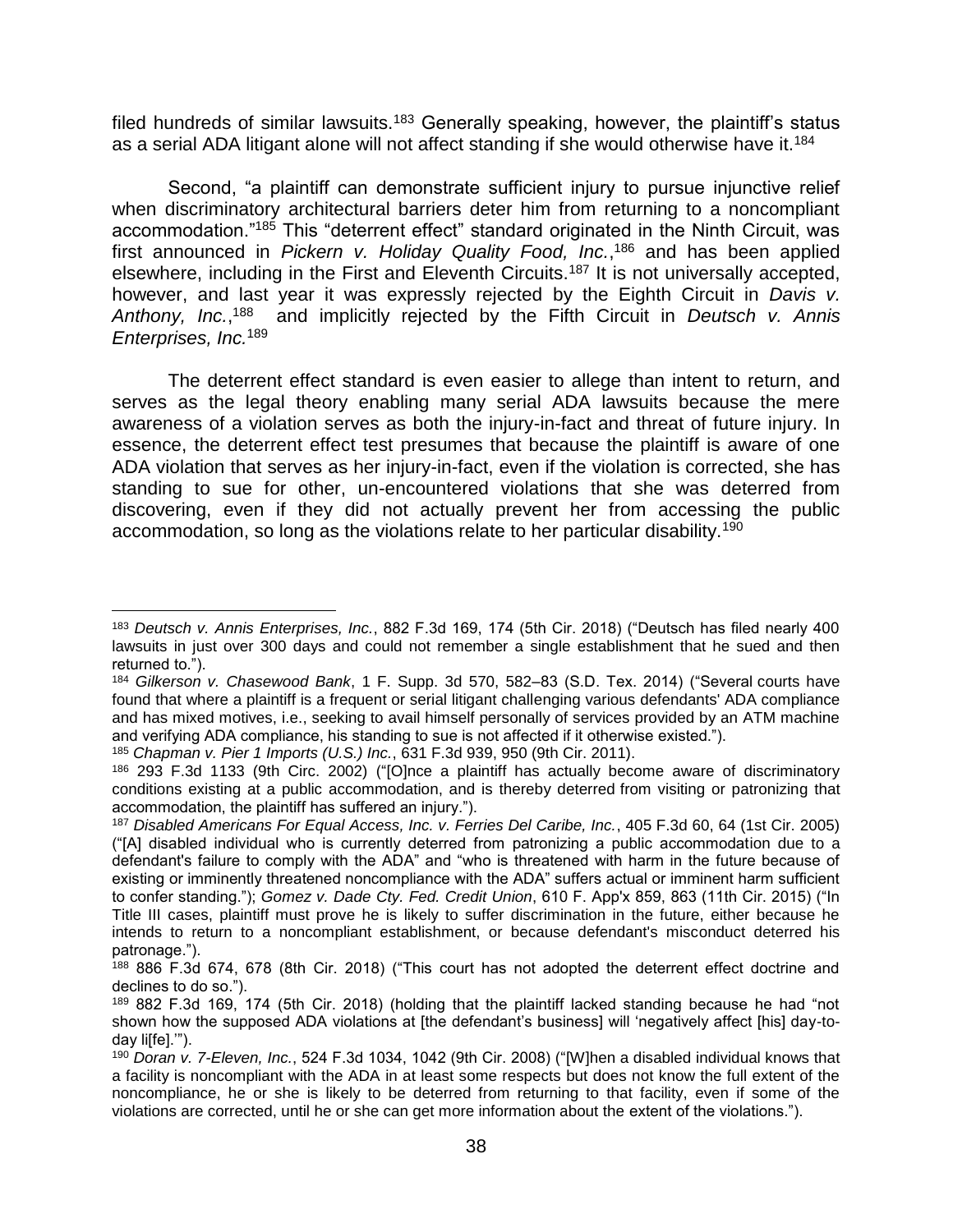filed hundreds of similar lawsuits.<sup>183</sup> Generally speaking, however, the plaintiff's status as a serial ADA litigant alone will not affect standing if she would otherwise have it.<sup>184</sup>

Second, "a plaintiff can demonstrate sufficient injury to pursue injunctive relief when discriminatory architectural barriers deter him from returning to a noncompliant accommodation."<sup>185</sup> This "deterrent effect" standard originated in the Ninth Circuit, was first announced in *Pickern v. Holiday Quality Food, Inc.*, <sup>186</sup> and has been applied elsewhere, including in the First and Eleventh Circuits.<sup>187</sup> It is not universally accepted, however, and last year it was expressly rejected by the Eighth Circuit in *Davis v. Anthony, Inc.*, <sup>188</sup> and implicitly rejected by the Fifth Circuit in *Deutsch v. Annis Enterprises, Inc.*<sup>189</sup>

The deterrent effect standard is even easier to allege than intent to return, and serves as the legal theory enabling many serial ADA lawsuits because the mere awareness of a violation serves as both the injury-in-fact and threat of future injury. In essence, the deterrent effect test presumes that because the plaintiff is aware of one ADA violation that serves as her injury-in-fact, even if the violation is corrected, she has standing to sue for other, un-encountered violations that she was deterred from discovering, even if they did not actually prevent her from accessing the public accommodation, so long as the violations relate to her particular disability.<sup>190</sup>

<sup>185</sup> *Chapman v. Pier 1 Imports (U.S.) Inc.*, 631 F.3d 939, 950 (9th Cir. 2011).

<sup>183</sup> *Deutsch v. Annis Enterprises, Inc.*, 882 F.3d 169, 174 (5th Cir. 2018) ("Deutsch has filed nearly 400 lawsuits in just over 300 days and could not remember a single establishment that he sued and then returned to.").

<sup>184</sup> *Gilkerson v. Chasewood Bank*, 1 F. Supp. 3d 570, 582–83 (S.D. Tex. 2014) ("Several courts have found that where a plaintiff is a frequent or serial litigant challenging various defendants' ADA compliance and has mixed motives, i.e., seeking to avail himself personally of services provided by an ATM machine and verifying ADA compliance, his standing to sue is not affected if it otherwise existed.").

<sup>186</sup> 293 F.3d 1133 (9th Circ. 2002) ("[O]nce a plaintiff has actually become aware of discriminatory conditions existing at a public accommodation, and is thereby deterred from visiting or patronizing that accommodation, the plaintiff has suffered an injury.").

<sup>187</sup> *Disabled Americans For Equal Access, Inc. v. Ferries Del Caribe, Inc.*, 405 F.3d 60, 64 (1st Cir. 2005) ("[A] disabled individual who is currently deterred from patronizing a public accommodation due to a defendant's failure to comply with the ADA" and "who is threatened with harm in the future because of existing or imminently threatened noncompliance with the ADA" suffers actual or imminent harm sufficient to confer standing."); *Gomez v. Dade Cty. Fed. Credit Union*, 610 F. App'x 859, 863 (11th Cir. 2015) ("In Title III cases, plaintiff must prove he is likely to suffer discrimination in the future, either because he intends to return to a noncompliant establishment, or because defendant's misconduct deterred his patronage.").

<sup>188</sup> 886 F.3d 674, 678 (8th Cir. 2018) ("This court has not adopted the deterrent effect doctrine and declines to do so.").

<sup>189</sup> 882 F.3d 169, 174 (5th Cir. 2018) (holding that the plaintiff lacked standing because he had "not shown how the supposed ADA violations at [the defendant's business] will 'negatively affect [his] day-today liffel."").

<sup>190</sup> *Doran v. 7-Eleven, Inc.*, 524 F.3d 1034, 1042 (9th Cir. 2008) ("[W]hen a disabled individual knows that a facility is noncompliant with the ADA in at least some respects but does not know the full extent of the noncompliance, he or she is likely to be deterred from returning to that facility, even if some of the violations are corrected, until he or she can get more information about the extent of the violations.").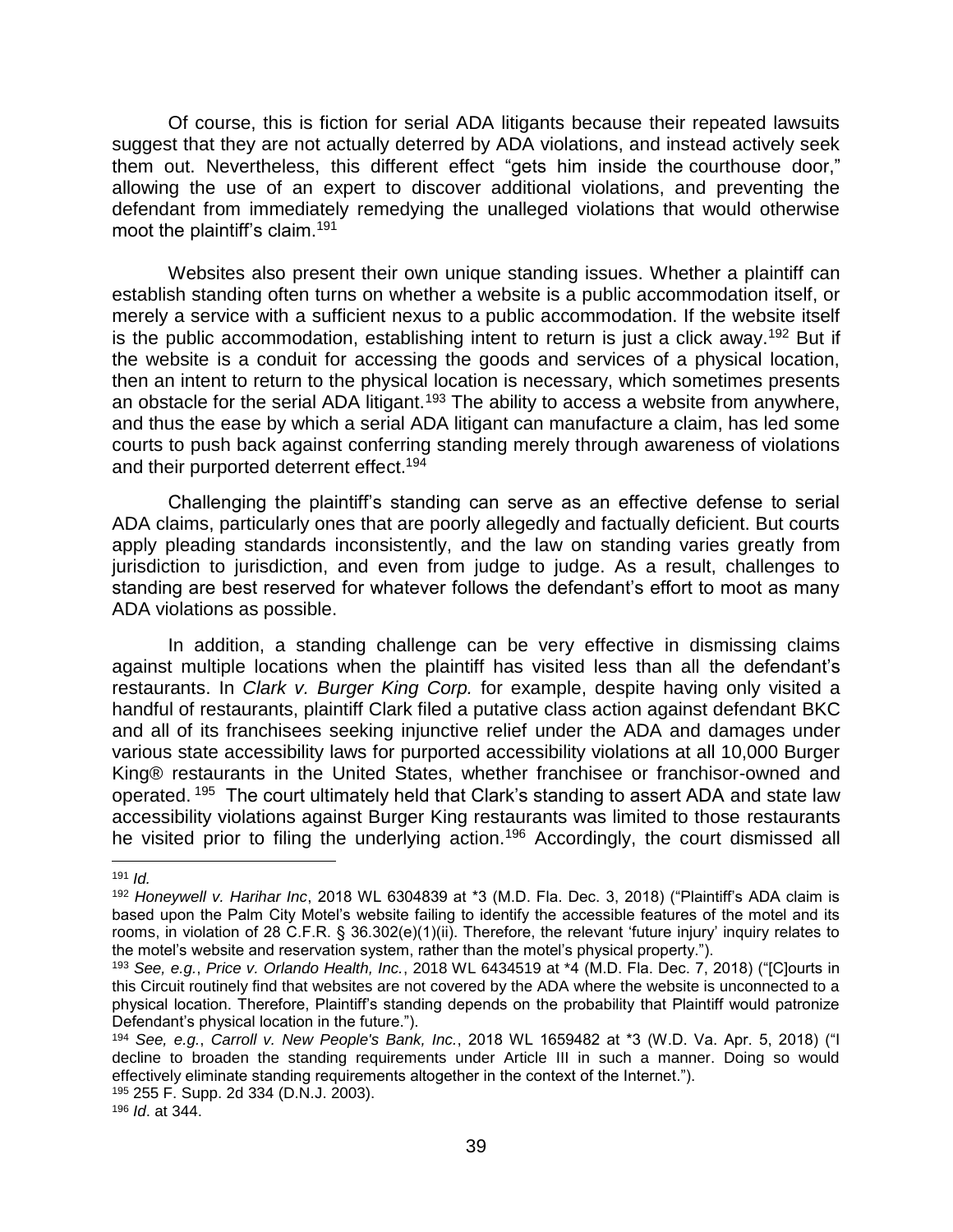Of course, this is fiction for serial ADA litigants because their repeated lawsuits suggest that they are not actually deterred by ADA violations, and instead actively seek them out. Nevertheless, this different effect "gets him inside the courthouse door," allowing the use of an expert to discover additional violations, and preventing the defendant from immediately remedying the unalleged violations that would otherwise moot the plaintiff's claim.<sup>191</sup>

Websites also present their own unique standing issues. Whether a plaintiff can establish standing often turns on whether a website is a public accommodation itself, or merely a service with a sufficient nexus to a public accommodation. If the website itself is the public accommodation, establishing intent to return is just a click away.<sup>192</sup> But if the website is a conduit for accessing the goods and services of a physical location, then an intent to return to the physical location is necessary, which sometimes presents an obstacle for the serial ADA litigant.<sup>193</sup> The ability to access a website from anywhere, and thus the ease by which a serial ADA litigant can manufacture a claim, has led some courts to push back against conferring standing merely through awareness of violations and their purported deterrent effect.<sup>194</sup>

Challenging the plaintiff's standing can serve as an effective defense to serial ADA claims, particularly ones that are poorly allegedly and factually deficient. But courts apply pleading standards inconsistently, and the law on standing varies greatly from jurisdiction to jurisdiction, and even from judge to judge. As a result, challenges to standing are best reserved for whatever follows the defendant's effort to moot as many ADA violations as possible.

In addition, a standing challenge can be very effective in dismissing claims against multiple locations when the plaintiff has visited less than all the defendant's restaurants. In *Clark v. Burger King Corp.* for example, despite having only visited a handful of restaurants, plaintiff Clark filed a putative class action against defendant BKC and all of its franchisees seeking injunctive relief under the ADA and damages under various state accessibility laws for purported accessibility violations at all 10,000 Burger King® restaurants in the United States, whether franchisee or franchisor-owned and operated. <sup>195</sup> The court ultimately held that Clark's standing to assert ADA and state law accessibility violations against Burger King restaurants was limited to those restaurants he visited prior to filing the underlying action.<sup>196</sup> Accordingly, the court dismissed all

 $\overline{a}$ 

<sup>191</sup> *Id.*

<sup>192</sup> *Honeywell v. Harihar Inc*, 2018 WL 6304839 at \*3 (M.D. Fla. Dec. 3, 2018) ("Plaintiff's ADA claim is based upon the Palm City Motel's website failing to identify the accessible features of the motel and its rooms, in violation of 28 C.F.R. § 36.302(e)(1)(ii). Therefore, the relevant 'future injury' inquiry relates to the motel's website and reservation system, rather than the motel's physical property.").

<sup>193</sup> *See, e.g.*, *Price v. Orlando Health, Inc.*, 2018 WL 6434519 at \*4 (M.D. Fla. Dec. 7, 2018) ("[C]ourts in this Circuit routinely find that websites are not covered by the ADA where the website is unconnected to a physical location. Therefore, Plaintiff's standing depends on the probability that Plaintiff would patronize Defendant's physical location in the future.").

<sup>194</sup> *See, e.g.*, *Carroll v. New People's Bank, Inc.*, 2018 WL 1659482 at \*3 (W.D. Va. Apr. 5, 2018) ("I decline to broaden the standing requirements under Article III in such a manner. Doing so would effectively eliminate standing requirements altogether in the context of the Internet.").

<sup>195</sup> 255 F. Supp. 2d 334 (D.N.J. 2003).

<sup>196</sup> *Id*. at 344.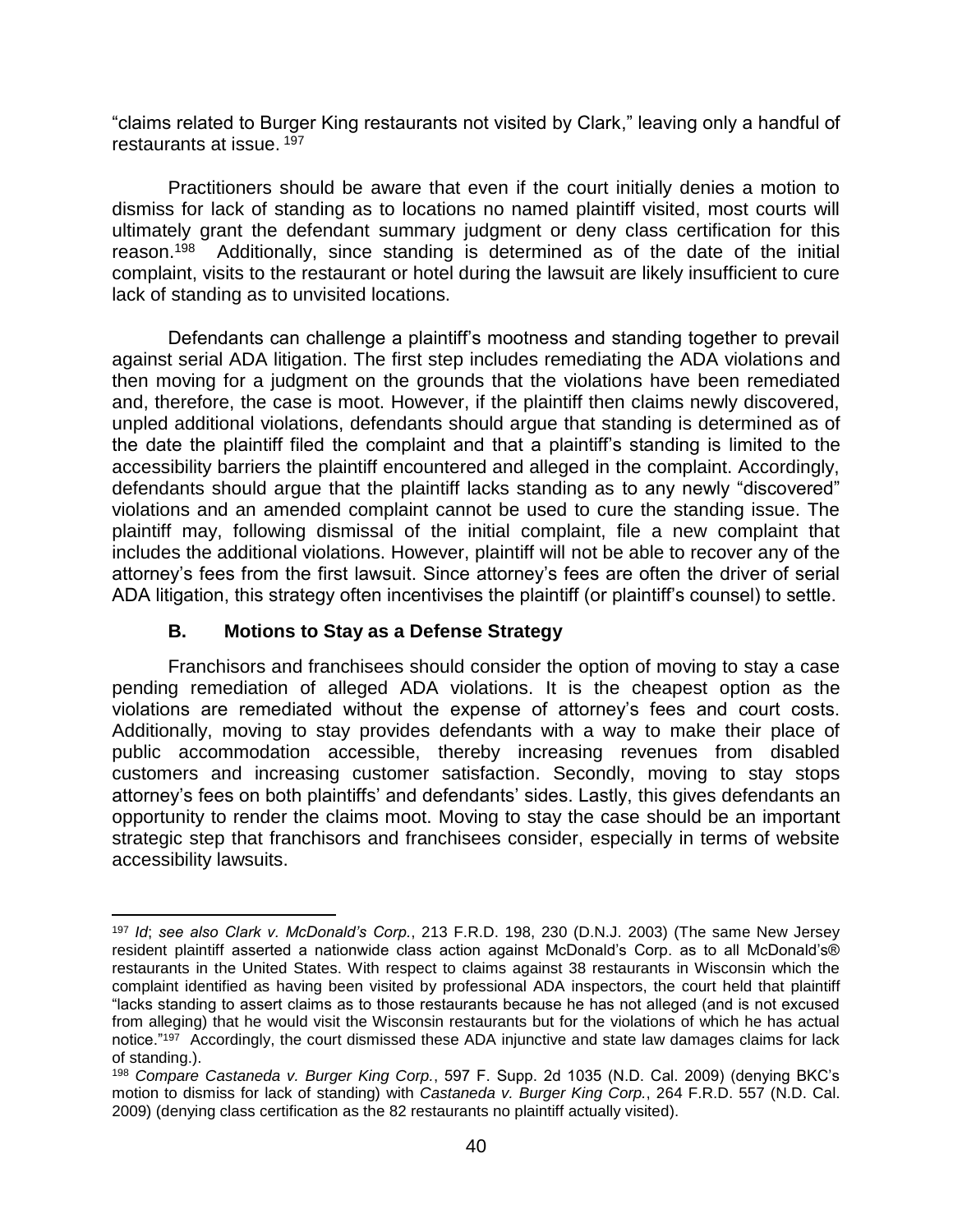"claims related to Burger King restaurants not visited by Clark," leaving only a handful of restaurants at issue. <sup>197</sup>

Practitioners should be aware that even if the court initially denies a motion to dismiss for lack of standing as to locations no named plaintiff visited, most courts will ultimately grant the defendant summary judgment or deny class certification for this reason.<sup>198</sup> Additionally, since standing is determined as of the date of the initial complaint, visits to the restaurant or hotel during the lawsuit are likely insufficient to cure lack of standing as to unvisited locations.

Defendants can challenge a plaintiff's mootness and standing together to prevail against serial ADA litigation. The first step includes remediating the ADA violations and then moving for a judgment on the grounds that the violations have been remediated and, therefore, the case is moot. However, if the plaintiff then claims newly discovered, unpled additional violations, defendants should argue that standing is determined as of the date the plaintiff filed the complaint and that a plaintiff's standing is limited to the accessibility barriers the plaintiff encountered and alleged in the complaint. Accordingly, defendants should argue that the plaintiff lacks standing as to any newly "discovered" violations and an amended complaint cannot be used to cure the standing issue. The plaintiff may, following dismissal of the initial complaint, file a new complaint that includes the additional violations. However, plaintiff will not be able to recover any of the attorney's fees from the first lawsuit. Since attorney's fees are often the driver of serial ADA litigation, this strategy often incentivises the plaintiff (or plaintiff's counsel) to settle.

#### **B. Motions to Stay as a Defense Strategy**

Franchisors and franchisees should consider the option of moving to stay a case pending remediation of alleged ADA violations. It is the cheapest option as the violations are remediated without the expense of attorney's fees and court costs. Additionally, moving to stay provides defendants with a way to make their place of public accommodation accessible, thereby increasing revenues from disabled customers and increasing customer satisfaction. Secondly, moving to stay stops attorney's fees on both plaintiffs' and defendants' sides. Lastly, this gives defendants an opportunity to render the claims moot. Moving to stay the case should be an important strategic step that franchisors and franchisees consider, especially in terms of website accessibility lawsuits.

l <sup>197</sup> *Id*; *see also Clark v. McDonald's Corp.*, 213 F.R.D. 198, 230 (D.N.J. 2003) (The same New Jersey resident plaintiff asserted a nationwide class action against McDonald's Corp. as to all McDonald's® restaurants in the United States. With respect to claims against 38 restaurants in Wisconsin which the complaint identified as having been visited by professional ADA inspectors, the court held that plaintiff "lacks standing to assert claims as to those restaurants because he has not alleged (and is not excused from alleging) that he would visit the Wisconsin restaurants but for the violations of which he has actual notice."<sup>197</sup> Accordingly, the court dismissed these ADA injunctive and state law damages claims for lack of standing.).

<sup>198</sup> *Compare Castaneda v. Burger King Corp.*, 597 F. Supp. 2d 1035 (N.D. Cal. 2009) (denying BKC's motion to dismiss for lack of standing) with *Castaneda v. Burger King Corp.*, 264 F.R.D. 557 (N.D. Cal. 2009) (denying class certification as the 82 restaurants no plaintiff actually visited).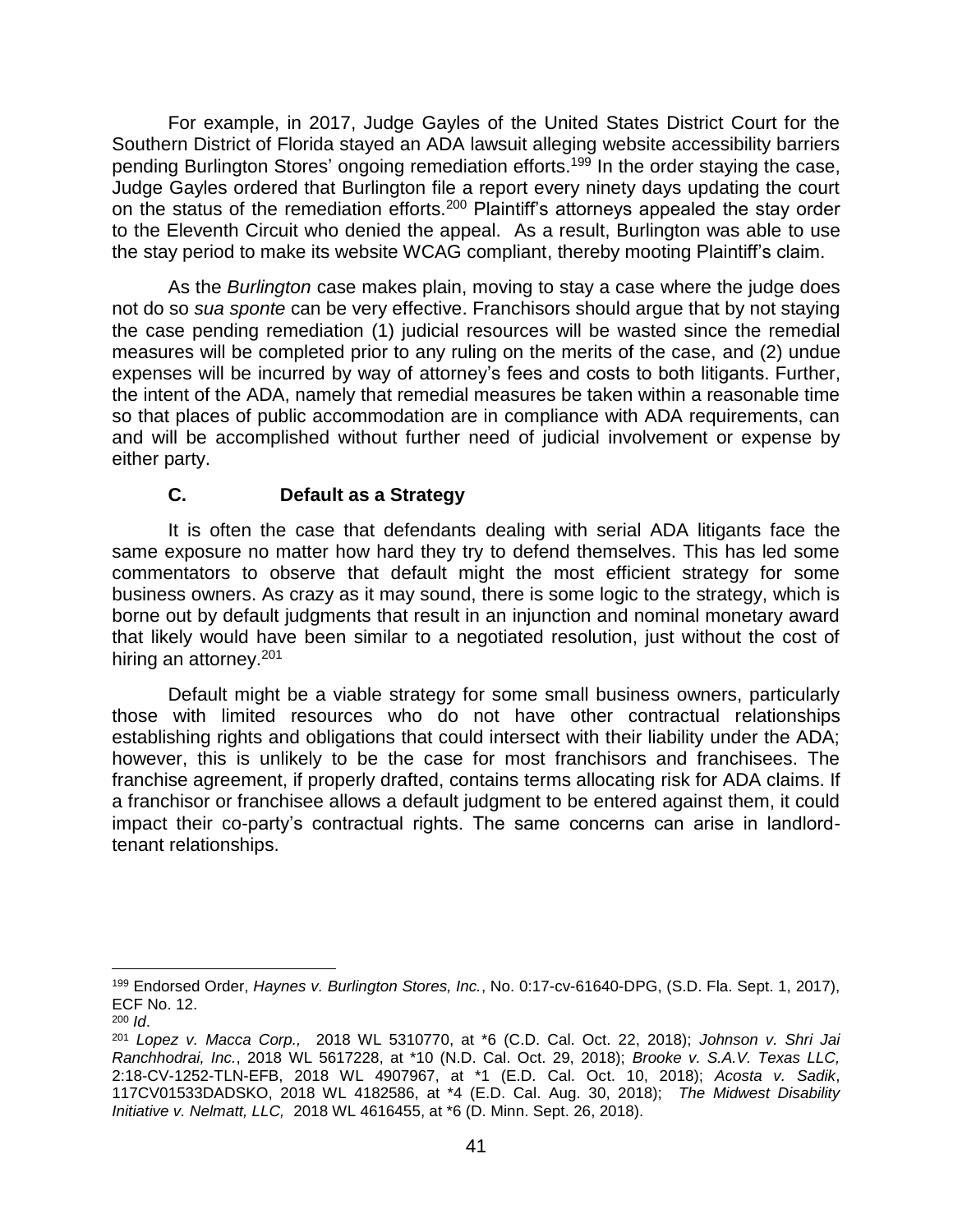For example, in 2017, Judge Gayles of the United States District Court for the Southern District of Florida stayed an ADA lawsuit alleging website accessibility barriers pending Burlington Stores' ongoing remediation efforts.<sup>199</sup> In the order staying the case, Judge Gayles ordered that Burlington file a report every ninety days updating the court on the status of the remediation efforts.<sup>200</sup> Plaintiff's attorneys appealed the stay order to the Eleventh Circuit who denied the appeal. As a result, Burlington was able to use the stay period to make its website WCAG compliant, thereby mooting Plaintiff's claim.

As the *Burlington* case makes plain, moving to stay a case where the judge does not do so *sua sponte* can be very effective. Franchisors should argue that by not staying the case pending remediation (1) judicial resources will be wasted since the remedial measures will be completed prior to any ruling on the merits of the case, and (2) undue expenses will be incurred by way of attorney's fees and costs to both litigants. Further, the intent of the ADA, namely that remedial measures be taken within a reasonable time so that places of public accommodation are in compliance with ADA requirements, can and will be accomplished without further need of judicial involvement or expense by either party.

#### **C. Default as a Strategy**

It is often the case that defendants dealing with serial ADA litigants face the same exposure no matter how hard they try to defend themselves. This has led some commentators to observe that default might the most efficient strategy for some business owners. As crazy as it may sound, there is some logic to the strategy, which is borne out by default judgments that result in an injunction and nominal monetary award that likely would have been similar to a negotiated resolution, just without the cost of hiring an attorney.<sup>201</sup>

Default might be a viable strategy for some small business owners, particularly those with limited resources who do not have other contractual relationships establishing rights and obligations that could intersect with their liability under the ADA; however, this is unlikely to be the case for most franchisors and franchisees. The franchise agreement, if properly drafted, contains terms allocating risk for ADA claims. If a franchisor or franchisee allows a default judgment to be entered against them, it could impact their co-party's contractual rights. The same concerns can arise in landlordtenant relationships.

 $\overline{a}$ 

<sup>199</sup> Endorsed Order, *Haynes v. Burlington Stores, Inc.*, No. 0:17-cv-61640-DPG, (S.D. Fla. Sept. 1, 2017), ECF No. 12.

<sup>200</sup> *Id*.

<sup>201</sup> *Lopez v. Macca Corp.,* 2018 WL 5310770, at \*6 (C.D. Cal. Oct. 22, 2018); *Johnson v. Shri Jai Ranchhodrai, Inc.*, 2018 WL 5617228, at \*10 (N.D. Cal. Oct. 29, 2018); *Brooke v. S.A.V. Texas LLC,* 2:18-CV-1252-TLN-EFB, 2018 WL 4907967, at \*1 (E.D. Cal. Oct. 10, 2018); *Acosta v. Sadik*, 117CV01533DADSKO, 2018 WL 4182586, at \*4 (E.D. Cal. Aug. 30, 2018); *The Midwest Disability Initiative v. Nelmatt, LLC,* 2018 WL 4616455, at \*6 (D. Minn. Sept. 26, 2018).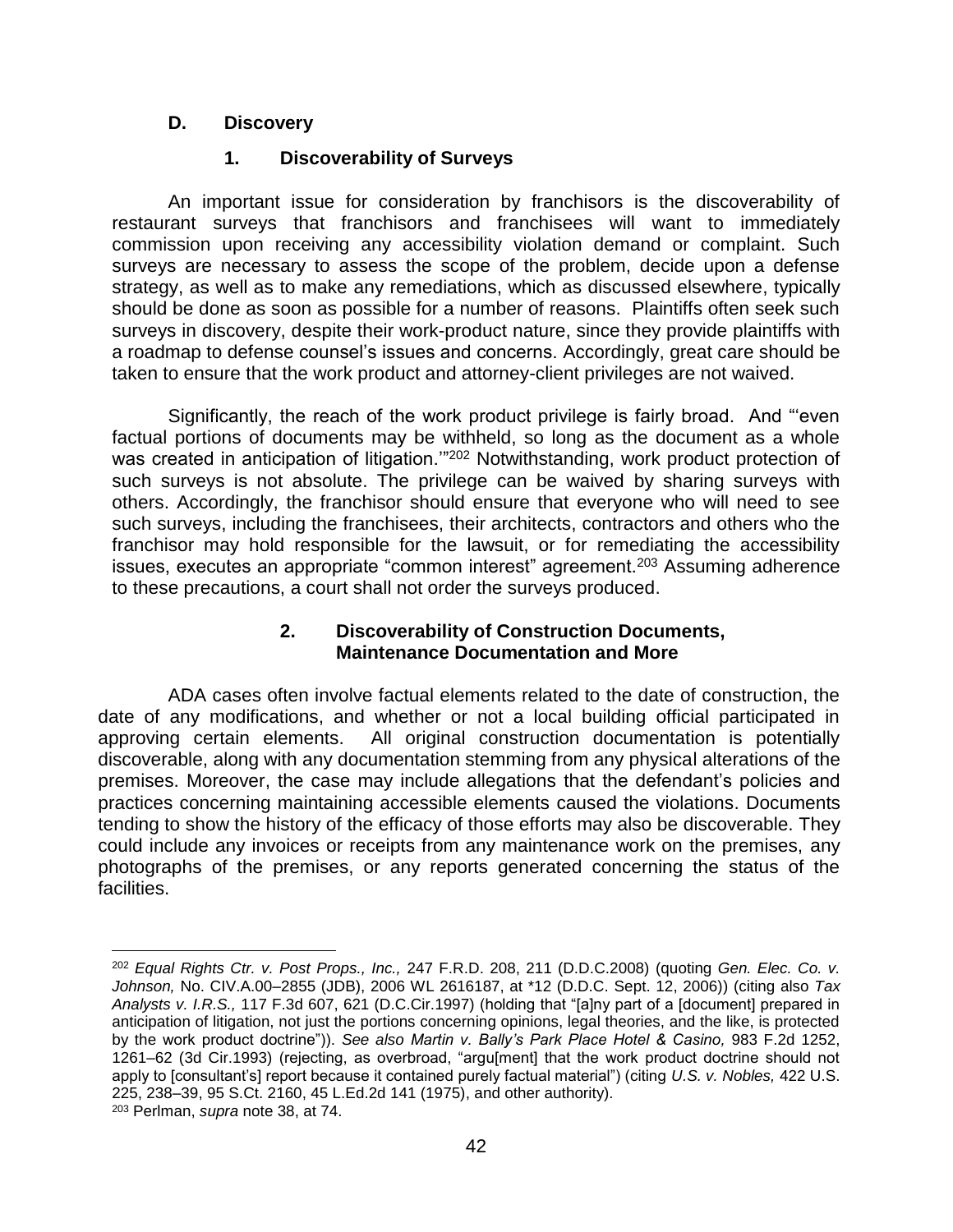#### **D. Discovery**

 $\overline{\phantom{a}}$ 

#### **1. Discoverability of Surveys**

An important issue for consideration by franchisors is the discoverability of restaurant surveys that franchisors and franchisees will want to immediately commission upon receiving any accessibility violation demand or complaint. Such surveys are necessary to assess the scope of the problem, decide upon a defense strategy, as well as to make any remediations, which as discussed elsewhere, typically should be done as soon as possible for a number of reasons. Plaintiffs often seek such surveys in discovery, despite their work-product nature, since they provide plaintiffs with a roadmap to defense counsel's issues and concerns. Accordingly, great care should be taken to ensure that the work product and attorney-client privileges are not waived.

Significantly, the reach of the work product privilege is fairly broad. And "'even factual portions of documents may be withheld, so long as the document as a whole was created in anticipation of litigation.'"<sup>202</sup> Notwithstanding, work product protection of such surveys is not absolute. The privilege can be waived by sharing surveys with others. Accordingly, the franchisor should ensure that everyone who will need to see such surveys, including the franchisees, their architects, contractors and others who the franchisor may hold responsible for the lawsuit, or for remediating the accessibility issues, executes an appropriate "common interest" agreement.<sup>203</sup> Assuming adherence to these precautions, a court shall not order the surveys produced.

#### **2. Discoverability of Construction Documents, Maintenance Documentation and More**

ADA cases often involve factual elements related to the date of construction, the date of any modifications, and whether or not a local building official participated in approving certain elements. All original construction documentation is potentially discoverable, along with any documentation stemming from any physical alterations of the premises. Moreover, the case may include allegations that the defendant's policies and practices concerning maintaining accessible elements caused the violations. Documents tending to show the history of the efficacy of those efforts may also be discoverable. They could include any invoices or receipts from any maintenance work on the premises, any photographs of the premises, or any reports generated concerning the status of the facilities.

<sup>202</sup> *[Equal Rights Ctr. v. Post Props., Inc.,](http://www.westlaw.com/Link/Document/FullText?findType=Y&serNum=2014875930&pubNum=344&originationContext=document&vr=3.0&rs=cblt1.0&transitionType=DocumentItem&contextData=(sc.Search)#co_pp_sp_344_211)* 247 F.R.D. 208, 211 (D.D.C.2008) (quoting *[Gen. Elec. Co. v.](http://www.westlaw.com/Link/Document/FullText?findType=Y&serNum=2010272288&pubNum=0000999&originationContext=document&vr=3.0&rs=cblt1.0&transitionType=DocumentItem&contextData=(sc.Search))  Johnson,* No. CIV.A.00–2855 (JDB), 2006 [WL 2616187, at \\*12 \(D.D.C. Sept. 12, 2006\)\)](http://www.westlaw.com/Link/Document/FullText?findType=Y&serNum=2010272288&pubNum=0000999&originationContext=document&vr=3.0&rs=cblt1.0&transitionType=DocumentItem&contextData=(sc.Search)) (citing also *[Tax](http://www.westlaw.com/Link/Document/FullText?findType=Y&serNum=1997137724&pubNum=506&originationContext=document&vr=3.0&rs=cblt1.0&transitionType=DocumentItem&contextData=(sc.Search)#co_pp_sp_506_621)  Analysts v. I.R.S.,* [117 F.3d 607, 621 \(D.C.Cir.1997\)](http://www.westlaw.com/Link/Document/FullText?findType=Y&serNum=1997137724&pubNum=506&originationContext=document&vr=3.0&rs=cblt1.0&transitionType=DocumentItem&contextData=(sc.Search)#co_pp_sp_506_621) (holding that "[a]ny part of a [document] prepared in anticipation of litigation, not just the portions concerning opinions, legal theories, and the like, is protected by the work product doctrine")). *See also [Martin v. Bally's Park Place Hotel & Casino,](http://www.westlaw.com/Link/Document/FullText?findType=Y&serNum=1993019989&pubNum=350&originationContext=document&vr=3.0&rs=cblt1.0&transitionType=DocumentItem&contextData=(sc.Search)#co_pp_sp_350_1261)* 983 F.2d 1252, [1261–62 \(3d Cir.1993\)](http://www.westlaw.com/Link/Document/FullText?findType=Y&serNum=1993019989&pubNum=350&originationContext=document&vr=3.0&rs=cblt1.0&transitionType=DocumentItem&contextData=(sc.Search)#co_pp_sp_350_1261) (rejecting, as overbroad, "argu[ment] that the work product doctrine should not apply to [consultant's] report because it contained purely factual material") (citing *[U.S. v. Nobles,](http://www.westlaw.com/Link/Document/FullText?findType=Y&serNum=1975129818&pubNum=708&originationContext=document&vr=3.0&rs=cblt1.0&transitionType=DocumentItem&contextData=(sc.Search))* 422 U.S. [225, 238–39, 95 S.Ct. 2160, 45 L.Ed.2d 141 \(1975\),](http://www.westlaw.com/Link/Document/FullText?findType=Y&serNum=1975129818&pubNum=708&originationContext=document&vr=3.0&rs=cblt1.0&transitionType=DocumentItem&contextData=(sc.Search)) and other authority). <sup>203</sup> Perlman, *supra* note 38, at 74.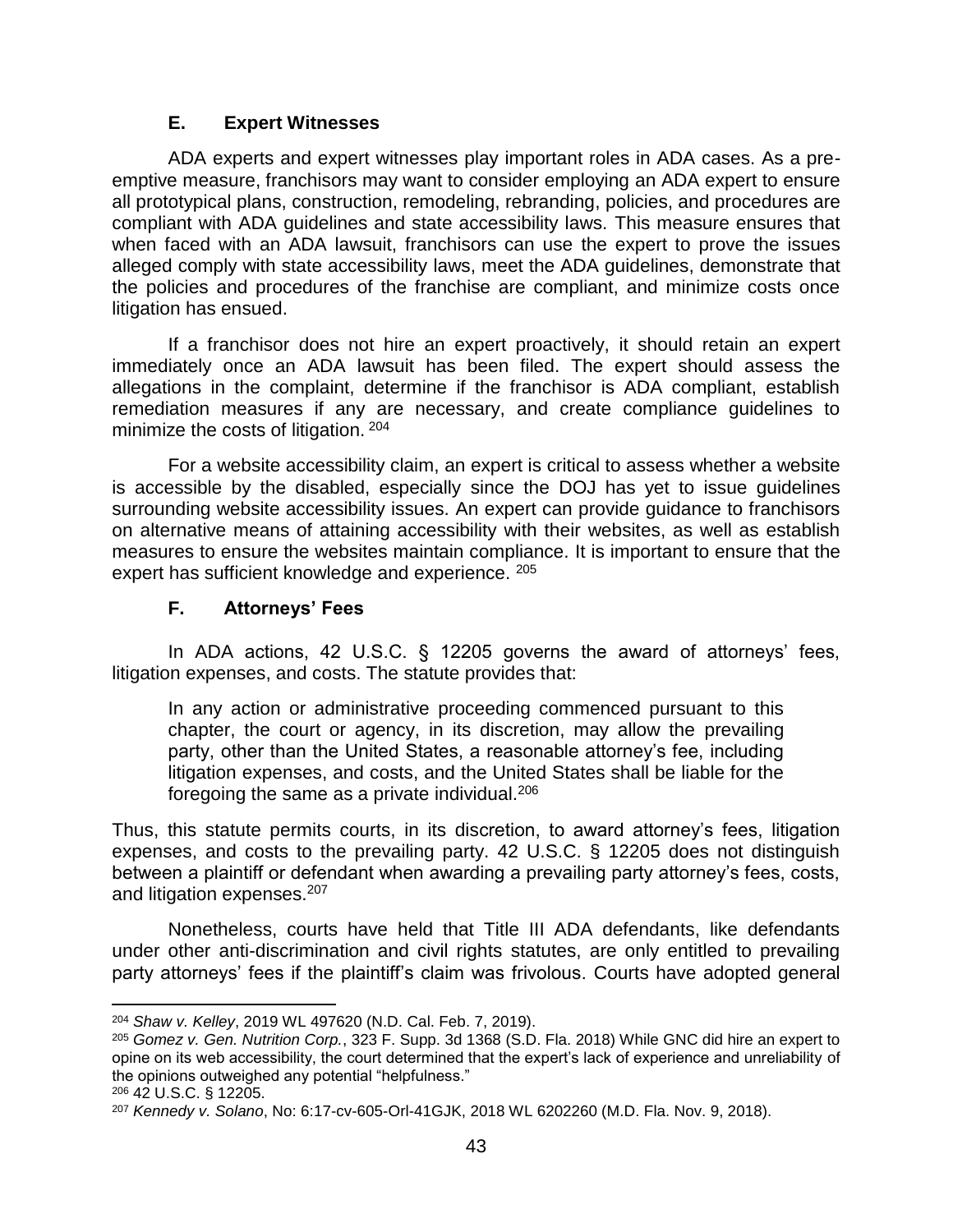#### **E. Expert Witnesses**

ADA experts and expert witnesses play important roles in ADA cases. As a preemptive measure, franchisors may want to consider employing an ADA expert to ensure all prototypical plans, construction, remodeling, rebranding, policies, and procedures are compliant with ADA guidelines and state accessibility laws. This measure ensures that when faced with an ADA lawsuit, franchisors can use the expert to prove the issues alleged comply with state accessibility laws, meet the ADA guidelines, demonstrate that the policies and procedures of the franchise are compliant, and minimize costs once litigation has ensued.

If a franchisor does not hire an expert proactively, it should retain an expert immediately once an ADA lawsuit has been filed. The expert should assess the allegations in the complaint, determine if the franchisor is ADA compliant, establish remediation measures if any are necessary, and create compliance guidelines to minimize the costs of litigation. <sup>204</sup>

For a website accessibility claim, an expert is critical to assess whether a website is accessible by the disabled, especially since the DOJ has yet to issue guidelines surrounding website accessibility issues. An expert can provide guidance to franchisors on alternative means of attaining accessibility with their websites, as well as establish measures to ensure the websites maintain compliance. It is important to ensure that the expert has sufficient knowledge and experience. <sup>205</sup>

## **F. Attorneys' Fees**

In ADA actions, 42 U.S.C. § 12205 governs the award of attorneys' fees, litigation expenses, and costs. The statute provides that:

In any action or administrative proceeding commenced pursuant to this chapter, the court or agency, in its discretion, may allow the prevailing party, other than the United States, a reasonable attorney's fee, including litigation expenses, and costs, and the United States shall be liable for the foregoing the same as a private individual. $206$ 

Thus, this statute permits courts, in its discretion, to award attorney's fees, litigation expenses, and costs to the prevailing party. 42 U.S.C. § 12205 does not distinguish between a plaintiff or defendant when awarding a prevailing party attorney's fees, costs, and litigation expenses.<sup>207</sup>

Nonetheless, courts have held that Title III ADA defendants, like defendants under other anti-discrimination and civil rights statutes, are only entitled to prevailing party attorneys' fees if the plaintiff's claim was frivolous. Courts have adopted general

 $\overline{\phantom{a}}$ <sup>204</sup> *Shaw v. Kelley*, 2019 WL 497620 (N.D. Cal. Feb. 7, 2019).

<sup>205</sup> *Gomez v. Gen. Nutrition Corp.*, 323 F. Supp. 3d 1368 (S.D. Fla. 2018) While GNC did hire an expert to opine on its web accessibility, the court determined that the expert's lack of experience and unreliability of the opinions outweighed any potential "helpfulness."

<sup>206</sup> 42 U.S.C. § 12205.

<sup>207</sup> *Kennedy v. Solano*, No: 6:17-cv-605-Orl-41GJK, 2018 WL 6202260 (M.D. Fla. Nov. 9, 2018).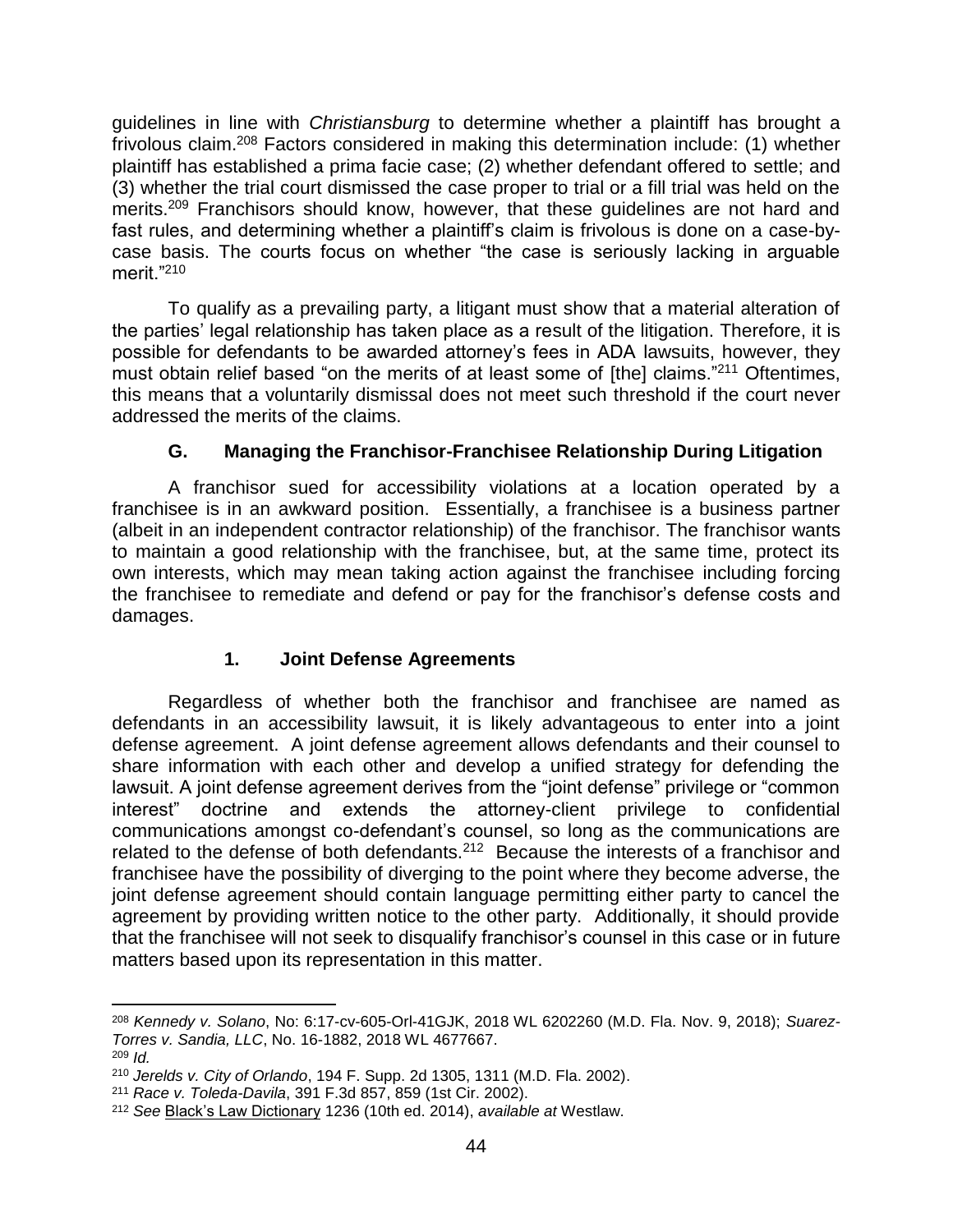guidelines in line with *Christiansburg* to determine whether a plaintiff has brought a frivolous claim.<sup>208</sup> Factors considered in making this determination include: (1) whether plaintiff has established a prima facie case; (2) whether defendant offered to settle; and (3) whether the trial court dismissed the case proper to trial or a fill trial was held on the merits.<sup>209</sup> Franchisors should know, however, that these guidelines are not hard and fast rules, and determining whether a plaintiff's claim is frivolous is done on a case-bycase basis. The courts focus on whether "the case is seriously lacking in arguable merit."<sup>210</sup>

To qualify as a prevailing party, a litigant must show that a material alteration of the parties' legal relationship has taken place as a result of the litigation. Therefore, it is possible for defendants to be awarded attorney's fees in ADA lawsuits, however, they must obtain relief based "on the merits of at least some of [the] claims."<sup>211</sup> Oftentimes, this means that a voluntarily dismissal does not meet such threshold if the court never addressed the merits of the claims.

# **G. Managing the Franchisor-Franchisee Relationship During Litigation**

A franchisor sued for accessibility violations at a location operated by a franchisee is in an awkward position. Essentially, a franchisee is a business partner (albeit in an independent contractor relationship) of the franchisor. The franchisor wants to maintain a good relationship with the franchisee, but, at the same time, protect its own interests, which may mean taking action against the franchisee including forcing the franchisee to remediate and defend or pay for the franchisor's defense costs and damages.

## **1. Joint Defense Agreements**

Regardless of whether both the franchisor and franchisee are named as defendants in an accessibility lawsuit, it is likely advantageous to enter into a joint defense agreement. A joint defense agreement allows defendants and their counsel to share information with each other and develop a unified strategy for defending the lawsuit. A joint defense agreement derives from the "joint defense" privilege or "common interest" doctrine and extends the attorney-client privilege to confidential communications amongst co-defendant's counsel, so long as the communications are related to the defense of both defendants.<sup>212</sup> Because the interests of a franchisor and franchisee have the possibility of diverging to the point where they become adverse, the joint defense agreement should contain language permitting either party to cancel the agreement by providing written notice to the other party. Additionally, it should provide that the franchisee will not seek to disqualify franchisor's counsel in this case or in future matters based upon its representation in this matter.

<sup>208</sup> *Kennedy v. Solano*, No: 6:17-cv-605-Orl-41GJK, 2018 WL 6202260 (M.D. Fla. Nov. 9, 2018); *Suarez-Torres v. Sandia, LLC*, No. 16-1882, 2018 WL 4677667. <sup>209</sup> *Id.*

<sup>210</sup> *Jerelds v. City of Orlando*, 194 F. Supp. 2d 1305, 1311 (M.D. Fla. 2002).

<sup>211</sup> *Race v. Toleda-Davila*, 391 F.3d 857, 859 (1st Cir. 2002).

<sup>212</sup> *See* Black's Law Dictionary 1236 (10th ed. 2014), *available at* Westlaw.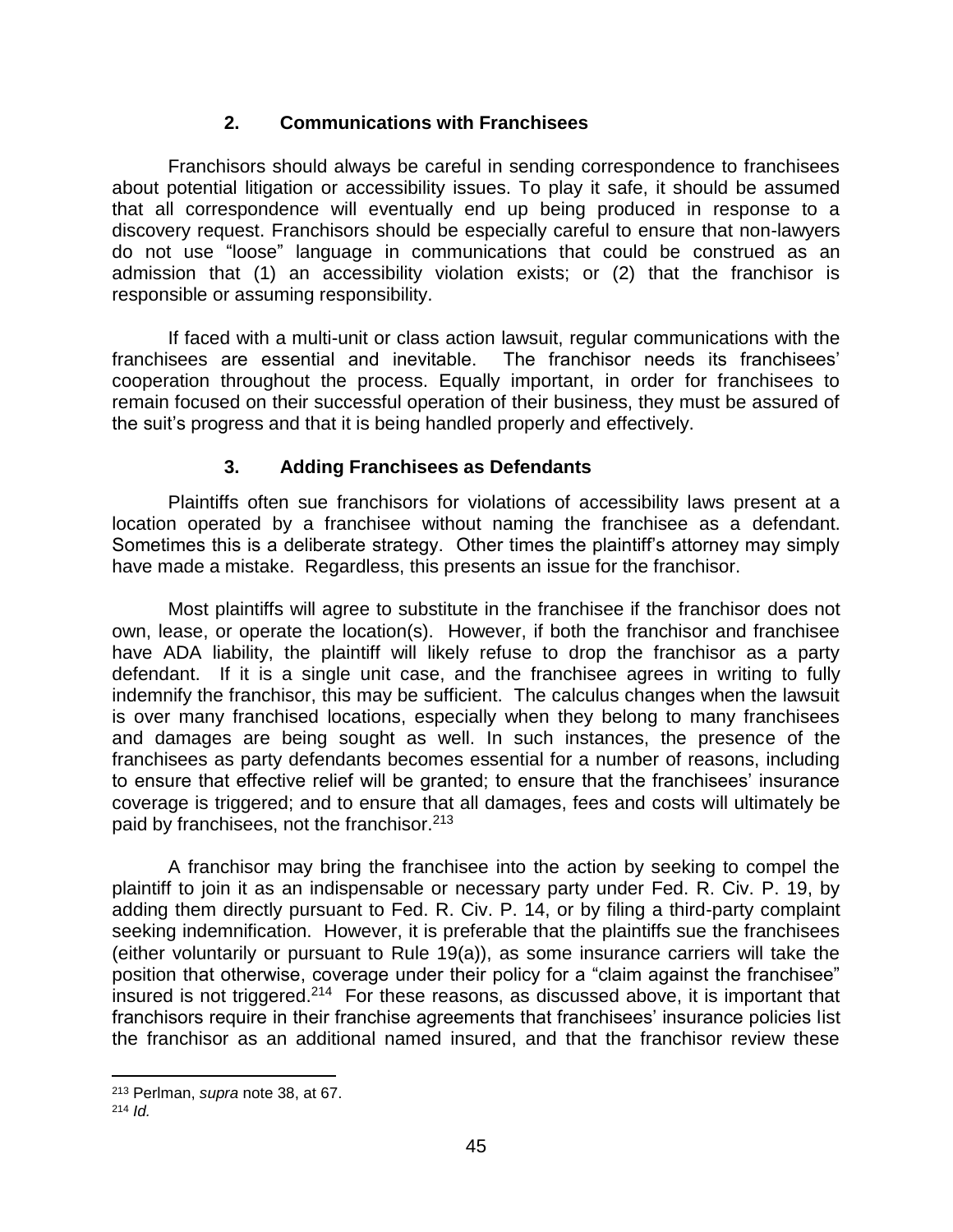#### **2. Communications with Franchisees**

Franchisors should always be careful in sending correspondence to franchisees about potential litigation or accessibility issues. To play it safe, it should be assumed that all correspondence will eventually end up being produced in response to a discovery request. Franchisors should be especially careful to ensure that non-lawyers do not use "loose" language in communications that could be construed as an admission that (1) an accessibility violation exists; or (2) that the franchisor is responsible or assuming responsibility.

If faced with a multi-unit or class action lawsuit, regular communications with the franchisees are essential and inevitable. The franchisor needs its franchisees' cooperation throughout the process. Equally important, in order for franchisees to remain focused on their successful operation of their business, they must be assured of the suit's progress and that it is being handled properly and effectively.

## **3. Adding Franchisees as Defendants**

Plaintiffs often sue franchisors for violations of accessibility laws present at a location operated by a franchisee without naming the franchisee as a defendant. Sometimes this is a deliberate strategy. Other times the plaintiff's attorney may simply have made a mistake. Regardless, this presents an issue for the franchisor.

Most plaintiffs will agree to substitute in the franchisee if the franchisor does not own, lease, or operate the location(s). However, if both the franchisor and franchisee have ADA liability, the plaintiff will likely refuse to drop the franchisor as a party defendant. If it is a single unit case, and the franchisee agrees in writing to fully indemnify the franchisor, this may be sufficient. The calculus changes when the lawsuit is over many franchised locations, especially when they belong to many franchisees and damages are being sought as well. In such instances, the presence of the franchisees as party defendants becomes essential for a number of reasons, including to ensure that effective relief will be granted; to ensure that the franchisees' insurance coverage is triggered; and to ensure that all damages, fees and costs will ultimately be paid by franchisees, not the franchisor.<sup>213</sup>

A franchisor may bring the franchisee into the action by seeking to compel the plaintiff to join it as an indispensable or necessary party under Fed. R. Civ. P. 19, by adding them directly pursuant to Fed. R. Civ. P. 14, or by filing a third-party complaint seeking indemnification. However, it is preferable that the plaintiffs sue the franchisees (either voluntarily or pursuant to Rule 19(a)), as some insurance carriers will take the position that otherwise, coverage under their policy for a "claim against the franchisee" insured is not triggered.<sup>214</sup> For these reasons, as discussed above, it is important that franchisors require in their franchise agreements that franchisees' insurance policies list the franchisor as an additional named insured, and that the franchisor review these

 $\overline{a}$ 

<sup>213</sup> Perlman, *supra* note 38, at 67.

<sup>214</sup> *Id.*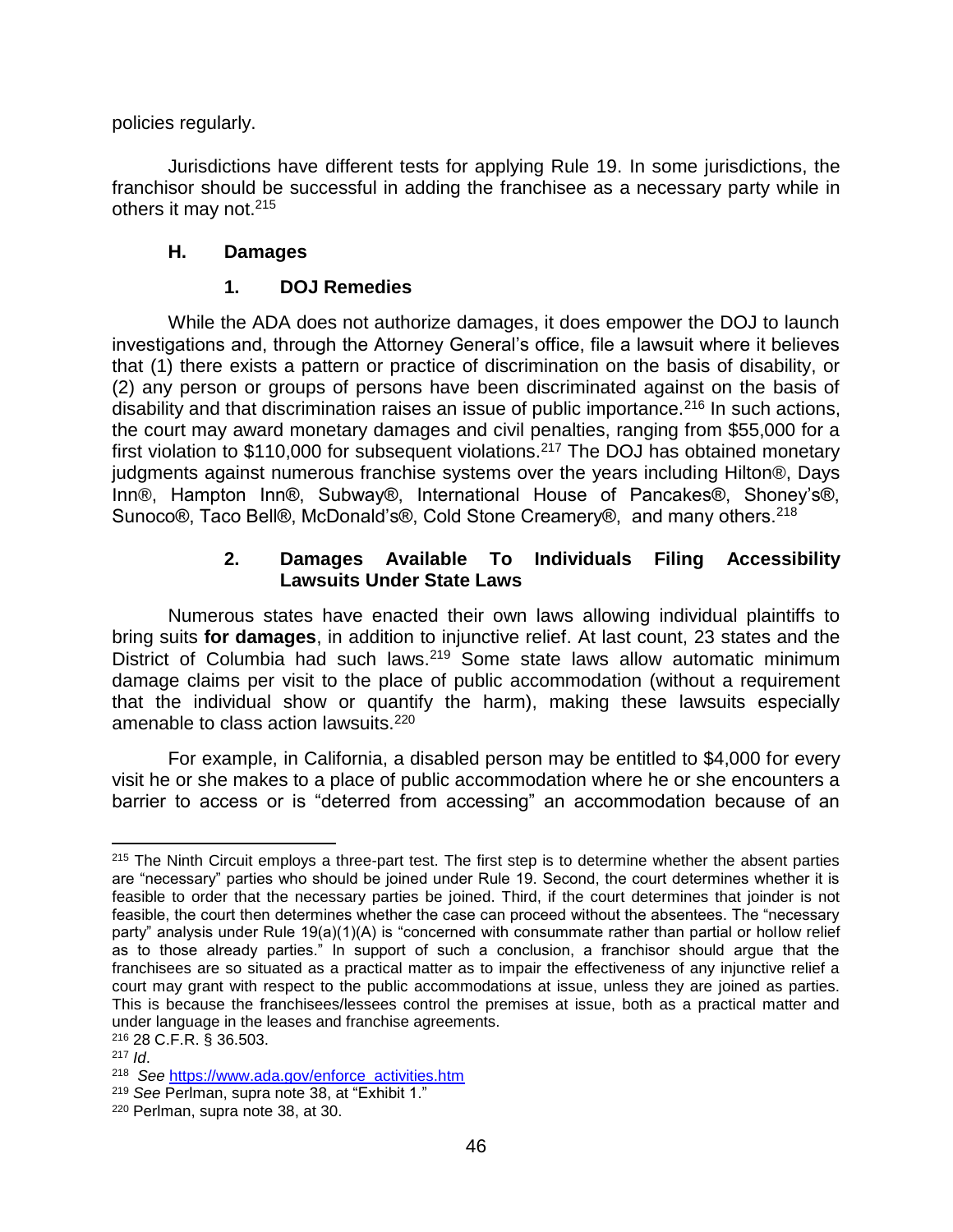policies regularly.

Jurisdictions have different tests for applying Rule 19. In some jurisdictions, the franchisor should be successful in adding the franchisee as a necessary party while in others it may not.<sup>215</sup>

#### **H. Damages**

#### **1. DOJ Remedies**

While the ADA does not authorize damages, it does empower the DOJ to launch investigations and, through the Attorney General's office, file a lawsuit where it believes that (1) there exists a pattern or practice of discrimination on the basis of disability, or (2) any person or groups of persons have been discriminated against on the basis of disability and that discrimination raises an issue of public importance.<sup>216</sup> In such actions, the court may award monetary damages and civil penalties, ranging from \$55,000 for a first violation to \$110,000 for subsequent violations.<sup>217</sup> The DOJ has obtained monetary judgments against numerous franchise systems over the years including Hilton®, Days Inn®, Hampton Inn®, Subway®, International House of Pancakes®, Shoney's®, Sunoco®, Taco Bell®, McDonald's®, Cold Stone Creamery®, and many others.<sup>218</sup>

#### **2. Damages Available To Individuals Filing Accessibility Lawsuits Under State Laws**

Numerous states have enacted their own laws allowing individual plaintiffs to bring suits **for damages**, in addition to injunctive relief. At last count, 23 states and the District of Columbia had such laws.<sup>219</sup> Some state laws allow automatic minimum damage claims per visit to the place of public accommodation (without a requirement that the individual show or quantify the harm), making these lawsuits especially amenable to class action lawsuits.<sup>220</sup>

For example, in California, a disabled person may be entitled to \$4,000 for every visit he or she makes to a place of public accommodation where he or she encounters a barrier to access or is "deterred from accessing" an accommodation because of an

 $\overline{\phantom{a}}$  $215$  The Ninth Circuit employs a three-part test. The first step is to determine whether the absent parties are "necessary" parties who should be joined under Rule 19. Second, the court determines whether it is feasible to order that the necessary parties be joined. Third, if the court determines that joinder is not feasible, the court then determines whether the case can proceed without the absentees. The "necessary party" analysis under Rule 19(a)(1)(A) is "concerned with consummate rather than partial or hollow relief as to those already parties." In support of such a conclusion, a franchisor should argue that the franchisees are so situated as a practical matter as to impair the effectiveness of any injunctive relief a court may grant with respect to the public accommodations at issue, unless they are joined as parties. This is because the franchisees/lessees control the premises at issue, both as a practical matter and under language in the leases and franchise agreements.

<sup>216</sup> 28 C.F.R. § 36.503.

<sup>217</sup> *Id*.

<sup>218</sup> *See* [https://www.ada.gov/enforce\\_activities.htm](https://www.ada.gov/enforce_activities.htm)

<sup>219</sup> *See* Perlman, supra note 38, at "Exhibit 1."

<sup>220</sup> Perlman, supra note 38, at 30.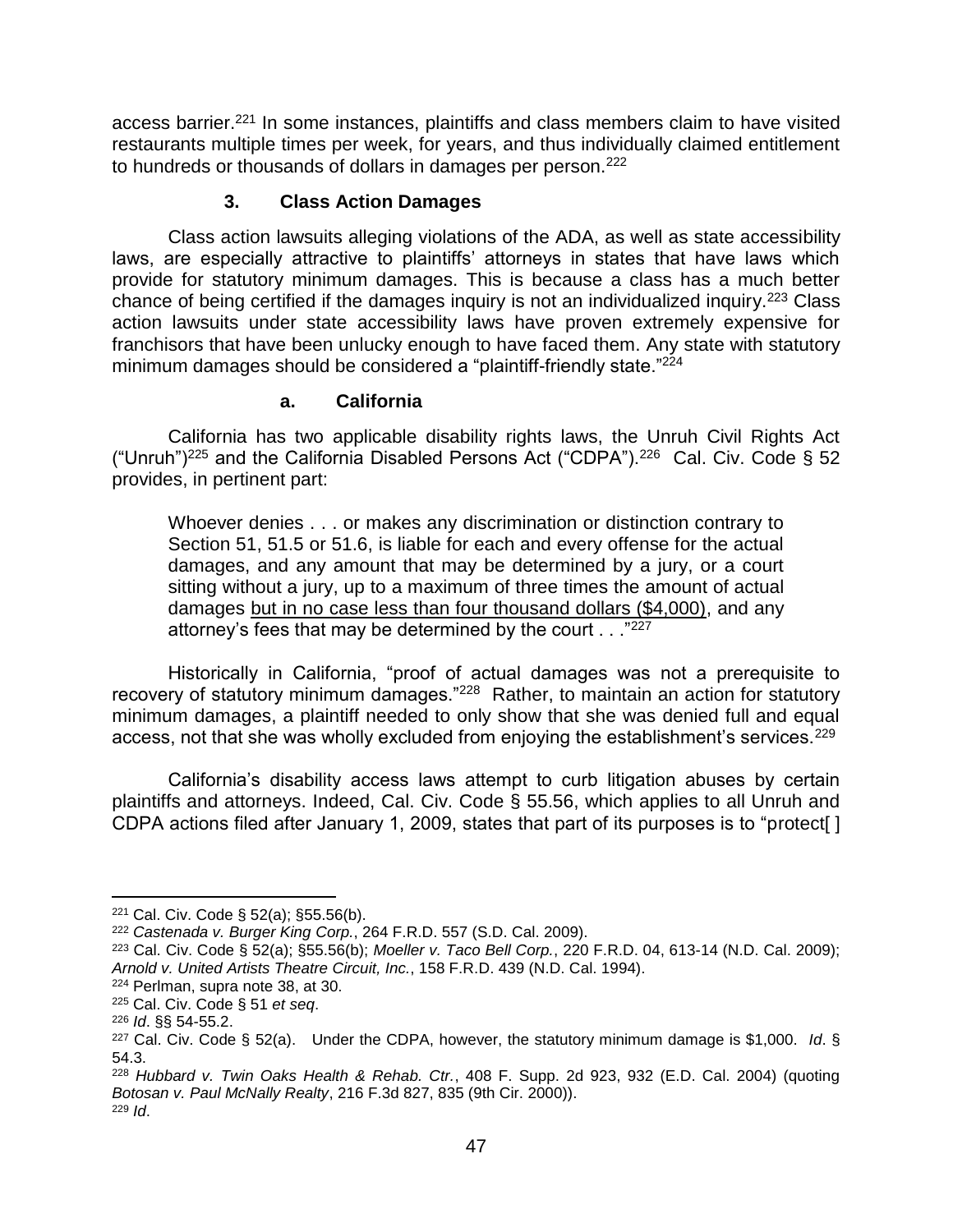access barrier.<sup>221</sup> In some instances, plaintiffs and class members claim to have visited restaurants multiple times per week, for years, and thus individually claimed entitlement to hundreds or thousands of dollars in damages per person.<sup>222</sup>

#### **3. Class Action Damages**

Class action lawsuits alleging violations of the ADA, as well as state accessibility laws, are especially attractive to plaintiffs' attorneys in states that have laws which provide for statutory minimum damages. This is because a class has a much better chance of being certified if the damages inquiry is not an individualized inquiry.<sup>223</sup> Class action lawsuits under state accessibility laws have proven extremely expensive for franchisors that have been unlucky enough to have faced them. Any state with statutory minimum damages should be considered a "plaintiff-friendly state."<sup>224</sup>

#### **a. California**

California has two applicable disability rights laws, the Unruh Civil Rights Act ("Unruh")<sup>225</sup> and the California Disabled Persons Act ("CDPA").<sup>226</sup> Cal. Civ. Code § 52 provides, in pertinent part:

Whoever denies . . . or makes any discrimination or distinction contrary to Section 51, 51.5 or 51.6, is liable for each and every offense for the actual damages, and any amount that may be determined by a jury, or a court sitting without a jury, up to a maximum of three times the amount of actual damages but in no case less than four thousand dollars (\$4,000), and any attorney's fees that may be determined by the court  $\ldots$ <sup>"227</sup>

Historically in California, "proof of actual damages was not a prerequisite to recovery of statutory minimum damages."<sup>228</sup> Rather, to maintain an action for statutory minimum damages, a plaintiff needed to only show that she was denied full and equal access, not that she was wholly excluded from enjoying the establishment's services.<sup>229</sup>

California's disability access laws attempt to curb litigation abuses by certain plaintiffs and attorneys. Indeed, Cal. Civ. Code § 55.56, which applies to all Unruh and CDPA actions filed after January 1, 2009, states that part of its purposes is to "protect[ ]

<sup>221</sup> Cal. Civ. Code § 52(a); §55.56(b).

<sup>222</sup> *Castenada v. Burger King Corp.*, 264 F.R.D. 557 (S.D. Cal. 2009).

<sup>223</sup> Cal. Civ. Code § 52(a); §55.56(b); *Moeller v. Taco Bell Corp.*, 220 F.R.D. 04, 613-14 (N.D. Cal. 2009); *Arnold v. United Artists Theatre Circuit, Inc.*, 158 F.R.D. 439 (N.D. Cal. 1994).

<sup>224</sup> Perlman, supra note 38, at 30.

<sup>225</sup> Cal. Civ. Code § 51 *et seq*.

<sup>226</sup> *Id*. §§ 54-55.2.

<sup>227</sup> Cal. Civ. Code § 52(a). Under the CDPA, however, the statutory minimum damage is \$1,000. *Id*. § 54.3.

<sup>228</sup> *Hubbard v. Twin Oaks Health & Rehab. Ctr.*, 408 F. Supp. 2d 923, 932 (E.D. Cal. 2004) (quoting *Botosan v. Paul McNally Realty*, 216 F.3d 827, 835 (9th Cir. 2000)). <sup>229</sup> *Id*.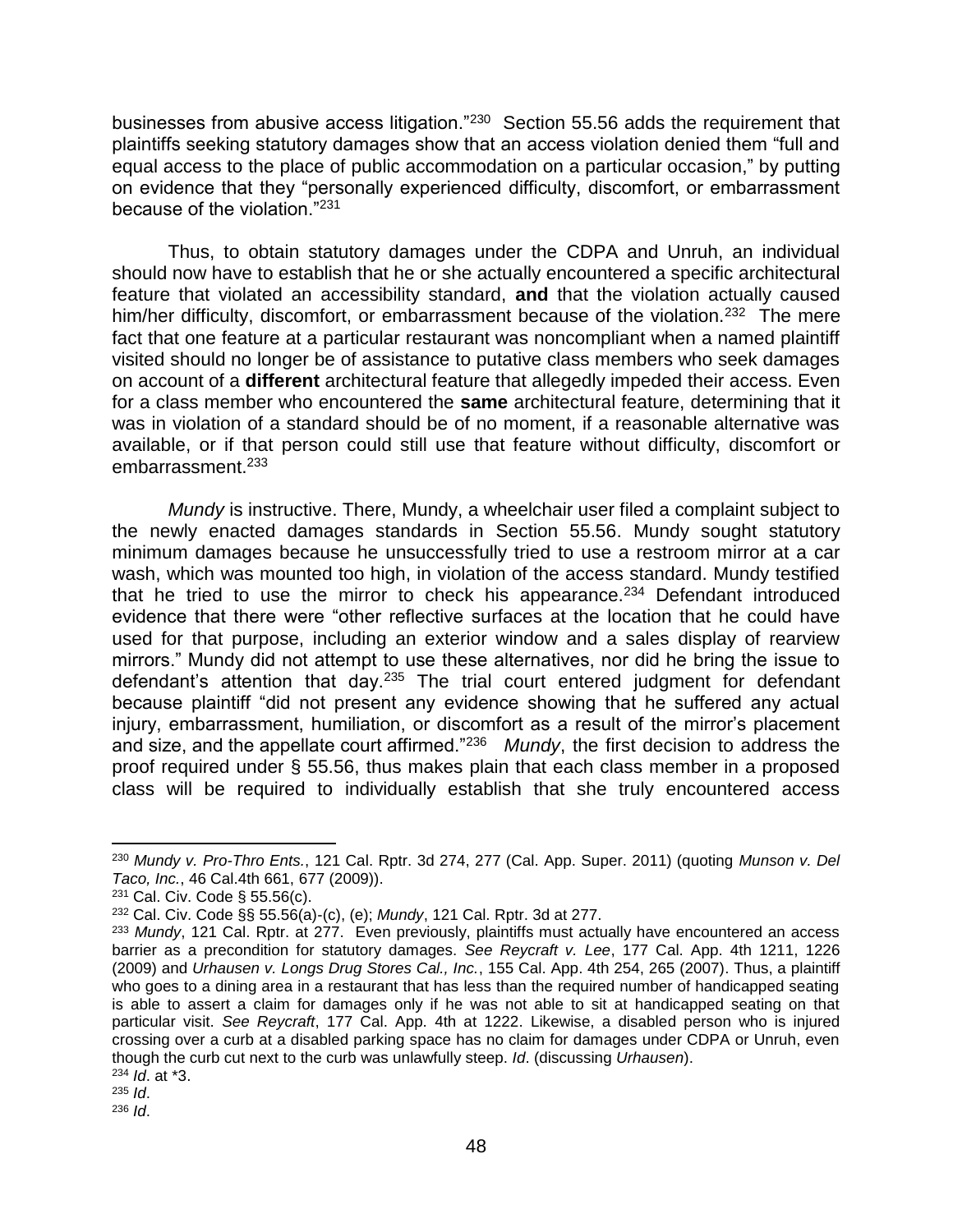businesses from abusive access litigation."<sup>230</sup> Section 55.56 adds the requirement that plaintiffs seeking statutory damages show that an access violation denied them "full and equal access to the place of public accommodation on a particular occasion," by putting on evidence that they "personally experienced difficulty, discomfort, or embarrassment because of the violation."<sup>231</sup>

Thus, to obtain statutory damages under the CDPA and Unruh, an individual should now have to establish that he or she actually encountered a specific architectural feature that violated an accessibility standard, **and** that the violation actually caused him/her difficulty, discomfort, or embarrassment because of the violation.<sup>232</sup> The mere fact that one feature at a particular restaurant was noncompliant when a named plaintiff visited should no longer be of assistance to putative class members who seek damages on account of a **different** architectural feature that allegedly impeded their access. Even for a class member who encountered the **same** architectural feature, determining that it was in violation of a standard should be of no moment, if a reasonable alternative was available, or if that person could still use that feature without difficulty, discomfort or embarrassment.<sup>233</sup>

*Mundy* is instructive. There, Mundy, a wheelchair user filed a complaint subject to the newly enacted damages standards in [Section 55.56.](http://www.westlaw.com/Link/Document/FullText?findType=L&pubNum=1000200&cite=CACIS55.56&originatingDoc=Ie9657bef9d5511e39ac8bab74931929c&refType=LQ&originationContext=document&vr=3.0&rs=cblt1.0&transitionType=DocumentItem&contextData=(sc.RelatedInfo)) Mundy sought statutory minimum damages because he unsuccessfully tried to use a restroom mirror at a car wash, which was mounted too high, in violation of the access standard. Mundy testified that he tried to use the mirror to check his appearance.<sup>234</sup> Defendant introduced evidence that there were "other reflective surfaces at the location that he could have used for that purpose, including an exterior window and a sales display of rearview mirrors." Mundy did not attempt to use these alternatives, nor did he bring the issue to defendant's attention that day.<sup>235</sup> The trial court entered judgment for defendant because plaintiff "did not present any evidence showing that he suffered any actual injury, embarrassment, humiliation, or discomfort as a result of the mirror's placement and size, and the appellate court affirmed."<sup>236</sup> *Mundy*, the first decision to address the proof required under [§ 55.56,](http://www.westlaw.com/Link/Document/FullText?findType=L&pubNum=1000200&cite=CACIS55.56&originatingDoc=Ie9657bef9d5511e39ac8bab74931929c&refType=LQ&originationContext=document&vr=3.0&rs=cblt1.0&transitionType=DocumentItem&contextData=(sc.RelatedInfo)) thus makes plain that each class member in a proposed class will be required to individually establish that she truly encountered access

 $\overline{\phantom{a}}$ <sup>230</sup> *Mundy v. Pro-Thro Ents.*, 121 Cal. Rptr. 3d 274, 277 (Cal. App. Super. 2011) (quoting *Munson v. Del Taco, Inc.*, 46 Cal.4th 661, 677 (2009)).

<sup>231</sup> Cal. Civ. Code § 55.56(c).

<sup>232</sup> [Cal. Civ. Code §§ 55.56\(a\)](http://www.westlaw.com/Link/Document/FullText?findType=L&pubNum=1000200&cite=CACIS55.56&originatingDoc=Ie9657bef9d5511e39ac8bab74931929c&refType=SP&originationContext=document&vr=3.0&rs=cblt1.0&transitionType=DocumentItem&contextData=(sc.RelatedInfo)#co_pp_8b3b0000958a4)[-\(c\),](http://www.westlaw.com/Link/Document/FullText?findType=L&pubNum=1000200&cite=CACIS55.56&originatingDoc=Ie9657bef9d5511e39ac8bab74931929c&refType=SP&originationContext=document&vr=3.0&rs=cblt1.0&transitionType=DocumentItem&contextData=(sc.RelatedInfo)#co_pp_4b24000003ba5) [\(e\);](http://www.westlaw.com/Link/Document/FullText?findType=L&pubNum=1000200&cite=CACIS55.56&originatingDoc=Ie9657bef9d5511e39ac8bab74931929c&refType=SP&originationContext=document&vr=3.0&rs=cblt1.0&transitionType=DocumentItem&contextData=(sc.RelatedInfo)#co_pp_7fdd00001ca15) *Mundy*[, 121 Cal. Rptr. 3d at 277.](http://www.westlaw.com/Link/Document/FullText?findType=Y&serNum=2024644399&pubNum=0007047&originationContext=document&vr=3.0&rs=cblt1.0&transitionType=DocumentItem&contextData=(sc.RelatedInfo)#co_pp_sp_7047_277)

<sup>233</sup> *Mundy*, 121 Cal. Rptr. at 277. Even previously, plaintiffs must actually have encountered an access barrier as a precondition for statutory damages. *See Reycraft v. Lee*[, 177 Cal. App. 4th 1211, 1226](http://www.westlaw.com/Link/Document/FullText?findType=Y&serNum=2019864620&pubNum=0004041&originationContext=document&vr=3.0&rs=cblt1.0&transitionType=DocumentItem&contextData=(sc.RelatedInfo)#co_pp_sp_4041_1226)  [\(2009\)](http://www.westlaw.com/Link/Document/FullText?findType=Y&serNum=2019864620&pubNum=0004041&originationContext=document&vr=3.0&rs=cblt1.0&transitionType=DocumentItem&contextData=(sc.RelatedInfo)#co_pp_sp_4041_1226) and *[Urhausen v. Longs Drug Stores Cal., Inc.](http://www.westlaw.com/Link/Document/FullText?findType=Y&serNum=2013195980&pubNum=0004041&originationContext=document&vr=3.0&rs=cblt1.0&transitionType=DocumentItem&contextData=(sc.RelatedInfo)#co_pp_sp_4041_265)*, 155 Cal. App. 4th 254, 265 (2007). Thus, a plaintiff who goes to a dining area in a restaurant that has less than the required number of handicapped seating is able to assert a claim for damages only if he was not able to sit at handicapped seating on that particular visit. *See Reycraft*[, 177 Cal. App. 4th at 1222.](http://www.westlaw.com/Link/Document/FullText?findType=Y&serNum=2019864620&pubNum=0004041&originationContext=document&vr=3.0&rs=cblt1.0&transitionType=DocumentItem&contextData=(sc.RelatedInfo)#co_pp_sp_4041_1222) Likewise, a disabled person who is injured crossing over a curb at a disabled parking space has no claim for damages under CDPA or Unruh, even though the curb cut next to the curb was unlawfully steep. *Id*. (discussing *Urhausen*).

<sup>234</sup> *Id*. at \*3. <sup>235</sup> *Id*.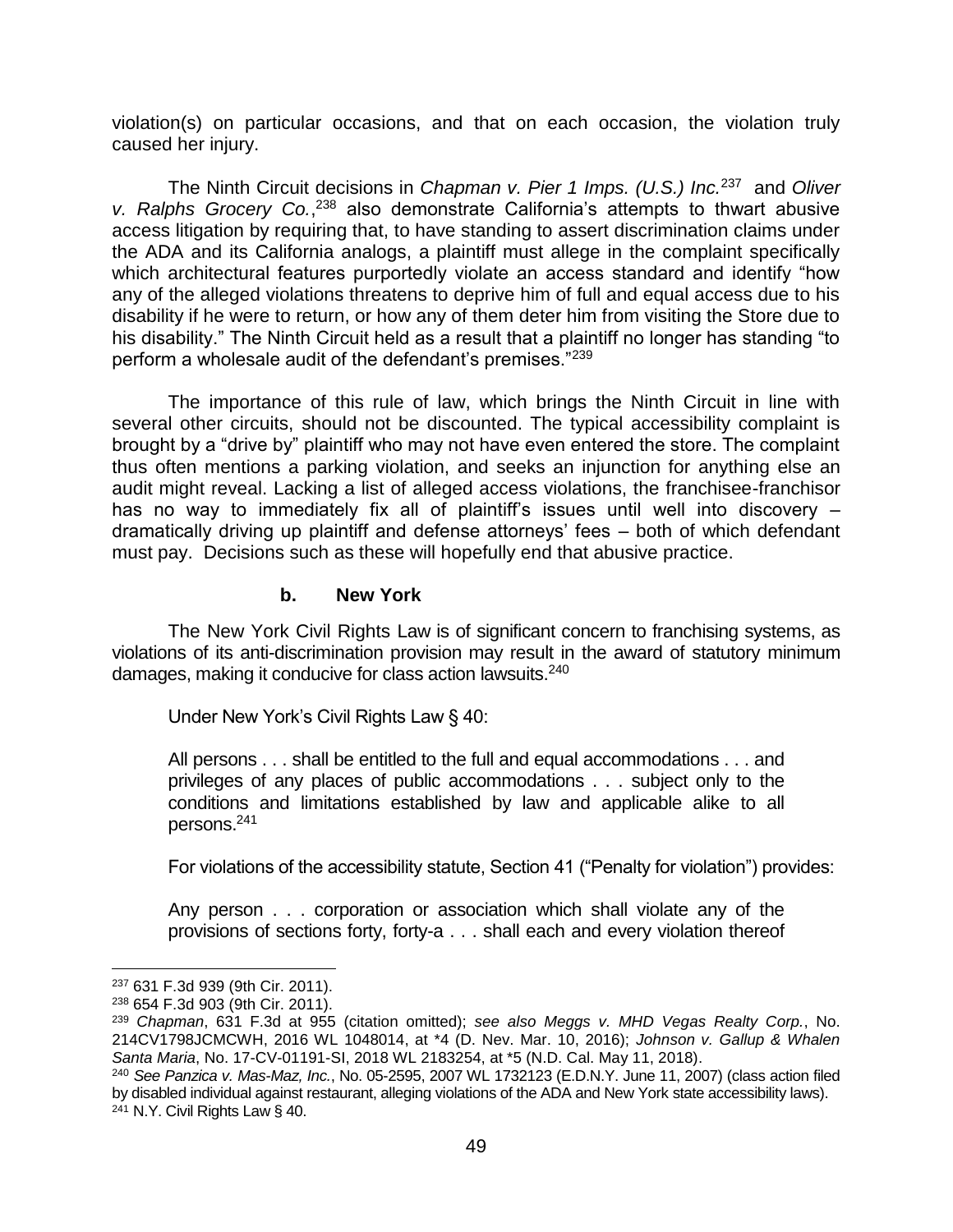violation(s) on particular occasions, and that on each occasion, the violation truly caused her injury.

The Ninth Circuit decisions in *[Chapman v. Pier 1 Imps. \(U.S.\) Inc.](http://www.westlaw.com/Link/Document/FullText?findType=Y&serNum=2024318084&pubNum=0000506&originationContext=document&vr=3.0&rs=cblt1.0&transitionType=DocumentItem&contextData=(sc.RelatedInfo))*<sup>237</sup> and *[Oliver](http://www.westlaw.com/Link/Document/FullText?findType=Y&serNum=2025898073&pubNum=0000506&originationContext=document&vr=3.0&rs=cblt1.0&transitionType=DocumentItem&contextData=(sc.RelatedInfo))  [v. Ralphs Grocery Co.](http://www.westlaw.com/Link/Document/FullText?findType=Y&serNum=2025898073&pubNum=0000506&originationContext=document&vr=3.0&rs=cblt1.0&transitionType=DocumentItem&contextData=(sc.RelatedInfo))*, <sup>238</sup> also demonstrate California's attempts to thwart abusive access litigation by requiring that, to have standing to assert discrimination claims under the ADA and its California analogs, a plaintiff must allege in the complaint specifically which architectural features purportedly violate an access standard and identify "how any of the alleged violations threatens to deprive him of full and equal access due to his disability if he were to return, or how any of them deter him from visiting the Store due to his disability." The Ninth Circuit held as a result that a plaintiff no longer has standing "to perform a wholesale audit of the defendant's premises."<sup>239</sup>

The importance of this rule of law, which brings the Ninth Circuit in line with several other circuits, should not be discounted. The typical accessibility complaint is brought by a "drive by" plaintiff who may not have even entered the store. The complaint thus often mentions a parking violation, and seeks an injunction for anything else an audit might reveal. Lacking a list of alleged access violations, the franchisee-franchisor has no way to immediately fix all of plaintiff's issues until well into discovery – dramatically driving up plaintiff and defense attorneys' fees – both of which defendant must pay. Decisions such as these will hopefully end that abusive practice.

#### **b. New York**

The New York Civil Rights Law is of significant concern to franchising systems, as violations of its anti-discrimination provision may result in the award of statutory minimum damages, making it conducive for class action lawsuits.<sup>240</sup>

Under New York's Civil Rights Law § 40:

All persons . . . shall be entitled to the full and equal accommodations . . . and privileges of any places of public accommodations . . . subject only to the conditions and limitations established by law and applicable alike to all persons.<sup>241</sup>

For violations of the accessibility statute, Section 41 ("Penalty for violation") provides:

Any person . . . corporation or association which shall violate any of the provisions of sections forty, forty-a . . . shall each and every violation thereof

 $\overline{a}$ 

<sup>237</sup> 631 F.3d 939 (9th Cir. 2011).

<sup>238</sup> 654 F.3d 903 (9th Cir. 2011).

<sup>239</sup> *Chapman*[, 631 F.3d at 955](http://www.westlaw.com/Link/Document/FullText?findType=Y&serNum=2024318084&pubNum=0000506&originationContext=document&vr=3.0&rs=cblt1.0&transitionType=DocumentItem&contextData=(sc.RelatedInfo)#co_pp_sp_506_955) (citation omitted); *see also Meggs v. MHD Vegas Realty Corp.*, No. 214CV1798JCMCWH, 2016 WL 1048014, at \*4 (D. Nev. Mar. 10, 2016); *Johnson v. Gallup & Whalen Santa Maria*, No. 17-CV-01191-SI, 2018 WL 2183254, at \*5 (N.D. Cal. May 11, 2018).

<sup>240</sup> *See Panzica v. Mas-Maz, Inc.*, No. 05-2595, 2007 WL 1732123 (E.D.N.Y. June 11, 2007) (class action filed by disabled individual against restaurant, alleging violations of the ADA and New York state accessibility laws). <sup>241</sup> N.Y. Civil Rights Law § 40.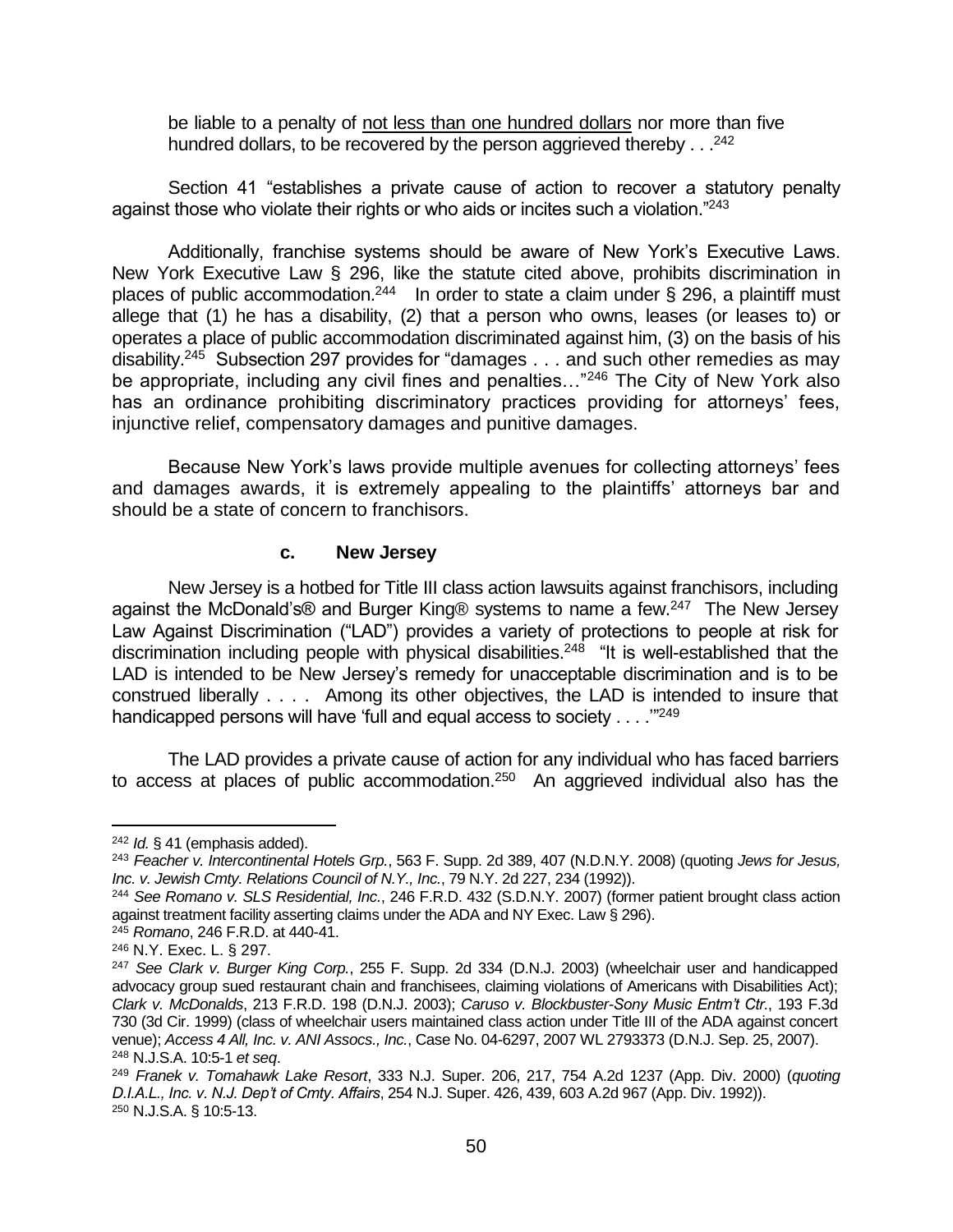be liable to a penalty of not less than one hundred dollars nor more than five hundred dollars, to be recovered by the person aggrieved thereby  $\ldots$ <sup>242</sup>

Section 41 "establishes a private cause of action to recover a statutory penalty against those who violate their rights or who aids or incites such a violation."<sup>243</sup>

Additionally, franchise systems should be aware of New York's Executive Laws. New York Executive Law § 296, like the statute cited above, prohibits discrimination in places of public accommodation.<sup>244</sup> In order to state a claim under § 296, a plaintiff must allege that (1) he has a disability, (2) that a person who owns, leases (or leases to) or operates a place of public accommodation discriminated against him, (3) on the basis of his disability.<sup>245</sup> Subsection 297 provides for "damages . . . and such other remedies as may be appropriate, including any civil fines and penalties..."<sup>246</sup> The City of New York also has an ordinance prohibiting discriminatory practices providing for attorneys' fees, injunctive relief, compensatory damages and punitive damages.

Because New York's laws provide multiple avenues for collecting attorneys' fees and damages awards, it is extremely appealing to the plaintiffs' attorneys bar and should be a state of concern to franchisors.

#### **c. New Jersey**

New Jersey is a hotbed for Title III class action lawsuits against franchisors, including against the McDonald's® and Burger King® systems to name a few.<sup>247</sup> The New Jersey Law Against Discrimination ("LAD") provides a variety of protections to people at risk for discrimination including people with physical disabilities.<sup>248</sup> "It is well-established that the LAD is intended to be New Jersey's remedy for unacceptable discrimination and is to be construed liberally . . . . Among its other objectives, the LAD is intended to insure that handicapped persons will have 'full and equal access to society  $\ldots$  ."<sup>249</sup>

The LAD provides a private cause of action for any individual who has faced barriers to access at places of public accommodation.<sup>250</sup> An aggrieved individual also has the

<sup>242</sup> *Id.* § 41 (emphasis added).

<sup>243</sup> *Feacher v. Intercontinental Hotels Grp.*, 563 F. Supp. 2d 389, 407 (N.D.N.Y. 2008) (quoting *Jews for Jesus, Inc. v. Jewish Cmty. Relations Council of N.Y., Inc.*, 79 N.Y. 2d 227, 234 (1992)).

<sup>244</sup> *See Romano v. SLS Residential, Inc.*, 246 F.R.D. 432 (S.D.N.Y. 2007) (former patient brought class action against treatment facility asserting claims under the ADA and NY Exec. Law § 296).

<sup>245</sup> *Romano*, 246 F.R.D. at 440-41.

<sup>246</sup> N.Y. Exec. L. § 297.

<sup>247</sup> *See Clark v. Burger King Corp.*, 255 F. Supp. 2d 334 (D.N.J. 2003) (wheelchair user and handicapped advocacy group sued restaurant chain and franchisees, claiming violations of Americans with Disabilities Act); *Clark v. McDonalds*, 213 F.R.D. 198 (D.N.J. 2003); *Caruso v. Blockbuster-Sony Music Entm't Ctr.*, 193 F.3d 730 (3d Cir. 1999) (class of wheelchair users maintained class action under Title III of the ADA against concert venue); *Access 4 All, Inc. v. ANI Assocs., Inc.*, Case No. 04-6297, 2007 WL 2793373 (D.N.J. Sep. 25, 2007). <sup>248</sup> N.J.S.A. 10:5-1 *et seq*.

<sup>249</sup> *Franek v. Tomahawk Lake Resort*, 333 N.J. Super. 206, 217, 754 A.2d 1237 (App. Div. 2000) (*quoting D.I.A.L., Inc. v. N.J. Dep't of Cmty. Affairs*, 254 N.J. Super. 426, 439, 603 A.2d 967 (App. Div. 1992)). <sup>250</sup> N.J.S.A. § 10:5-13.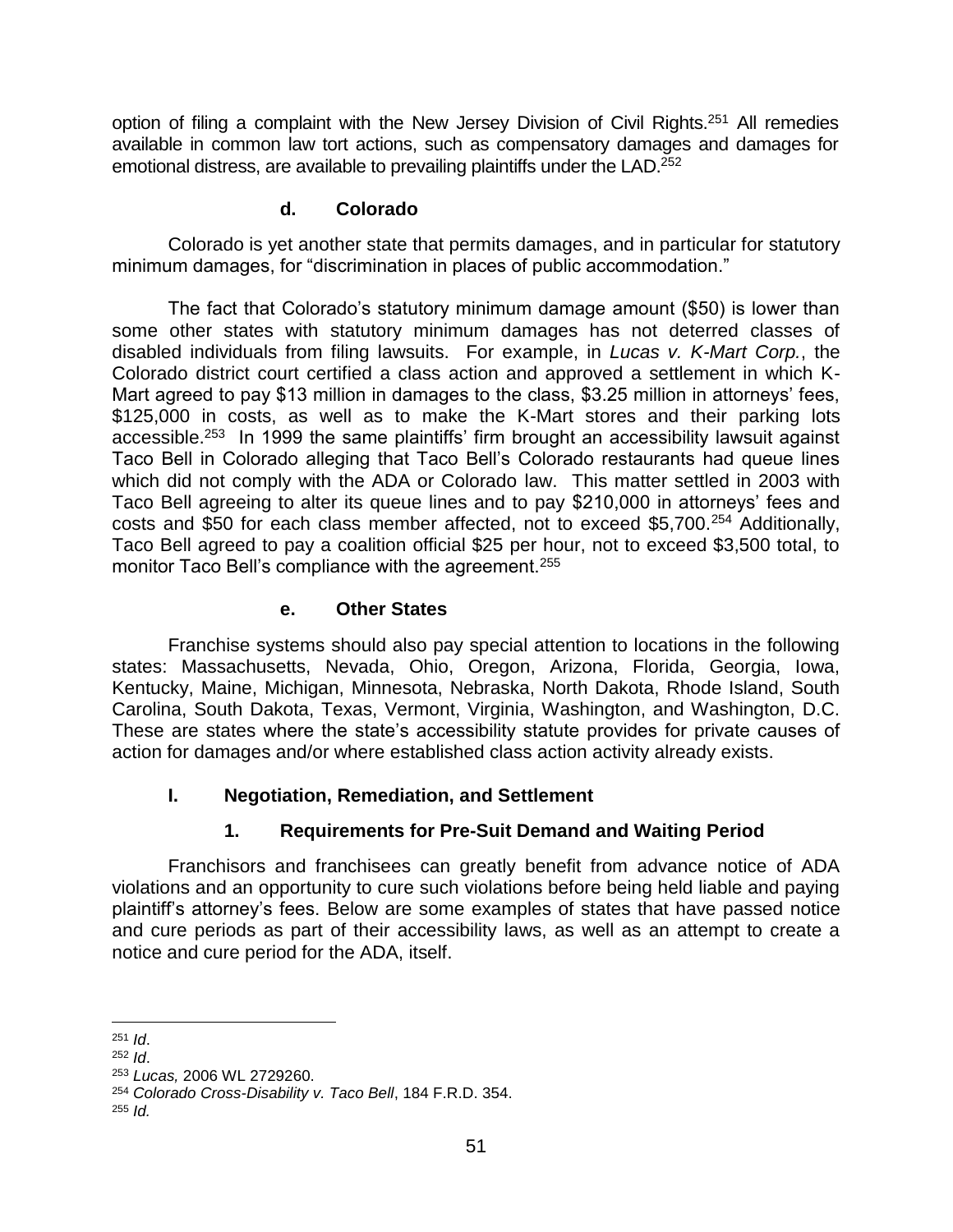option of filing a complaint with the New Jersey Division of Civil Rights.<sup>251</sup> All remedies available in common law tort actions, such as compensatory damages and damages for emotional distress, are available to prevailing plaintiffs under the LAD.<sup>252</sup>

#### **d. Colorado**

Colorado is yet another state that permits damages, and in particular for statutory minimum damages, for "discrimination in places of public accommodation."

The fact that Colorado's statutory minimum damage amount (\$50) is lower than some other states with statutory minimum damages has not deterred classes of disabled individuals from filing lawsuits. For example, in *Lucas v. K-Mart Corp.*, the Colorado district court certified a class action and approved a settlement in which K-Mart agreed to pay \$13 million in damages to the class, \$3.25 million in attorneys' fees, \$125,000 in costs, as well as to make the K-Mart stores and their parking lots accessible.<sup>253</sup> In 1999 the same plaintiffs' firm brought an accessibility lawsuit against Taco Bell in Colorado alleging that Taco Bell's Colorado restaurants had queue lines which did not comply with the ADA or Colorado law. This matter settled in 2003 with Taco Bell agreeing to alter its queue lines and to pay \$210,000 in attorneys' fees and costs and \$50 for each class member affected, not to exceed \$5,700.<sup>254</sup> Additionally, Taco Bell agreed to pay a coalition official \$25 per hour, not to exceed \$3,500 total, to monitor Taco Bell's compliance with the agreement.<sup>255</sup>

#### **e. Other States**

Franchise systems should also pay special attention to locations in the following states: Massachusetts, Nevada, Ohio, Oregon, Arizona, Florida, Georgia, Iowa, Kentucky, Maine, Michigan, Minnesota, Nebraska, North Dakota, Rhode Island, South Carolina, South Dakota, Texas, Vermont, Virginia, Washington, and Washington, D.C. These are states where the state's accessibility statute provides for private causes of action for damages and/or where established class action activity already exists.

## **I. Negotiation, Remediation, and Settlement**

## **1. Requirements for Pre-Suit Demand and Waiting Period**

Franchisors and franchisees can greatly benefit from advance notice of ADA violations and an opportunity to cure such violations before being held liable and paying plaintiff's attorney's fees. Below are some examples of states that have passed notice and cure periods as part of their accessibility laws, as well as an attempt to create a notice and cure period for the ADA, itself.

l <sup>251</sup> *Id*.

<sup>252</sup> *Id*. <sup>253</sup> *Lucas,* 2006 WL 2729260.

<sup>254</sup> *Colorado Cross-Disability v. Taco Bell*, 184 F.R.D. 354.

<sup>255</sup> *Id.*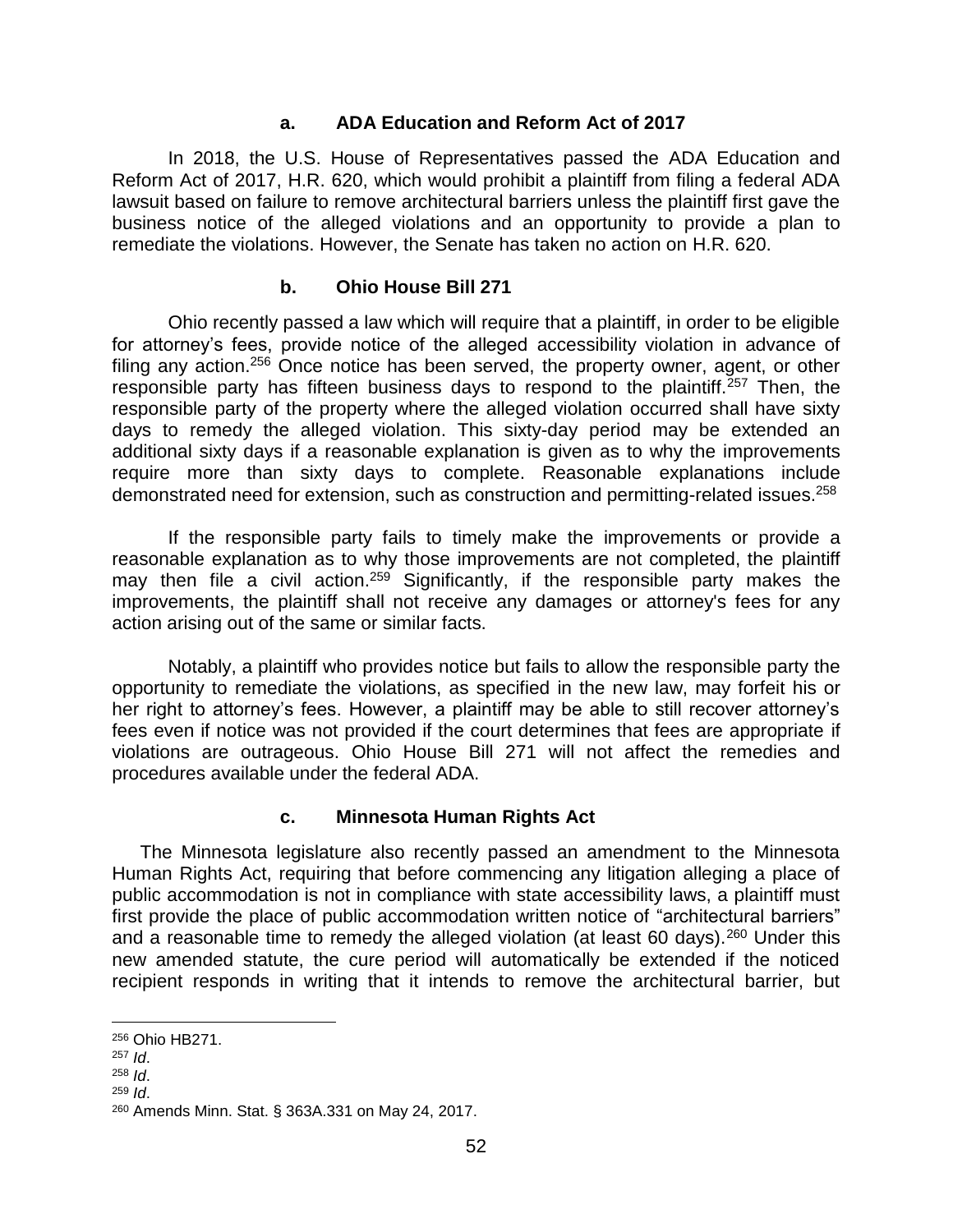#### **a. ADA Education and Reform Act of 2017**

In 2018, the U.S. House of Representatives passed the ADA Education and Reform Act of 2017, H.R. 620, which would prohibit a plaintiff from filing a federal ADA lawsuit based on failure to remove architectural barriers unless the plaintiff first gave the business notice of the alleged violations and an opportunity to provide a plan to remediate the violations. However, the Senate has taken no action on H.R. 620.

#### **b. Ohio House Bill 271**

Ohio recently passed a law which will require that a plaintiff, in order to be eligible for attorney's fees, provide notice of the alleged accessibility violation in advance of filing any action.<sup>256</sup> Once notice has been served, the property owner, agent, or other responsible party has fifteen business days to respond to the plaintiff.<sup>257</sup> Then, the responsible party of the property where the alleged violation occurred shall have sixty days to remedy the alleged violation. This sixty-day period may be extended an additional sixty days if a reasonable explanation is given as to why the improvements require more than sixty days to complete. Reasonable explanations include demonstrated need for extension, such as construction and permitting-related issues.<sup>258</sup>

If the responsible party fails to timely make the improvements or provide a reasonable explanation as to why those improvements are not completed, the plaintiff may then file a civil action.<sup>259</sup> Significantly, if the responsible party makes the improvements, the plaintiff shall not receive any damages or attorney's fees for any action arising out of the same or similar facts.

Notably, a plaintiff who provides notice but fails to allow the responsible party the opportunity to remediate the violations, as specified in the new law, may forfeit his or her right to attorney's fees. However, a plaintiff may be able to still recover attorney's fees even if notice was not provided if the court determines that fees are appropriate if violations are outrageous. Ohio House Bill 271 will not affect the remedies and procedures available under the federal ADA.

#### **c. Minnesota Human Rights Act**

The Minnesota legislature also recently passed an amendment to the Minnesota Human Rights Act, requiring that before commencing any litigation alleging a place of public accommodation is not in compliance with state accessibility laws, a plaintiff must first provide the place of public accommodation written notice of "architectural barriers" and a reasonable time to remedy the alleged violation (at least 60 days).<sup>260</sup> Under this new amended statute, the cure period will automatically be extended if the noticed recipient responds in writing that it intends to remove the architectural barrier, but

l

<sup>259</sup> *Id*.

<sup>256</sup> Ohio HB271.

<sup>257</sup> *Id*.

<sup>258</sup> *Id*.

<sup>260</sup> Amends Minn. Stat. § 363A.331 on May 24, 2017.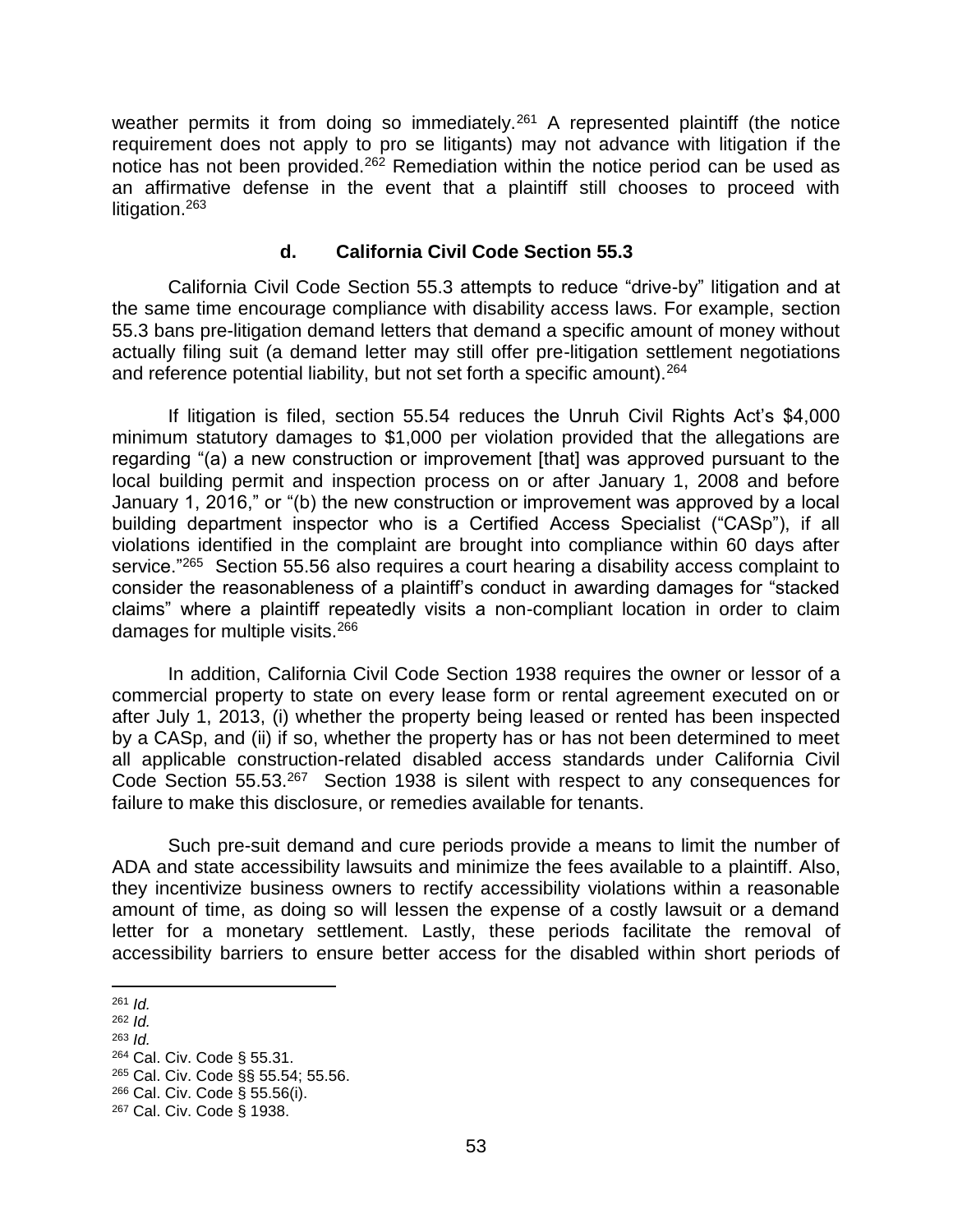weather permits it from doing so immediately.<sup>261</sup> A represented plaintiff (the notice requirement does not apply to pro se litigants) may not advance with litigation if the notice has not been provided.<sup>262</sup> Remediation within the notice period can be used as an affirmative defense in the event that a plaintiff still chooses to proceed with litigation.<sup>263</sup>

#### **d. California Civil Code Section 55.3**

California Civil Code Section 55.3 attempts to reduce "drive-by" litigation and at the same time encourage compliance with disability access laws. For example, section 55.3 bans pre-litigation demand letters that demand a specific amount of money without actually filing suit (a demand letter may still offer pre-litigation settlement negotiations and reference potential liability, but not set forth a specific amount).  $264$ 

If litigation is filed, section 55.54 reduces the Unruh Civil Rights Act's \$4,000 minimum statutory damages to \$1,000 per violation provided that the allegations are regarding "(a) a new construction or improvement [that] was approved pursuant to the local building permit and inspection process on or after January 1, 2008 and before January 1, 2016," or "(b) the new construction or improvement was approved by a local building department inspector who is a Certified Access Specialist ("CASp"), if all violations identified in the complaint are brought into compliance within 60 days after service."<sup>265</sup> Section 55.56 also requires a court hearing a disability access complaint to consider the reasonableness of a plaintiff's conduct in awarding damages for "stacked claims" where a plaintiff repeatedly visits a non-compliant location in order to claim damages for multiple visits.<sup>266</sup>

In addition, California Civil Code Section 1938 requires the owner or lessor of a commercial property to state on every lease form or rental agreement executed on or after July 1, 2013, (i) whether the property being leased or rented has been inspected by a CASp, and (ii) if so, whether the property has or has not been determined to meet all applicable construction-related disabled access standards under California Civil Code Section 55.53.<sup>267</sup> Section 1938 is silent with respect to any consequences for failure to make this disclosure, or remedies available for tenants.

Such pre-suit demand and cure periods provide a means to limit the number of ADA and state accessibility lawsuits and minimize the fees available to a plaintiff. Also, they incentivize business owners to rectify accessibility violations within a reasonable amount of time, as doing so will lessen the expense of a costly lawsuit or a demand letter for a monetary settlement. Lastly, these periods facilitate the removal of accessibility barriers to ensure better access for the disabled within short periods of

- <sup>262</sup> *Id.*
- <sup>263</sup> *Id.*
- <sup>264</sup> Cal. Civ. Code § 55.31.

<sup>266</sup> Cal. Civ. Code § 55.56(i).

 $\overline{\phantom{a}}$ <sup>261</sup> *Id.*

<sup>265</sup> Cal. Civ. Code §§ 55.54; 55.56.

<sup>267</sup> Cal. Civ. Code § 1938.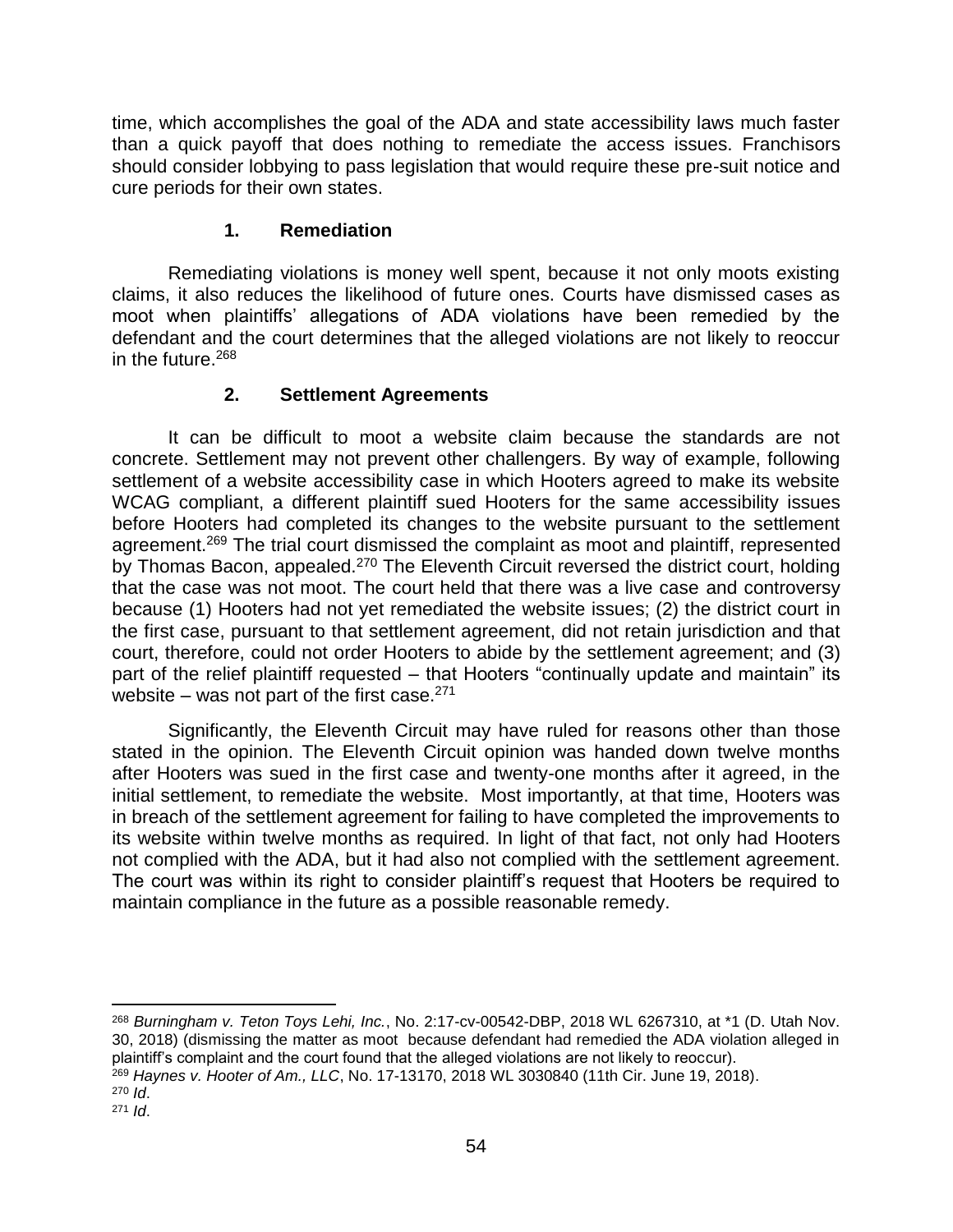time, which accomplishes the goal of the ADA and state accessibility laws much faster than a quick payoff that does nothing to remediate the access issues. Franchisors should consider lobbying to pass legislation that would require these pre-suit notice and cure periods for their own states.

## **1. Remediation**

Remediating violations is money well spent, because it not only moots existing claims, it also reduces the likelihood of future ones. Courts have dismissed cases as moot when plaintiffs' allegations of ADA violations have been remedied by the defendant and the court determines that the alleged violations are not likely to reoccur in the future.<sup>268</sup>

#### **2. Settlement Agreements**

It can be difficult to moot a website claim because the standards are not concrete. Settlement may not prevent other challengers. By way of example, following settlement of a website accessibility case in which Hooters agreed to make its website WCAG compliant, a different plaintiff sued Hooters for the same accessibility issues before Hooters had completed its changes to the website pursuant to the settlement agreement.<sup>269</sup> The trial court dismissed the complaint as moot and plaintiff, represented by Thomas Bacon, appealed.<sup>270</sup> The Eleventh Circuit reversed the district court, holding that the case was not moot. The court held that there was a live case and controversy because (1) Hooters had not yet remediated the website issues; (2) the district court in the first case, pursuant to that settlement agreement, did not retain jurisdiction and that court, therefore, could not order Hooters to abide by the settlement agreement; and (3) part of the relief plaintiff requested – that Hooters "continually update and maintain" its website – was not part of the first case. $271$ 

Significantly, the Eleventh Circuit may have ruled for reasons other than those stated in the opinion. The Eleventh Circuit opinion was handed down twelve months after Hooters was sued in the first case and twenty-one months after it agreed, in the initial settlement, to remediate the website. Most importantly, at that time, Hooters was in breach of the settlement agreement for failing to have completed the improvements to its website within twelve months as required. In light of that fact, not only had Hooters not complied with the ADA, but it had also not complied with the settlement agreement. The court was within its right to consider plaintiff's request that Hooters be required to maintain compliance in the future as a possible reasonable remedy.

<sup>268</sup> *Burningham v. Teton Toys Lehi, Inc.*, No. 2:17-cv-00542-DBP, 2018 WL 6267310, at \*1 (D. Utah Nov. 30, 2018) (dismissing the matter as moot because defendant had remedied the ADA violation alleged in plaintiff's complaint and the court found that the alleged violations are not likely to reoccur).

<sup>269</sup> *Haynes v. Hooter of Am., LLC*, No. 17-13170, 2018 WL 3030840 (11th Cir. June 19, 2018).

<sup>270</sup> *Id*. <sup>271</sup> *Id*.